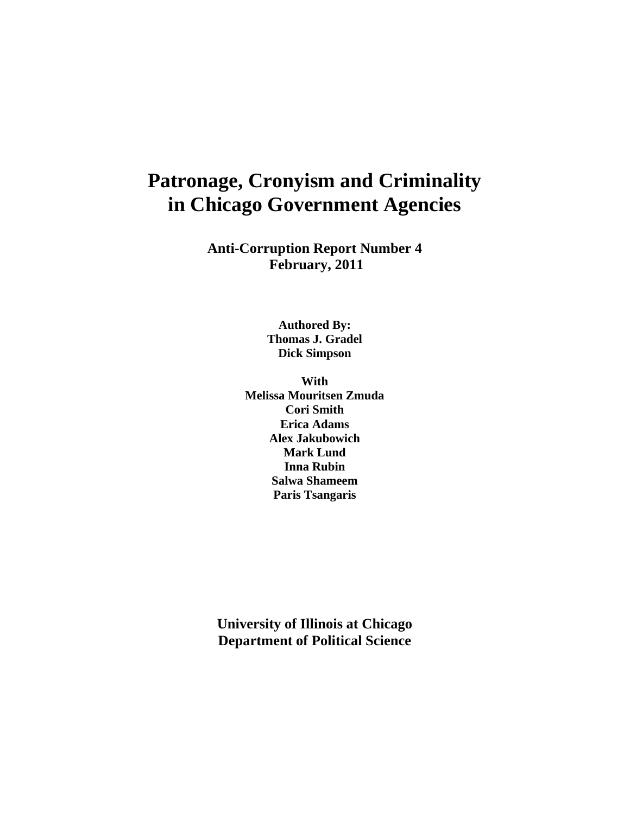# **Patronage, Cronyism and Criminality in Chicago Government Agencies**

**Anti-Corruption Report Number 4 February, 2011** 

> **Authored By: Thomas J. Gradel Dick Simpson**

**With Melissa Mouritsen Zmuda Cori Smith Erica Adams Alex Jakubowich Mark Lund Inna Rubin Salwa Shameem Paris Tsangaris** 

**University of Illinois at Chicago Department of Political Science**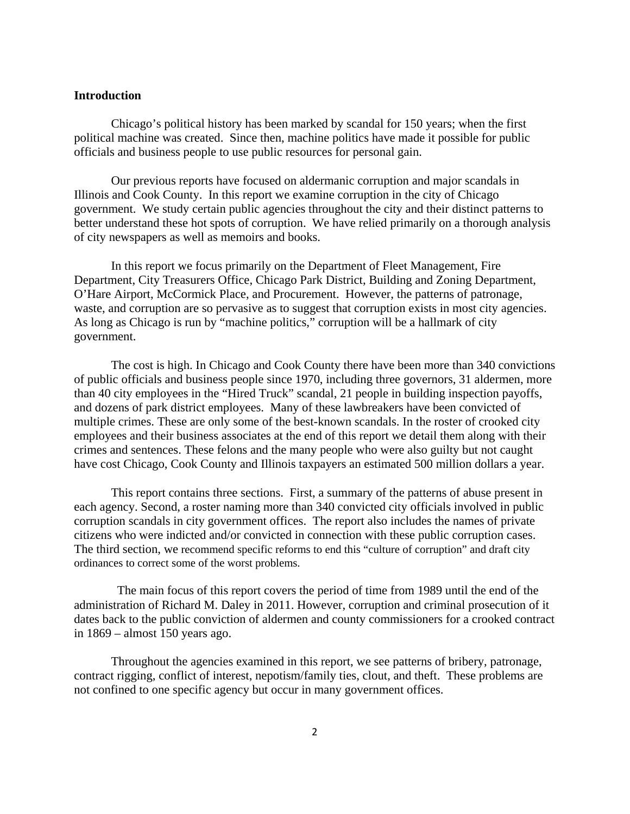# **Introduction**

Chicago's political history has been marked by scandal for 150 years; when the first political machine was created. Since then, machine politics have made it possible for public officials and business people to use public resources for personal gain.

Our previous reports have focused on aldermanic corruption and major scandals in Illinois and Cook County. In this report we examine corruption in the city of Chicago government. We study certain public agencies throughout the city and their distinct patterns to better understand these hot spots of corruption. We have relied primarily on a thorough analysis of city newspapers as well as memoirs and books.

In this report we focus primarily on the Department of Fleet Management, Fire Department, City Treasurers Office, Chicago Park District, Building and Zoning Department, O'Hare Airport, McCormick Place, and Procurement. However, the patterns of patronage, waste, and corruption are so pervasive as to suggest that corruption exists in most city agencies. As long as Chicago is run by "machine politics," corruption will be a hallmark of city government.

The cost is high. In Chicago and Cook County there have been more than 340 convictions of public officials and business people since 1970, including three governors, 31 aldermen, more than 40 city employees in the "Hired Truck" scandal, 21 people in building inspection payoffs, and dozens of park district employees. Many of these lawbreakers have been convicted of multiple crimes. These are only some of the best-known scandals. In the roster of crooked city employees and their business associates at the end of this report we detail them along with their crimes and sentences. These felons and the many people who were also guilty but not caught have cost Chicago, Cook County and Illinois taxpayers an estimated 500 million dollars a year.

This report contains three sections. First, a summary of the patterns of abuse present in each agency. Second, a roster naming more than 340 convicted city officials involved in public corruption scandals in city government offices. The report also includes the names of private citizens who were indicted and/or convicted in connection with these public corruption cases. The third section, we recommend specific reforms to end this "culture of corruption" and draft city ordinances to correct some of the worst problems.

 The main focus of this report covers the period of time from 1989 until the end of the administration of Richard M. Daley in 2011. However, corruption and criminal prosecution of it dates back to the public conviction of aldermen and county commissioners for a crooked contract in 1869 – almost 150 years ago.

Throughout the agencies examined in this report, we see patterns of bribery, patronage, contract rigging, conflict of interest, nepotism/family ties, clout, and theft. These problems are not confined to one specific agency but occur in many government offices.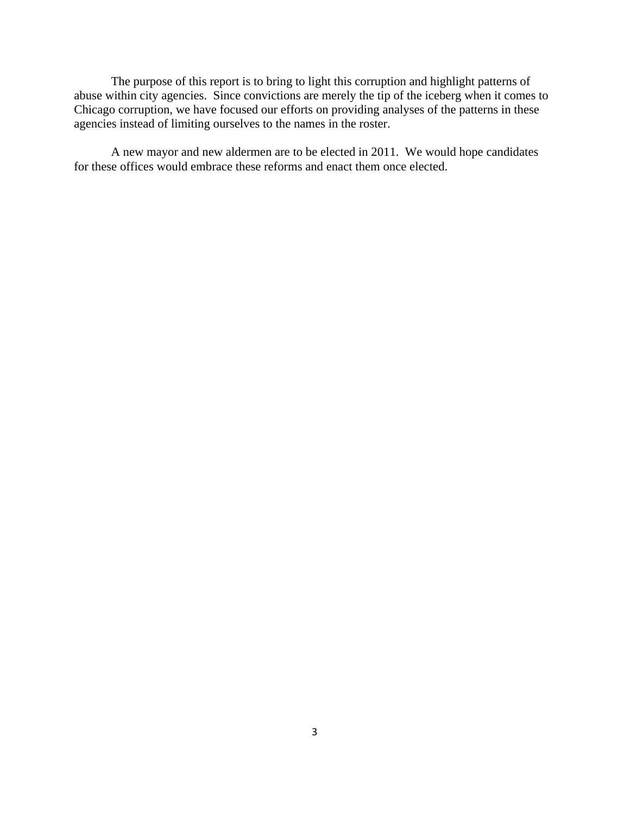The purpose of this report is to bring to light this corruption and highlight patterns of abuse within city agencies. Since convictions are merely the tip of the iceberg when it comes to Chicago corruption, we have focused our efforts on providing analyses of the patterns in these agencies instead of limiting ourselves to the names in the roster.

A new mayor and new aldermen are to be elected in 2011. We would hope candidates for these offices would embrace these reforms and enact them once elected.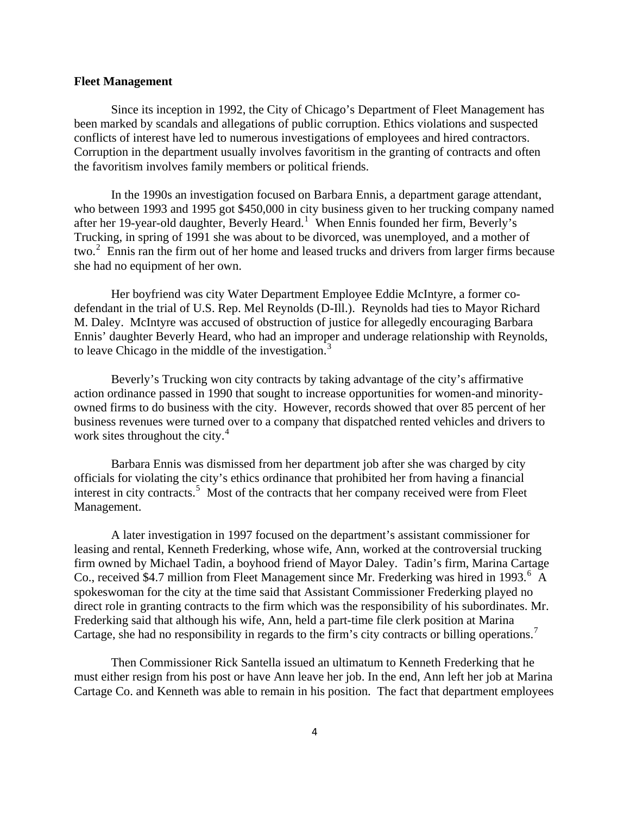#### **Fleet Management**

 Since its inception in 1992, the City of Chicago's Department of Fleet Management has been marked by scandals and allegations of public corruption. Ethics violations and suspected conflicts of interest have led to numerous investigations of employees and hired contractors. Corruption in the department usually involves favoritism in the granting of contracts and often the favoritism involves family members or political friends.

 In the 1990s an investigation focused on Barbara Ennis, a department garage attendant, who between 1993 and 1995 got \$450,000 in city business given to her trucking company named after her [1](#page-81-0)9-year-old daughter, Beverly Heard.<sup>1</sup> When Ennis founded her firm, Beverly's Trucking, in spring of 1991 she was about to be divorced, was unemployed, and a mother of two.<sup>[2](#page-81-1)</sup> Ennis ran the firm out of her home and leased trucks and drivers from larger firms because she had no equipment of her own.

 Her boyfriend was city Water Department Employee Eddie McIntyre, a former codefendant in the trial of U.S. Rep. Mel Reynolds (D-Ill.). Reynolds had ties to Mayor Richard M. Daley. McIntyre was accused of obstruction of justice for allegedly encouraging Barbara Ennis' daughter Beverly Heard, who had an improper and underage relationship with Reynolds, to leave Chicago in the middle of the investigation. $3$ 

 Beverly's Trucking won city contracts by taking advantage of the city's affirmative action ordinance passed in 1990 that sought to increase opportunities for women-and minorityowned firms to do business with the city. However, records showed that over 85 percent of her business revenues were turned over to a company that dispatched rented vehicles and drivers to work sites throughout the city.<sup>[4](#page-81-1)</sup>

 Barbara Ennis was dismissed from her department job after she was charged by city officials for violating the city's ethics ordinance that prohibited her from having a financial interest in city contracts.<sup>[5](#page-81-1)</sup> Most of the contracts that her company received were from Fleet Management.

 A later investigation in 1997 focused on the department's assistant commissioner for leasing and rental, Kenneth Frederking, whose wife, Ann, worked at the controversial trucking firm owned by Michael Tadin, a boyhood friend of Mayor Daley. Tadin's firm, Marina Cartage Co., received \$4.7 million from Fleet Management since Mr. Frederking was hired in 1993.<sup>[6](#page-81-1)</sup> A spokeswoman for the city at the time said that Assistant Commissioner Frederking played no direct role in granting contracts to the firm which was the responsibility of his subordinates. Mr. Frederking said that although his wife, Ann, held a part-time file clerk position at Marina Cartage, she had no responsibility in regards to the firm's city contracts or billing operations.<sup>[7](#page-81-1)</sup>

 Then Commissioner Rick Santella issued an ultimatum to Kenneth Frederking that he must either resign from his post or have Ann leave her job. In the end, Ann left her job at Marina Cartage Co. and Kenneth was able to remain in his position. The fact that department employees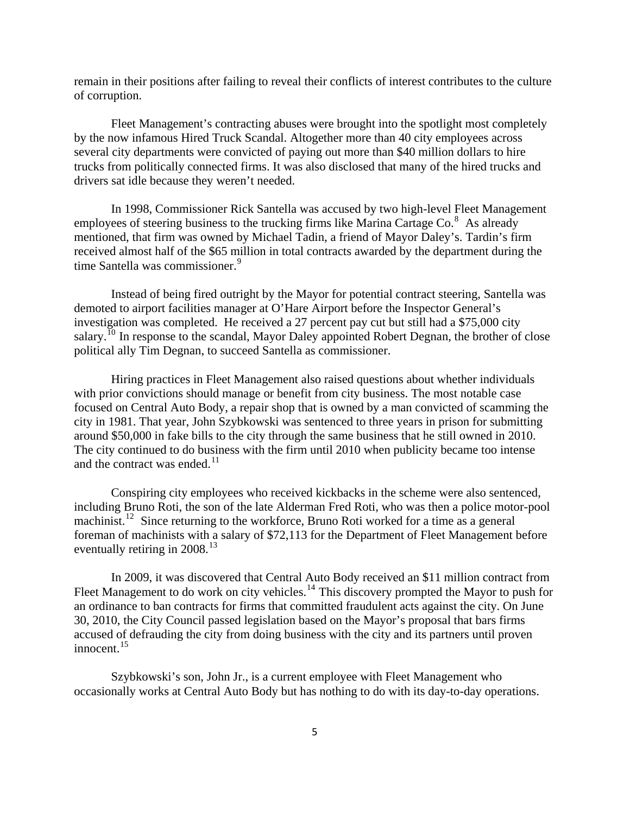remain in their positions after failing to reveal their conflicts of interest contributes to the culture of corruption.

 Fleet Management's contracting abuses were brought into the spotlight most completely by the now infamous Hired Truck Scandal. Altogether more than 40 city employees across several city departments were convicted of paying out more than \$40 million dollars to hire trucks from politically connected firms. It was also disclosed that many of the hired trucks and drivers sat idle because they weren't needed.

 In 1998, Commissioner Rick Santella was accused by two high-level Fleet Management employees of steering business to the trucking firms like Marina Cartage Co. $8$  As already mentioned, that firm was owned by Michael Tadin, a friend of Mayor Daley's. Tardin's firm received almost half of the \$65 million in total contracts awarded by the department during the time Santella was commissioner.<sup>[9](#page-81-1)</sup>

 Instead of being fired outright by the Mayor for potential contract steering, Santella was demoted to airport facilities manager at O'Hare Airport before the Inspector General's investigation was completed. He received a 27 percent pay cut but still had a \$75,000 city salary.<sup>[10](#page-81-1)</sup> In response to the scandal, Mayor Daley appointed Robert Degnan, the brother of close political ally Tim Degnan, to succeed Santella as commissioner.

 Hiring practices in Fleet Management also raised questions about whether individuals with prior convictions should manage or benefit from city business. The most notable case focused on Central Auto Body, a repair shop that is owned by a man convicted of scamming the city in 1981. That year, John Szybkowski was sentenced to three years in prison for submitting around \$50,000 in fake bills to the city through the same business that he still owned in 2010. The city continued to do business with the firm until 2010 when publicity became too intense and the contract was ended. $11$ 

 Conspiring city employees who received kickbacks in the scheme were also sentenced, including Bruno Roti, the son of the late Alderman Fred Roti, who was then a police motor-pool machinist.<sup>[12](#page-81-1)</sup> Since returning to the workforce, Bruno Roti worked for a time as a general foreman of machinists with a salary of \$72,113 for the Department of Fleet Management before eventually retiring in  $2008$ <sup>[13](#page-81-1)</sup>

 In 2009, it was discovered that Central Auto Body received an \$11 million contract from Fleet Management to do work on city vehicles.<sup>[14](#page-81-1)</sup> This discovery prompted the Mayor to push for an ordinance to ban contracts for firms that committed fraudulent acts against the city. On June 30, 2010, the City Council passed legislation based on the Mayor's proposal that bars firms accused of defrauding the city from doing business with the city and its partners until proven innocent. $15$ 

 Szybkowski's son, John Jr., is a current employee with Fleet Management who occasionally works at Central Auto Body but has nothing to do with its day-to-day operations.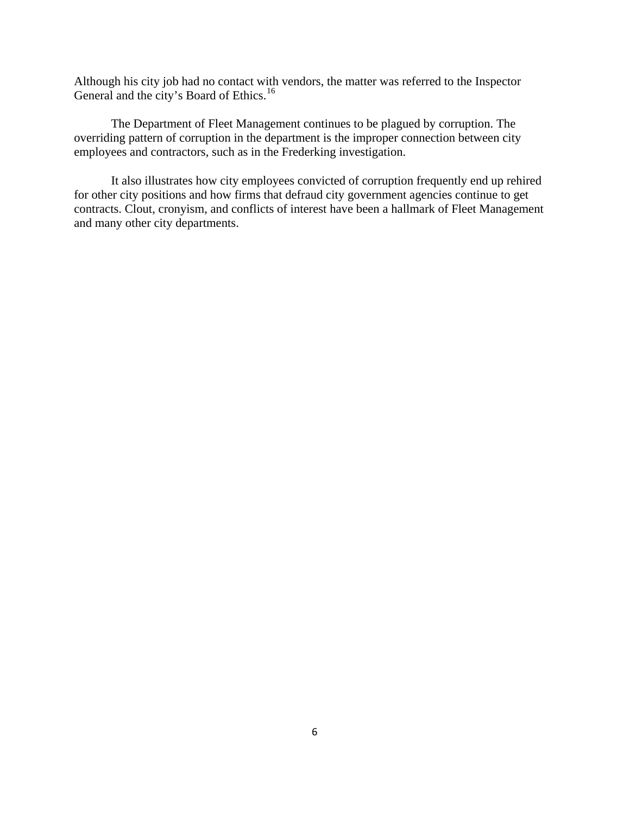Although his city job had no contact with vendors, the matter was referred to the Inspector General and the city's Board of Ethics.<sup>[16](#page-81-1)</sup>

 The Department of Fleet Management continues to be plagued by corruption. The overriding pattern of corruption in the department is the improper connection between city employees and contractors, such as in the Frederking investigation.

 It also illustrates how city employees convicted of corruption frequently end up rehired for other city positions and how firms that defraud city government agencies continue to get contracts. Clout, cronyism, and conflicts of interest have been a hallmark of Fleet Management and many other city departments.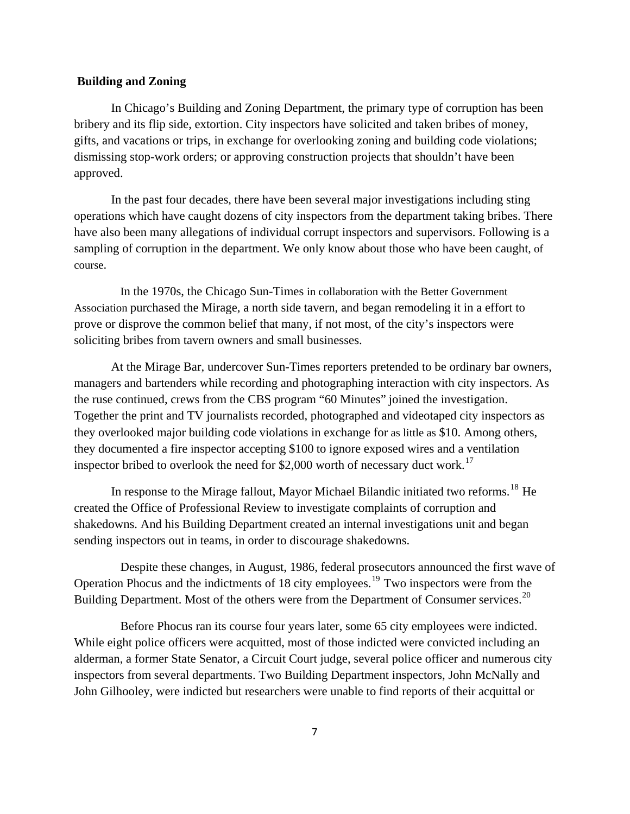# **Building and Zoning**

In Chicago's Building and Zoning Department, the primary type of corruption has been bribery and its flip side, extortion. City inspectors have solicited and taken bribes of money, gifts, and vacations or trips, in exchange for overlooking zoning and building code violations; dismissing stop-work orders; or approving construction projects that shouldn't have been approved.

In the past four decades, there have been several major investigations including sting operations which have caught dozens of city inspectors from the department taking bribes. There have also been many allegations of individual corrupt inspectors and supervisors. Following is a sampling of corruption in the department. We only know about those who have been caught, of course.

 In the 1970s, the Chicago Sun-Times in collaboration with the Better Government Association purchased the Mirage, a north side tavern, and began remodeling it in a effort to prove or disprove the common belief that many, if not most, of the city's inspectors were soliciting bribes from tavern owners and small businesses.

At the Mirage Bar, undercover Sun-Times reporters pretended to be ordinary bar owners, managers and bartenders while recording and photographing interaction with city inspectors. As the ruse continued, crews from the CBS program "60 Minutes" joined the investigation. Together the print and TV journalists recorded, photographed and videotaped city inspectors as they overlooked major building code violations in exchange for as little as \$10. Among others, they documented a fire inspector accepting \$100 to ignore exposed wires and a ventilation inspector bribed to overlook the need for \$2,000 worth of necessary duct work.<sup>[17](#page-81-1)</sup>

In response to the Mirage fallout, Mayor Michael Bilandic initiated two reforms.<sup>[18](#page-81-1)</sup> He created the Office of Professional Review to investigate complaints of corruption and shakedowns. And his Building Department created an internal investigations unit and began sending inspectors out in teams, in order to discourage shakedowns.

 Despite these changes, in August, 1986, federal prosecutors announced the first wave of Operation Phocus and the indictments of 18 city employees.<sup>[19](#page-81-1)</sup> Two inspectors were from the Building Department. Most of the others were from the Department of Consumer services.<sup>[20](#page-81-1)</sup>

 Before Phocus ran its course four years later, some 65 city employees were indicted. While eight police officers were acquitted, most of those indicted were convicted including an alderman, a former State Senator, a Circuit Court judge, several police officer and numerous city inspectors from several departments. Two Building Department inspectors, John McNally and John Gilhooley, were indicted but researchers were unable to find reports of their acquittal or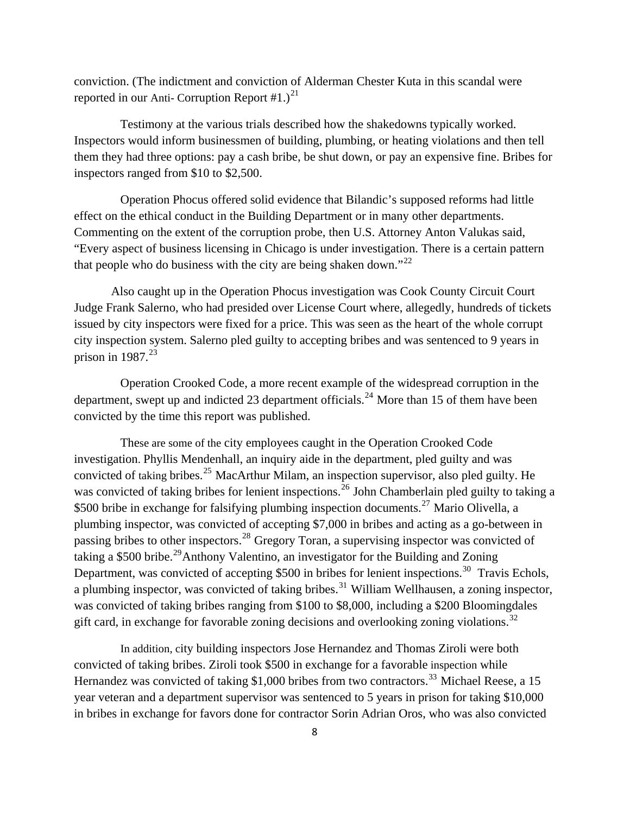conviction. (The indictment and conviction of Alderman Chester Kuta in this scandal were reported in our Anti- Corruption Report  $\#1.$ )<sup>[21](#page-81-1)</sup>

 Testimony at the various trials described how the shakedowns typically worked. Inspectors would inform businessmen of building, plumbing, or heating violations and then tell them they had three options: pay a cash bribe, be shut down, or pay an expensive fine. Bribes for inspectors ranged from \$10 to \$2,500.

 Operation Phocus offered solid evidence that Bilandic's supposed reforms had little effect on the ethical conduct in the Building Department or in many other departments. Commenting on the extent of the corruption probe, then U.S. Attorney Anton Valukas said, "Every aspect of business licensing in Chicago is under investigation. There is a certain pattern that people who do business with the city are being shaken down."<sup>[22](#page-81-1)</sup>

Also caught up in the Operation Phocus investigation was Cook County Circuit Court Judge Frank Salerno, who had presided over License Court where, allegedly, hundreds of tickets issued by city inspectors were fixed for a price. This was seen as the heart of the whole corrupt city inspection system. Salerno pled guilty to accepting bribes and was sentenced to 9 years in prison in  $1987.<sup>23</sup>$  $1987.<sup>23</sup>$  $1987.<sup>23</sup>$ 

 Operation Crooked Code, a more recent example of the widespread corruption in the department, swept up and indicted 23 department officials.<sup>[24](#page-81-1)</sup> More than 15 of them have been convicted by the time this report was published.

 These are some of the city employees caught in the Operation Crooked Code investigation. Phyllis Mendenhall, an inquiry aide in the department, pled guilty and was convicted of taking bribes.<sup>[25](#page-81-1)</sup> MacArthur Milam, an inspection supervisor, also pled guilty. He was convicted of taking bribes for lenient inspections.<sup>[26](#page-81-1)</sup> John Chamberlain pled guilty to taking a \$500 bribe in exchange for falsifying plumbing inspection documents.<sup>[27](#page-81-1)</sup> Mario Olivella, a plumbing inspector, was convicted of accepting \$7,000 in bribes and acting as a go-between in passing bribes to other inspectors.<sup>[28](#page-81-1)</sup> Gregory Toran, a supervising inspector was convicted of taking a \$500 bribe.<sup>[29](#page-81-1)</sup>Anthony Valentino, an investigator for the Building and Zoning Department, was convicted of accepting \$500 in bribes for lenient inspections.<sup>[30](#page-81-1)</sup> Travis Echols, a plumbing inspector, was convicted of taking bribes.<sup>[31](#page-81-1)</sup> William Wellhausen, a zoning inspector, was convicted of taking bribes ranging from \$100 to \$8,000, including a \$200 Bloomingdales gift card, in exchange for favorable zoning decisions and overlooking zoning violations.<sup>[32](#page-81-1)</sup>

 In addition, city building inspectors Jose Hernandez and Thomas Ziroli were both convicted of taking bribes. Ziroli took \$500 in exchange for a favorable inspection while Hernandez was convicted of taking \$1,000 bribes from two contractors.<sup>[33](#page-81-1)</sup> Michael Reese, a 15 year veteran and a department supervisor was sentenced to 5 years in prison for taking \$10,000 in bribes in exchange for favors done for contractor Sorin Adrian Oros, who was also convicted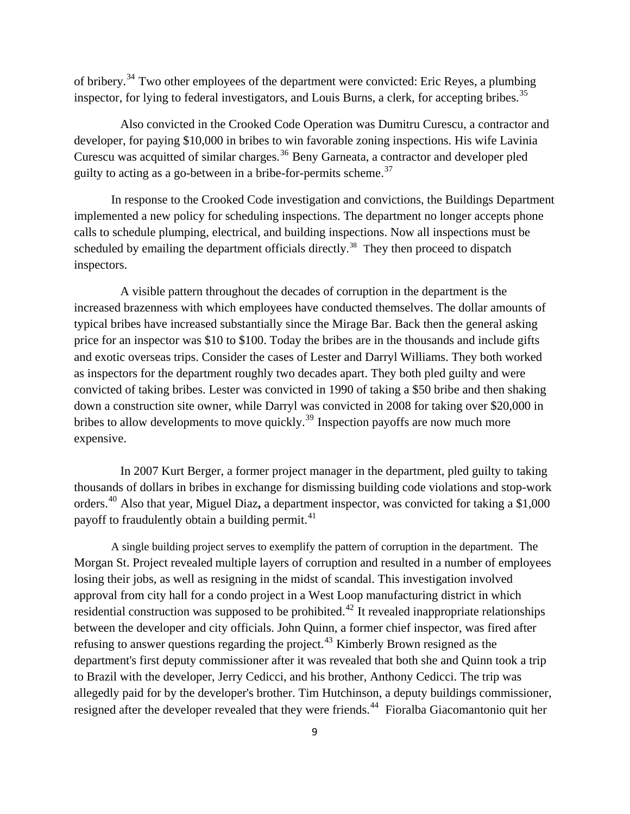of bribery.[34](#page-81-1) Two other employees of the department were convicted: Eric Reyes, a plumbing inspector, for lying to federal investigators, and Louis Burns, a clerk, for accepting bribes.<sup>[35](#page-81-1)</sup>

 Also convicted in the Crooked Code Operation was Dumitru Curescu, a contractor and developer, for paying \$10,000 in bribes to win favorable zoning inspections. His wife Lavinia Curescu was acquitted of similar charges.<sup>[36](#page-81-1)</sup> Beny Garneata, a contractor and developer pled guilty to acting as a go-between in a bribe-for-permits scheme.<sup>[37](#page-81-1)</sup>

In response to the Crooked Code investigation and convictions, the Buildings Department implemented a new policy for scheduling inspections. The department no longer accepts phone calls to schedule plumping, electrical, and building inspections. Now all inspections must be scheduled by emailing the department officials directly.<sup>[38](#page-81-1)</sup> They then proceed to dispatch inspectors.

 A visible pattern throughout the decades of corruption in the department is the increased brazenness with which employees have conducted themselves. The dollar amounts of typical bribes have increased substantially since the Mirage Bar. Back then the general asking price for an inspector was \$10 to \$100. Today the bribes are in the thousands and include gifts and exotic overseas trips. Consider the cases of Lester and Darryl Williams. They both worked as inspectors for the department roughly two decades apart. They both pled guilty and were convicted of taking bribes. Lester was convicted in 1990 of taking a \$50 bribe and then shaking down a construction site owner, while Darryl was convicted in 2008 for taking over \$20,000 in bribes to allow developments to move quickly.<sup>[39](#page-81-1)</sup> Inspection payoffs are now much more expensive.

 In 2007 Kurt Berger, a former project manager in the department, pled guilty to taking thousands of dollars in bribes in exchange for dismissing building code violations and stop-work orders.[40](#page-81-1) Also that year, Miguel Diaz**,** a department inspector, was convicted for taking a \$1,000 payoff to fraudulently obtain a building permit.<sup>[41](#page-81-1)</sup>

 A single building project serves to exemplify the pattern of corruption in the department. The Morgan St. Project revealed multiple layers of corruption and resulted in a number of employees losing their jobs, as well as resigning in the midst of scandal. This investigation involved approval from city hall for a condo project in a West Loop manufacturing district in which residential construction was supposed to be prohibited.<sup>[42](#page-81-1)</sup> It revealed inappropriate relationships between the developer and city officials. John Quinn, a former chief inspector, was fired after refusing to answer questions regarding the project.<sup>[43](#page-81-1)</sup> Kimberly Brown resigned as the department's first deputy commissioner after it was revealed that both she and Quinn took a trip to Brazil with the developer, Jerry Cedicci, and his brother, Anthony Cedicci. The trip was allegedly paid for by the developer's brother. Tim Hutchinson, a deputy buildings commissioner, resigned after the developer revealed that they were friends.<sup>[44](#page-81-1)</sup> Fioralba Giacomantonio quit her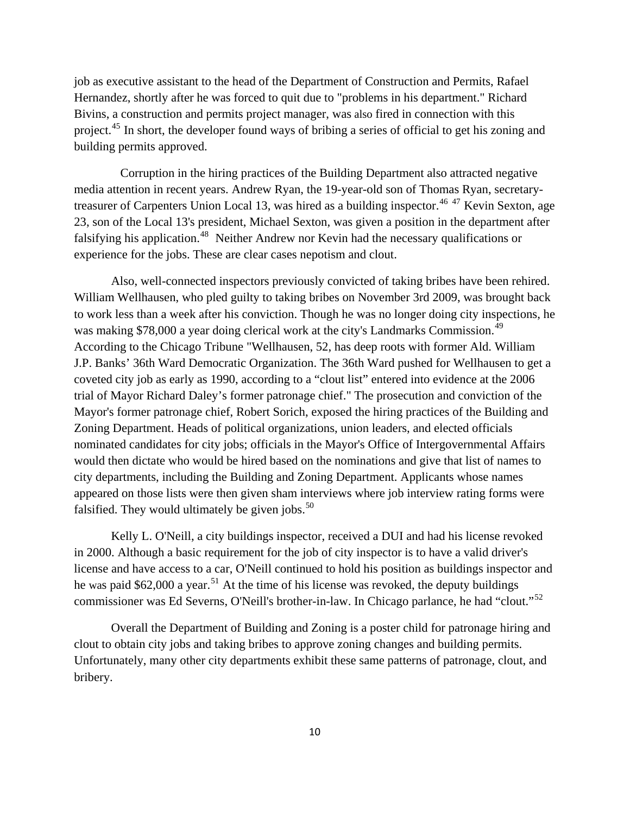job as executive assistant to the head of the Department of Construction and Permits, Rafael Hernandez, shortly after he was forced to quit due to "problems in his department." Richard Bivins, a construction and permits project manager, was also fired in connection with this project.<sup>[45](#page-81-1)</sup> In short, the developer found ways of bribing a series of official to get his zoning and building permits approved.

 Corruption in the hiring practices of the Building Department also attracted negative media attention in recent years. Andrew Ryan, the 19-year-old son of Thomas Ryan, secretary-treasurer of Carpenters Union Local 13, was hired as a building inspector.<sup>[46](#page-81-1) [47](#page-81-1)</sup> Kevin Sexton, age 23, son of the Local 13's president, Michael Sexton, was given a position in the department after falsifying his application.<sup>[48](#page-81-1)</sup> Neither Andrew nor Kevin had the necessary qualifications or experience for the jobs. These are clear cases nepotism and clout.

Also, well-connected inspectors previously convicted of taking bribes have been rehired. William Wellhausen, who pled guilty to taking bribes on November 3rd 2009, was brought back to work less than a week after his conviction. Though he was no longer doing city inspections, he was making \$78,000 a year doing clerical work at the city's Landmarks Commission.<sup>[49](#page-81-1)</sup> According to the Chicago Tribune "Wellhausen, 52, has deep roots with former Ald. William J.P. Banks' 36th Ward Democratic Organization. The 36th Ward pushed for Wellhausen to get a coveted city job as early as 1990, according to a "clout list" entered into evidence at the 2006 trial of Mayor Richard Daley's former patronage chief." The prosecution and conviction of the Mayor's former patronage chief, Robert Sorich, exposed the hiring practices of the Building and Zoning Department. Heads of political organizations, union leaders, and elected officials nominated candidates for city jobs; officials in the Mayor's Office of Intergovernmental Affairs would then dictate who would be hired based on the nominations and give that list of names to city departments, including the Building and Zoning Department. Applicants whose names appeared on those lists were then given sham interviews where job interview rating forms were falsified. They would ultimately be given jobs. $50$ 

 Kelly L. O'Neill, a city buildings inspector, received a DUI and had his license revoked in 2000. Although a basic requirement for the job of city inspector is to have a valid driver's license and have access to a car, O'Neill continued to hold his position as buildings inspector and he was paid  $$62,000$  a year.<sup>[51](#page-81-1)</sup> At the time of his license was revoked, the deputy buildings commissioner was Ed Severns, O'Neill's brother-in-law. In Chicago parlance, he had "clout."<sup>[52](#page-81-1)</sup>

 Overall the Department of Building and Zoning is a poster child for patronage hiring and clout to obtain city jobs and taking bribes to approve zoning changes and building permits. Unfortunately, many other city departments exhibit these same patterns of patronage, clout, and bribery.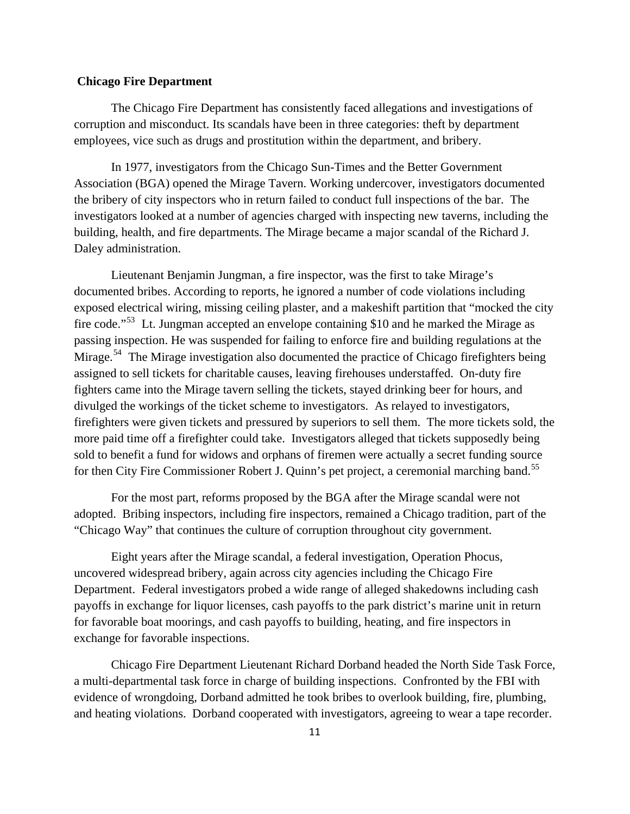# **Chicago Fire Department**

 The Chicago Fire Department has consistently faced allegations and investigations of corruption and misconduct. Its scandals have been in three categories: theft by department employees, vice such as drugs and prostitution within the department, and bribery.

 In 1977, investigators from the Chicago Sun-Times and the Better Government Association (BGA) opened the Mirage Tavern. Working undercover, investigators documented the bribery of city inspectors who in return failed to conduct full inspections of the bar. The investigators looked at a number of agencies charged with inspecting new taverns, including the building, health, and fire departments. The Mirage became a major scandal of the Richard J. Daley administration.

 Lieutenant Benjamin Jungman, a fire inspector, was the first to take Mirage's documented bribes. According to reports, he ignored a number of code violations including exposed electrical wiring, missing ceiling plaster, and a makeshift partition that "mocked the city fire code."<sup>[53](#page-81-1)</sup> Lt. Jungman accepted an envelope containing \$10 and he marked the Mirage as passing inspection. He was suspended for failing to enforce fire and building regulations at the Mirage.<sup>[54](#page-81-1)</sup> The Mirage investigation also documented the practice of Chicago firefighters being assigned to sell tickets for charitable causes, leaving firehouses understaffed. On-duty fire fighters came into the Mirage tavern selling the tickets, stayed drinking beer for hours, and divulged the workings of the ticket scheme to investigators. As relayed to investigators, firefighters were given tickets and pressured by superiors to sell them. The more tickets sold, the more paid time off a firefighter could take. Investigators alleged that tickets supposedly being sold to benefit a fund for widows and orphans of firemen were actually a secret funding source for then City Fire Commissioner Robert J. Quinn's pet project, a ceremonial marching band.<sup>[55](#page-81-1)</sup>

 For the most part, reforms proposed by the BGA after the Mirage scandal were not adopted. Bribing inspectors, including fire inspectors, remained a Chicago tradition, part of the "Chicago Way" that continues the culture of corruption throughout city government.

Eight years after the Mirage scandal, a federal investigation, Operation Phocus, uncovered widespread bribery, again across city agencies including the Chicago Fire Department. Federal investigators probed a wide range of alleged shakedowns including cash payoffs in exchange for liquor licenses, cash payoffs to the park district's marine unit in return for favorable boat moorings, and cash payoffs to building, heating, and fire inspectors in exchange for favorable inspections.

 Chicago Fire Department Lieutenant Richard Dorband headed the North Side Task Force, a multi-departmental task force in charge of building inspections. Confronted by the FBI with evidence of wrongdoing, Dorband admitted he took bribes to overlook building, fire, plumbing, and heating violations. Dorband cooperated with investigators, agreeing to wear a tape recorder.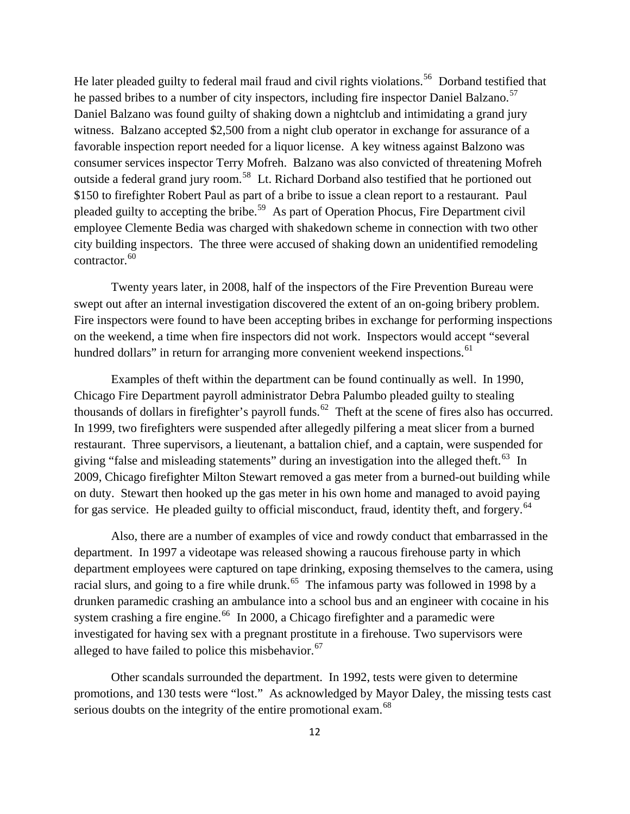He later pleaded guilty to federal mail fraud and civil rights violations.<sup>[56](#page-81-1)</sup> Dorband testified that he passed bribes to a number of city inspectors, including fire inspector Daniel Balzano.<sup>[57](#page-81-1)</sup> Daniel Balzano was found guilty of shaking down a nightclub and intimidating a grand jury witness. Balzano accepted \$2,500 from a night club operator in exchange for assurance of a favorable inspection report needed for a liquor license. A key witness against Balzono was consumer services inspector Terry Mofreh. Balzano was also convicted of threatening Mofreh outside a federal grand jury room.<sup>[58](#page-81-1)</sup> Lt. Richard Dorband also testified that he portioned out \$150 to firefighter Robert Paul as part of a bribe to issue a clean report to a restaurant. Paul pleaded guilty to accepting the bribe.<sup>[59](#page-81-1)</sup> As part of Operation Phocus, Fire Department civil employee Clemente Bedia was charged with shakedown scheme in connection with two other city building inspectors. The three were accused of shaking down an unidentified remodeling contractor.<sup>[60](#page-81-1)</sup>

 Twenty years later, in 2008, half of the inspectors of the Fire Prevention Bureau were swept out after an internal investigation discovered the extent of an on-going bribery problem. Fire inspectors were found to have been accepting bribes in exchange for performing inspections on the weekend, a time when fire inspectors did not work. Inspectors would accept "several hundred dollars" in return for arranging more convenient weekend inspections.<sup>[61](#page-81-1)</sup>

 Examples of theft within the department can be found continually as well. In 1990, Chicago Fire Department payroll administrator Debra Palumbo pleaded guilty to stealing thousands of dollars in firefighter's payroll funds.<sup>[62](#page-81-1)</sup> Theft at the scene of fires also has occurred. In 1999, two firefighters were suspended after allegedly pilfering a meat slicer from a burned restaurant. Three supervisors, a lieutenant, a battalion chief, and a captain, were suspended for giving "false and misleading statements" during an investigation into the alleged theft.<sup>[63](#page-81-1)</sup> In 2009, Chicago firefighter Milton Stewart removed a gas meter from a burned-out building while on duty. Stewart then hooked up the gas meter in his own home and managed to avoid paying for gas service. He pleaded guilty to official misconduct, fraud, identity theft, and forgery.<sup>[64](#page-81-1)</sup>

 Also, there are a number of examples of vice and rowdy conduct that embarrassed in the department. In 1997 a videotape was released showing a raucous firehouse party in which department employees were captured on tape drinking, exposing themselves to the camera, using racial slurs, and going to a fire while drunk.<sup>[65](#page-81-1)</sup> The infamous party was followed in 1998 by a drunken paramedic crashing an ambulance into a school bus and an engineer with cocaine in his system crashing a fire engine.<sup>[66](#page-81-1)</sup> In 2000, a Chicago firefighter and a paramedic were investigated for having sex with a pregnant prostitute in a firehouse. Two supervisors were alleged to have failed to police this misbehavior. $67$ 

 Other scandals surrounded the department. In 1992, tests were given to determine promotions, and 130 tests were "lost." As acknowledged by Mayor Daley, the missing tests cast serious doubts on the integrity of the entire promotional exam.<sup>[68](#page-81-1)</sup>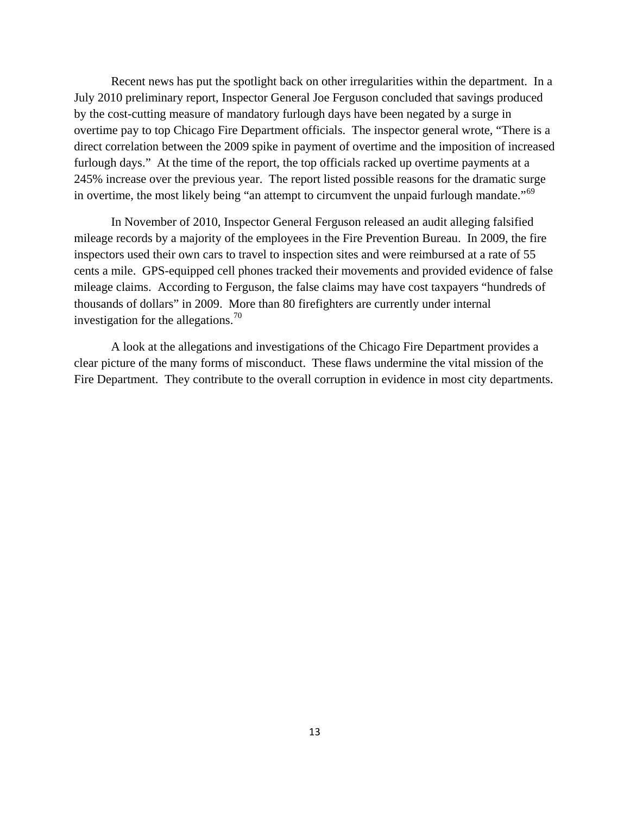Recent news has put the spotlight back on other irregularities within the department. In a July 2010 preliminary report, Inspector General Joe Ferguson concluded that savings produced by the cost-cutting measure of mandatory furlough days have been negated by a surge in overtime pay to top Chicago Fire Department officials. The inspector general wrote, "There is a direct correlation between the 2009 spike in payment of overtime and the imposition of increased furlough days." At the time of the report, the top officials racked up overtime payments at a 245% increase over the previous year. The report listed possible reasons for the dramatic surge in overtime, the most likely being "an attempt to circumvent the unpaid furlough mandate."<sup>[69](#page-81-1)</sup>

 In November of 2010, Inspector General Ferguson released an audit alleging falsified mileage records by a majority of the employees in the Fire Prevention Bureau. In 2009, the fire inspectors used their own cars to travel to inspection sites and were reimbursed at a rate of 55 cents a mile. GPS-equipped cell phones tracked their movements and provided evidence of false mileage claims. According to Ferguson, the false claims may have cost taxpayers "hundreds of thousands of dollars" in 2009. More than 80 firefighters are currently under internal investigation for the allegations.<sup>[70](#page-81-1)</sup>

 A look at the allegations and investigations of the Chicago Fire Department provides a clear picture of the many forms of misconduct. These flaws undermine the vital mission of the Fire Department. They contribute to the overall corruption in evidence in most city departments.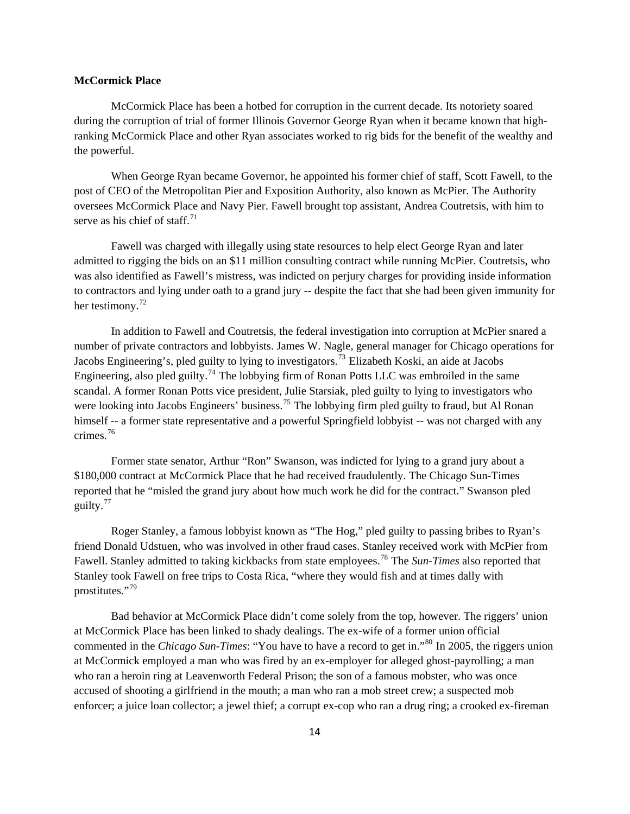#### **McCormick Place**

 McCormick Place has been a hotbed for corruption in the current decade. Its notoriety soared during the corruption of trial of former Illinois Governor George Ryan when it became known that highranking McCormick Place and other Ryan associates worked to rig bids for the benefit of the wealthy and the powerful.

 When George Ryan became Governor, he appointed his former chief of staff, Scott Fawell, to the post of CEO of the Metropolitan Pier and Exposition Authority, also known as McPier. The Authority oversees McCormick Place and Navy Pier. Fawell brought top assistant, Andrea Coutretsis, with him to serve as his chief of staff<sup> $71$ </sup>

 Fawell was charged with illegally using state resources to help elect George Ryan and later admitted to rigging the bids on an \$11 million consulting contract while running McPier. Coutretsis, who was also identified as Fawell's mistress, was indicted on perjury charges for providing inside information to contractors and lying under oath to a grand jury -- despite the fact that she had been given immunity for her testimony.<sup>[72](#page-81-1)</sup>

 In addition to Fawell and Coutretsis, the federal investigation into corruption at McPier snared a number of private contractors and lobbyists. James W. Nagle, general manager for Chicago operations for Jacobs Engineering's, pled guilty to lying to investigators.<sup>[73](#page-81-1)</sup> Elizabeth Koski, an aide at Jacobs Engineering, also pled guilty.<sup>[74](#page-81-1)</sup> The lobbying firm of Ronan Potts LLC was embroiled in the same scandal. A former Ronan Potts vice president, Julie Starsiak, pled guilty to lying to investigators who were looking into Jacobs Engineers' business.<sup>[75](#page-81-1)</sup> The lobbying firm pled guilty to fraud, but Al Ronan himself -- a former state representative and a powerful Springfield lobbyist -- was not charged with any crimes.[76](#page-81-1)

 Former state senator, Arthur "Ron" Swanson, was indicted for lying to a grand jury about a \$180,000 contract at McCormick Place that he had received fraudulently. The Chicago Sun-Times reported that he "misled the grand jury about how much work he did for the contract." Swanson pled guilty.[77](#page-81-1)

 Roger Stanley, a famous lobbyist known as "The Hog," pled guilty to passing bribes to Ryan's friend Donald Udstuen, who was involved in other fraud cases. Stanley received work with McPier from Fawell. Stanley admitted to taking kickbacks from state employees.[78](#page-81-1) The *Sun-Times* also reported that Stanley took Fawell on free trips to Costa Rica, "where they would fish and at times dally with prostitutes."<sup>[79](#page-81-1)</sup>

 Bad behavior at McCormick Place didn't come solely from the top, however. The riggers' union at McCormick Place has been linked to shady dealings. The ex-wife of a former union official commented in the *Chicago Sun-Times*: "You have to have a record to get in."<sup>[80](#page-81-1)</sup> In 2005, the riggers union at McCormick employed a man who was fired by an ex-employer for alleged ghost-payrolling; a man who ran a heroin ring at Leavenworth Federal Prison; the son of a famous mobster, who was once accused of shooting a girlfriend in the mouth; a man who ran a mob street crew; a suspected mob enforcer; a juice loan collector; a jewel thief; a corrupt ex-cop who ran a drug ring; a crooked ex-fireman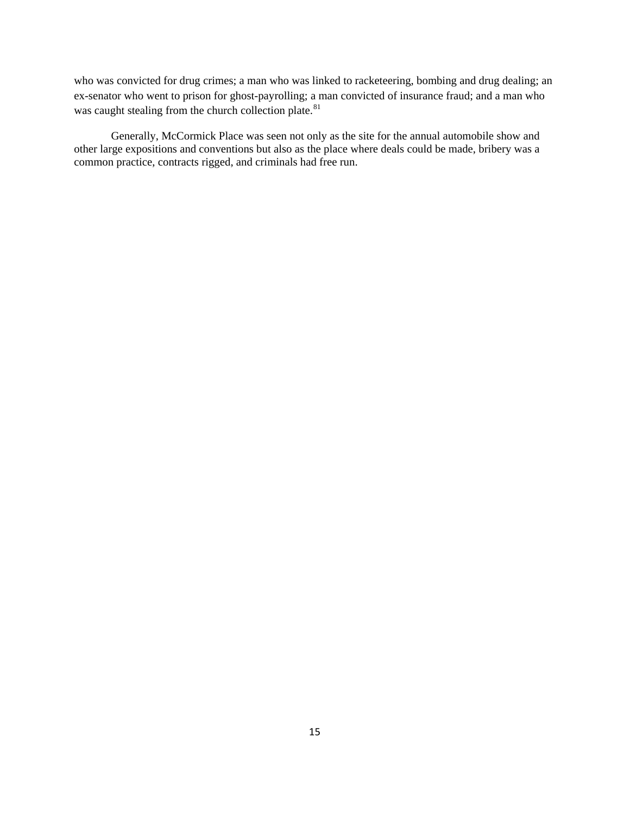who was convicted for drug crimes; a man who was linked to racketeering, bombing and drug dealing; an ex-senator who went to prison for ghost-payrolling; a man convicted of insurance fraud; and a man who was caught stealing from the church collection plate.<sup>[81](#page-81-1)</sup>

Generally, McCormick Place was seen not only as the site for the annual automobile show and other large expositions and conventions but also as the place where deals could be made, bribery was a common practice, contracts rigged, and criminals had free run.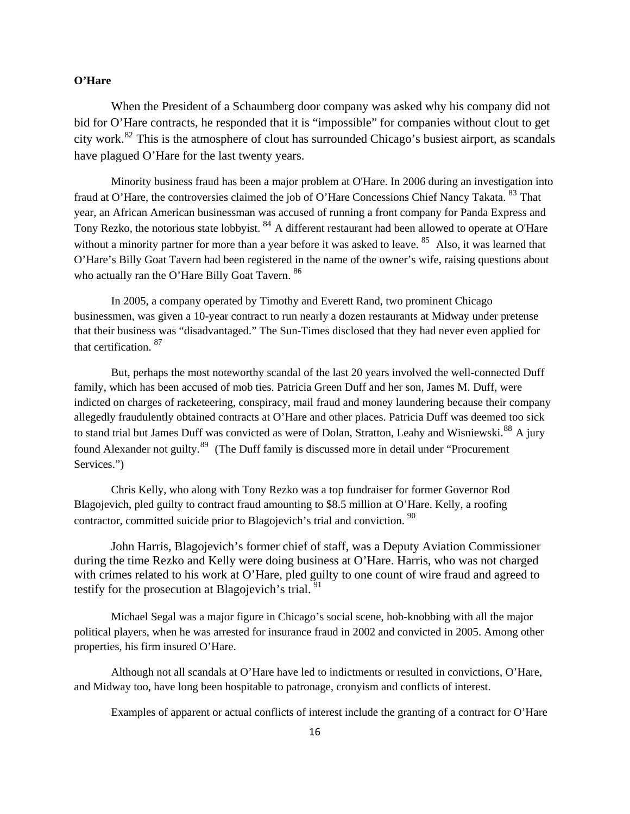# **O'Hare**

When the President of a Schaumberg door company was asked why his company did not bid for O'Hare contracts, he responded that it is "impossible" for companies without clout to get city work.[82](#page-81-1) This is the atmosphere of clout has surrounded Chicago's busiest airport, as scandals have plagued O'Hare for the last twenty years.

Minority business fraud has been a major problem at O'Hare. In 2006 during an investigation into fraud at O'Hare, the controversies claimed the job of O'Hare Concessions Chief Nancy Takata. <sup>[83](#page-81-1)</sup> That year, an African American businessman was accused of running a front company for Panda Express and Tony Rezko, the notorious state lobbyist. <sup>[84](#page-81-1)</sup> A different restaurant had been allowed to operate at O'Hare without a minority partner for more than a year before it was asked to leave. <sup>[85](#page-81-1)</sup> Also, it was learned that O'Hare's Billy Goat Tavern had been registered in the name of the owner's wife, raising questions about who actually ran the O'Hare Billy Goat Tavern.<sup>[86](#page-81-1)</sup>

In 2005, a company operated by Timothy and Everett Rand, two prominent Chicago businessmen, was given a 10-year contract to run nearly a dozen restaurants at Midway under pretense that their business was "disadvantaged." The Sun-Times disclosed that they had never even applied for that certification. [87](#page-81-1)

But, perhaps the most noteworthy scandal of the last 20 years involved the well-connected Duff family, which has been accused of mob ties. Patricia Green Duff and her son, James M. Duff, were indicted on charges of racketeering, conspiracy, mail fraud and money laundering because their company allegedly fraudulently obtained contracts at O'Hare and other places. Patricia Duff was deemed too sick to stand trial but James Duff was convicted as were of Dolan, Stratton, Leahy and Wisniewski.<sup>[88](#page-81-1)</sup> A jury found Alexander not guilty.<sup>[89](#page-81-1)</sup> (The Duff family is discussed more in detail under "Procurement" Services.")

Chris Kelly, who along with Tony Rezko was a top fundraiser for former Governor Rod Blagojevich, pled guilty to contract fraud amounting to \$8.5 million at O'Hare. Kelly, a roofing contractor, committed suicide prior to Blagojevich's trial and conviction.<sup>[90](#page-81-1)</sup>

John Harris, Blagojevich's former chief of staff, was a Deputy Aviation Commissioner during the time Rezko and Kelly were doing business at O'Hare. Harris, who was not charged with crimes related to his work at O'Hare, pled guilty to one count of wire fraud and agreed to testify for the prosecution at Blagojevich's trial. <sup>[91](#page-81-1)</sup>

 Michael Segal was a major figure in Chicago's social scene, hob-knobbing with all the major political players, when he was arrested for insurance fraud in 2002 and convicted in 2005. Among other properties, his firm insured O'Hare.

Although not all scandals at O'Hare have led to indictments or resulted in convictions, O'Hare, and Midway too, have long been hospitable to patronage, cronyism and conflicts of interest.

Examples of apparent or actual conflicts of interest include the granting of a contract for O'Hare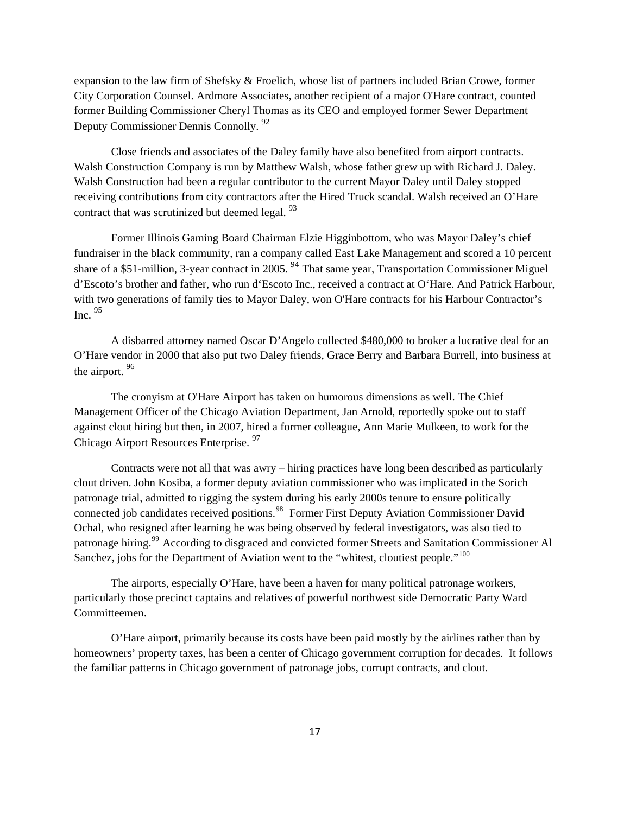expansion to the law firm of Shefsky & Froelich, whose list of partners included Brian Crowe, former City Corporation Counsel. Ardmore Associates, another recipient of a major O'Hare contract, counted former Building Commissioner Cheryl Thomas as its CEO and employed former Sewer Department Deputy Commissioner Dennis Connolly. [92](#page-81-1)

Close friends and associates of the Daley family have also benefited from airport contracts. Walsh Construction Company is run by Matthew Walsh, whose father grew up with Richard J. Daley. Walsh Construction had been a regular contributor to the current Mayor Daley until Daley stopped receiving contributions from city contractors after the Hired Truck scandal. Walsh received an O'Hare contract that was scrutinized but deemed legal. <sup>[93](#page-81-1)</sup>

Former Illinois Gaming Board Chairman Elzie Higginbottom, who was Mayor Daley's chief fundraiser in the black community, ran a company called East Lake Management and scored a 10 percent share of a \$51-million, 3-year contract in 2005.<sup>[94](#page-81-1)</sup> That same year, Transportation Commissioner Miguel d'Escoto's brother and father, who run d'Escoto Inc., received a contract at O'Hare. And Patrick Harbour, with two generations of family ties to Mayor Daley, won O'Hare contracts for his Harbour Contractor's Inc.  $95$ 

A disbarred attorney named Oscar D'Angelo collected \$480,000 to broker a lucrative deal for an O'Hare vendor in 2000 that also put two Daley friends, Grace Berry and Barbara Burrell, into business at the airport. [96](#page-81-1)

The cronyism at O'Hare Airport has taken on humorous dimensions as well. The Chief Management Officer of the Chicago Aviation Department, Jan Arnold, reportedly spoke out to staff against clout hiring but then, in 2007, hired a former colleague, Ann Marie Mulkeen, to work for the Chicago Airport Resources Enterprise. [97](#page-81-1)

Contracts were not all that was awry – hiring practices have long been described as particularly clout driven. John Kosiba, a former deputy aviation commissioner who was implicated in the Sorich patronage trial, admitted to rigging the system during his early 2000s tenure to ensure politically connected job candidates received positions.<sup>[98](#page-81-1)</sup> Former First Deputy Aviation Commissioner David Ochal, who resigned after learning he was being observed by federal investigators, was also tied to patronage hiring.[99](#page-81-1) According to disgraced and convicted former Streets and Sanitation Commissioner Al Sanchez, jobs for the Department of Aviation went to the "whitest, cloutiest people."<sup>[100](#page-81-1)</sup>

The airports, especially O'Hare, have been a haven for many political patronage workers, particularly those precinct captains and relatives of powerful northwest side Democratic Party Ward Committeemen.

O'Hare airport, primarily because its costs have been paid mostly by the airlines rather than by homeowners' property taxes, has been a center of Chicago government corruption for decades. It follows the familiar patterns in Chicago government of patronage jobs, corrupt contracts, and clout.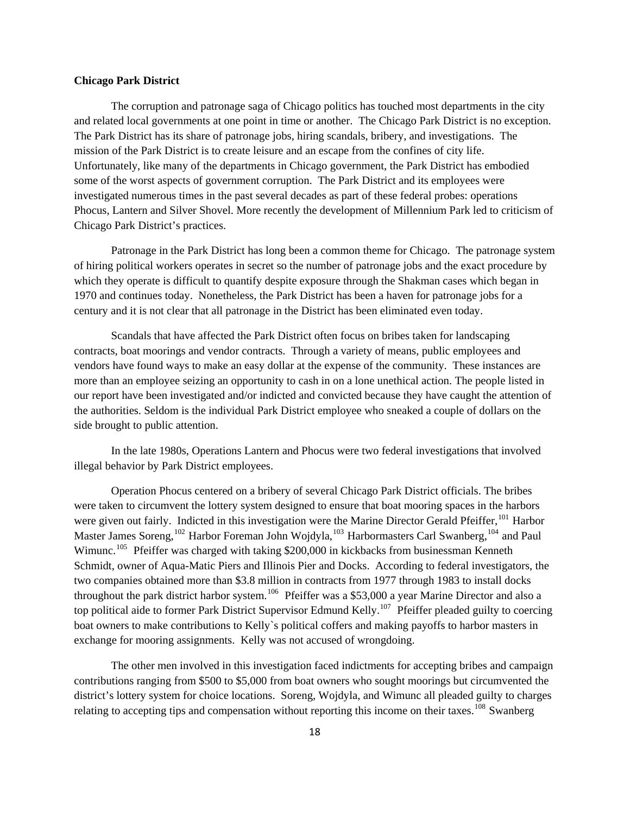#### **Chicago Park District**

 The corruption and patronage saga of Chicago politics has touched most departments in the city and related local governments at one point in time or another. The Chicago Park District is no exception. The Park District has its share of patronage jobs, hiring scandals, bribery, and investigations. The mission of the Park District is to create leisure and an escape from the confines of city life. Unfortunately, like many of the departments in Chicago government, the Park District has embodied some of the worst aspects of government corruption. The Park District and its employees were investigated numerous times in the past several decades as part of these federal probes: operations Phocus, Lantern and Silver Shovel. More recently the development of Millennium Park led to criticism of Chicago Park District's practices.

 Patronage in the Park District has long been a common theme for Chicago. The patronage system of hiring political workers operates in secret so the number of patronage jobs and the exact procedure by which they operate is difficult to quantify despite exposure through the Shakman cases which began in 1970 and continues today. Nonetheless, the Park District has been a haven for patronage jobs for a century and it is not clear that all patronage in the District has been eliminated even today.

 Scandals that have affected the Park District often focus on bribes taken for landscaping contracts, boat moorings and vendor contracts. Through a variety of means, public employees and vendors have found ways to make an easy dollar at the expense of the community. These instances are more than an employee seizing an opportunity to cash in on a lone unethical action. The people listed in our report have been investigated and/or indicted and convicted because they have caught the attention of the authorities. Seldom is the individual Park District employee who sneaked a couple of dollars on the side brought to public attention.

 In the late 1980s, Operations Lantern and Phocus were two federal investigations that involved illegal behavior by Park District employees.

 Operation Phocus centered on a bribery of several Chicago Park District officials. The bribes were taken to circumvent the lottery system designed to ensure that boat mooring spaces in the harbors were given out fairly. Indicted in this investigation were the Marine Director Gerald Pfeiffer, <sup>[101](#page-81-1)</sup> Harbor Master James Soreng,<sup>[102](#page-81-1)</sup> Harbor Foreman John Wojdyla,<sup>[103](#page-81-1)</sup> Harbormasters Carl Swanberg,<sup>[104](#page-81-1)</sup> and Paul Wimunc.<sup>[105](#page-81-1)</sup> Pfeiffer was charged with taking \$200,000 in kickbacks from businessman Kenneth Schmidt, owner of Aqua-Matic Piers and Illinois Pier and Docks. According to federal investigators, the two companies obtained more than \$3.8 million in contracts from 1977 through 1983 to install docks throughout the park district harbor system.[106](#page-81-1) Pfeiffer was a \$53,000 a year Marine Director and also a top political aide to former Park District Supervisor Edmund Kelly.<sup>[107](#page-81-1)</sup> Pfeiffer pleaded guilty to coercing boat owners to make contributions to Kelly`s political coffers and making payoffs to harbor masters in exchange for mooring assignments. Kelly was not accused of wrongdoing.

 The other men involved in this investigation faced indictments for accepting bribes and campaign contributions ranging from \$500 to \$5,000 from boat owners who sought moorings but circumvented the district's lottery system for choice locations. Soreng, Wojdyla, and Wimunc all pleaded guilty to charges relating to accepting tips and compensation without reporting this income on their taxes.<sup>[108](#page-81-1)</sup> Swanberg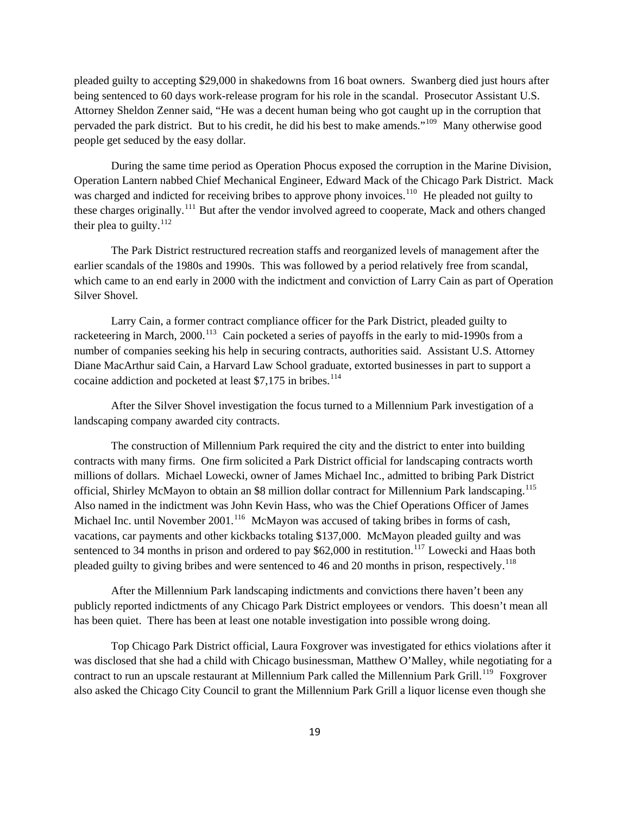pleaded guilty to accepting \$29,000 in shakedowns from 16 boat owners. Swanberg died just hours after being sentenced to 60 days work-release program for his role in the scandal. Prosecutor Assistant U.S. Attorney Sheldon Zenner said, "He was a decent human being who got caught up in the corruption that pervaded the park district. But to his credit, he did his best to make amends."<sup>[109](#page-81-1)</sup> Many otherwise good people get seduced by the easy dollar.

 During the same time period as Operation Phocus exposed the corruption in the Marine Division, Operation Lantern nabbed Chief Mechanical Engineer, Edward Mack of the Chicago Park District. Mack was charged and indicted for receiving bribes to approve phony invoices.<sup>[110](#page-81-1)</sup> He pleaded not guilty to these charges originally.<sup>[111](#page-81-1)</sup> But after the vendor involved agreed to cooperate, Mack and others changed their plea to guilty. $^{112}$  $^{112}$  $^{112}$ 

 The Park District restructured recreation staffs and reorganized levels of management after the earlier scandals of the 1980s and 1990s. This was followed by a period relatively free from scandal, which came to an end early in 2000 with the indictment and conviction of Larry Cain as part of Operation Silver Shovel.

 Larry Cain, a former contract compliance officer for the Park District, pleaded guilty to racketeering in March, 2000.<sup>[113](#page-81-1)</sup> Cain pocketed a series of payoffs in the early to mid-1990s from a number of companies seeking his help in securing contracts, authorities said. Assistant U.S. Attorney Diane MacArthur said Cain, a Harvard Law School graduate, extorted businesses in part to support a cocaine addiction and pocketed at least  $$7,175$  in bribes.<sup>[114](#page-81-1)</sup>

 After the Silver Shovel investigation the focus turned to a Millennium Park investigation of a landscaping company awarded city contracts.

 The construction of Millennium Park required the city and the district to enter into building contracts with many firms. One firm solicited a Park District official for landscaping contracts worth millions of dollars. Michael Lowecki, owner of James Michael Inc., admitted to bribing Park District official, Shirley McMayon to obtain an \$8 million dollar contract for Millennium Park landscaping.<sup>[115](#page-81-1)</sup> Also named in the indictment was John Kevin Hass, who was the Chief Operations Officer of James Michael Inc. until November 2001.<sup>[116](#page-81-1)</sup> McMayon was accused of taking bribes in forms of cash, vacations, car payments and other kickbacks totaling \$137,000. McMayon pleaded guilty and was sentenced to 34 months in prison and ordered to pay  $$62,000$  in restitution.<sup>[117](#page-81-1)</sup> Lowecki and Haas both pleaded guilty to giving bribes and were sentenced to 46 and 20 months in prison, respectively.<sup>[118](#page-81-1)</sup>

 After the Millennium Park landscaping indictments and convictions there haven't been any publicly reported indictments of any Chicago Park District employees or vendors. This doesn't mean all has been quiet. There has been at least one notable investigation into possible wrong doing.

 Top Chicago Park District official, Laura Foxgrover was investigated for ethics violations after it was disclosed that she had a child with Chicago businessman, Matthew O'Malley, while negotiating for a contract to run an upscale restaurant at Millennium Park called the Millennium Park Grill.<sup>[119](#page-81-1)</sup> Foxgrover also asked the Chicago City Council to grant the Millennium Park Grill a liquor license even though she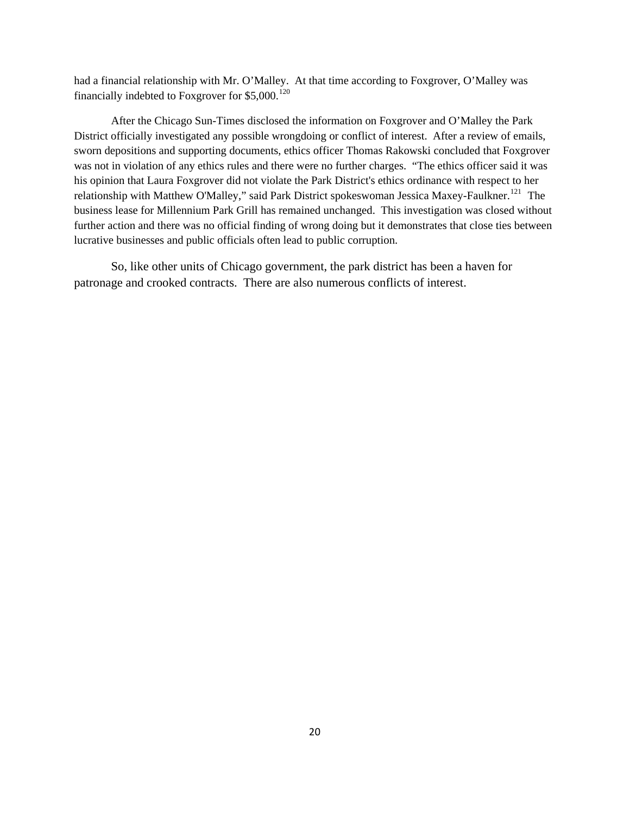had a financial relationship with Mr. O'Malley. At that time according to Foxgrover, O'Malley was financially indebted to Foxgrover for  $$5,000$ .<sup>[120](#page-81-1)</sup>

 After the Chicago Sun-Times disclosed the information on Foxgrover and O'Malley the Park District officially investigated any possible wrongdoing or conflict of interest. After a review of emails, sworn depositions and supporting documents, ethics officer Thomas Rakowski concluded that Foxgrover was not in violation of any ethics rules and there were no further charges. "The ethics officer said it was his opinion that Laura Foxgrover did not violate the Park District's ethics ordinance with respect to her relationship with Matthew O'Malley," said Park District spokeswoman Jessica Maxey-Faulkner.<sup>[121](#page-81-1)</sup> The business lease for Millennium Park Grill has remained unchanged. This investigation was closed without further action and there was no official finding of wrong doing but it demonstrates that close ties between lucrative businesses and public officials often lead to public corruption.

 So, like other units of Chicago government, the park district has been a haven for patronage and crooked contracts. There are also numerous conflicts of interest.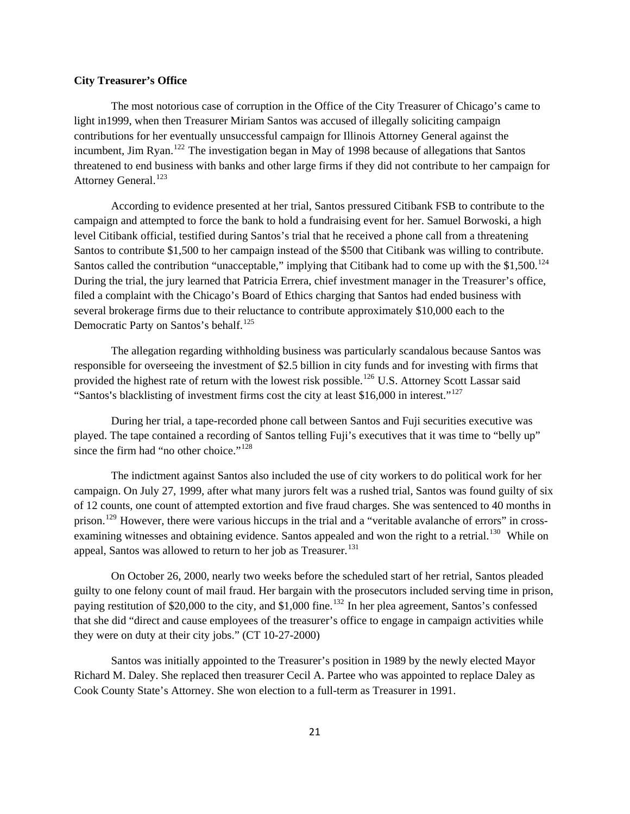#### **City Treasurer's Office**

 The most notorious case of corruption in the Office of the City Treasurer of Chicago's came to light in1999, when then Treasurer Miriam Santos was accused of illegally soliciting campaign contributions for her eventually unsuccessful campaign for Illinois Attorney General against the incumbent, Jim Ryan.<sup>[122](#page-81-1)</sup> The investigation began in May of 1998 because of allegations that Santos threatened to end business with banks and other large firms if they did not contribute to her campaign for Attorney General.<sup>[123](#page-81-1)</sup>

 According to evidence presented at her trial, Santos pressured Citibank FSB to contribute to the campaign and attempted to force the bank to hold a fundraising event for her. Samuel Borwoski, a high level Citibank official, testified during Santos's trial that he received a phone call from a threatening Santos to contribute \$1,500 to her campaign instead of the \$500 that Citibank was willing to contribute. Santos called the contribution "unacceptable," implying that Citibank had to come up with the \$1,500.<sup>[124](#page-81-1)</sup> During the trial, the jury learned that Patricia Errera, chief investment manager in the Treasurer's office, filed a complaint with the Chicago's Board of Ethics charging that Santos had ended business with several brokerage firms due to their reluctance to contribute approximately \$10,000 each to the Democratic Party on Santos's behalf.<sup>[125](#page-81-1)</sup>

 The allegation regarding withholding business was particularly scandalous because Santos was responsible for overseeing the investment of \$2.5 billion in city funds and for investing with firms that provided the highest rate of return with the lowest risk possible.<sup>[126](#page-81-1)</sup> U.S. Attorney Scott Lassar said "Santos**'**s blacklisting of investment firms cost the city at least \$16,000 in interest."[127](#page-81-1)

 During her trial, a tape-recorded phone call between Santos and Fuji securities executive was played. The tape contained a recording of Santos telling Fuji's executives that it was time to "belly up" since the firm had "no other choice."<sup>[128](#page-81-1)</sup>

 The indictment against Santos also included the use of city workers to do political work for her campaign. On July 27, 1999, after what many jurors felt was a rushed trial, Santos was found guilty of six of 12 counts, one count of attempted extortion and five fraud charges. She was sentenced to 40 months in prison.<sup>[129](#page-81-1)</sup> However, there were various hiccups in the trial and a "veritable avalanche of errors" in cross-examining witnesses and obtaining evidence. Santos appealed and won the right to a retrial.<sup>[130](#page-81-1)</sup> While on appeal, Santos was allowed to return to her job as Treasurer.<sup>[131](#page-81-1)</sup>

 On October 26, 2000, nearly two weeks before the scheduled start of her retrial, Santos pleaded guilty to one felony count of mail fraud. Her bargain with the prosecutors included serving time in prison, paying restitution of \$20,000 to the city, and \$1,000 fine.<sup>[132](#page-81-1)</sup> In her plea agreement, Santos's confessed that she did "direct and cause employees of the treasurer's office to engage in campaign activities while they were on duty at their city jobs." (CT 10-27-2000)

 Santos was initially appointed to the Treasurer's position in 1989 by the newly elected Mayor Richard M. Daley. She replaced then treasurer Cecil A. Partee who was appointed to replace Daley as Cook County State's Attorney. She won election to a full-term as Treasurer in 1991.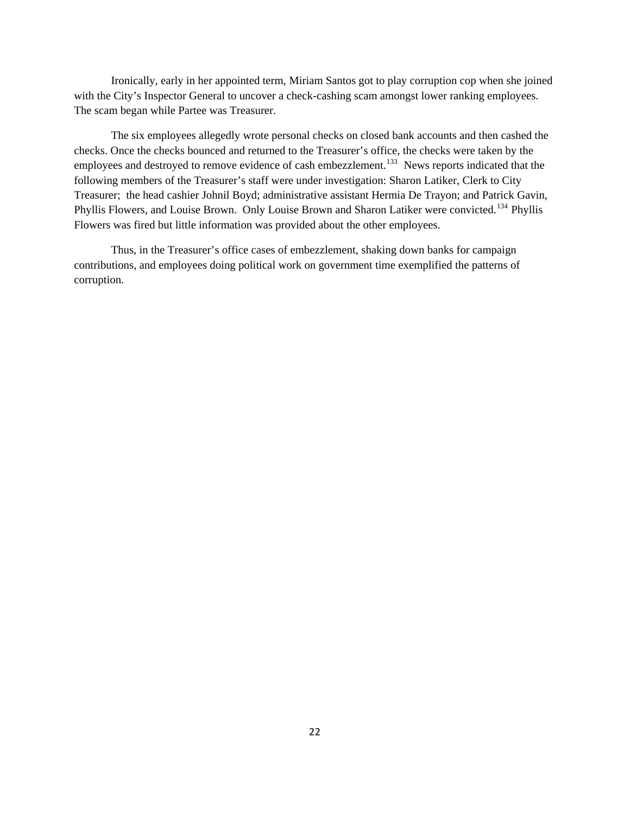Ironically, early in her appointed term, Miriam Santos got to play corruption cop when she joined with the City's Inspector General to uncover a check-cashing scam amongst lower ranking employees. The scam began while Partee was Treasurer.

 The six employees allegedly wrote personal checks on closed bank accounts and then cashed the checks. Once the checks bounced and returned to the Treasurer's office, the checks were taken by the employees and destroyed to remove evidence of cash embezzlement.<sup>[133](#page-81-1)</sup> News reports indicated that the following members of the Treasurer's staff were under investigation: Sharon Latiker, Clerk to City Treasurer; the head cashier Johnil Boyd; administrative assistant Hermia De Trayon; and Patrick Gavin, Phyllis Flowers, and Louise Brown. Only Louise Brown and Sharon Latiker were convicted.<sup>[134](#page-81-1)</sup> Phyllis Flowers was fired but little information was provided about the other employees.

 Thus, in the Treasurer's office cases of embezzlement, shaking down banks for campaign contributions, and employees doing political work on government time exemplified the patterns of corruption.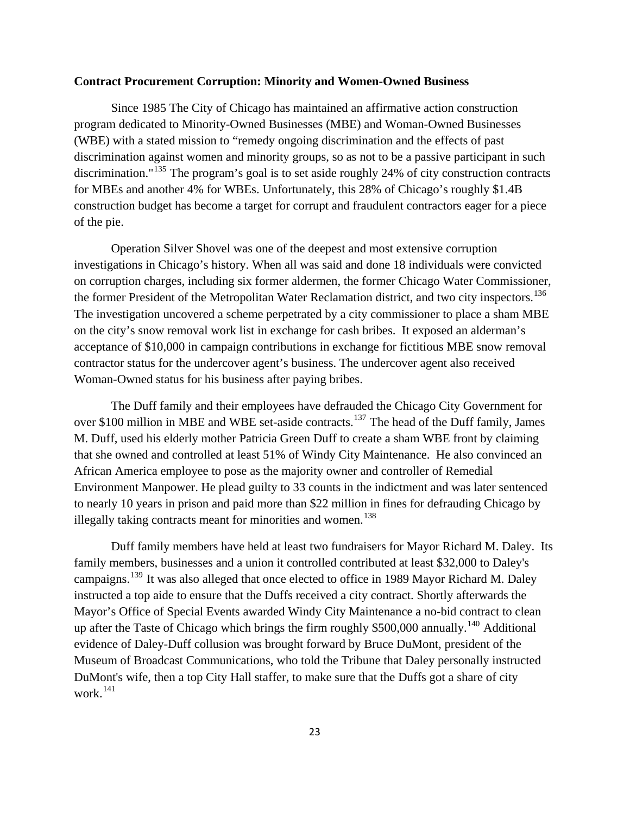### **Contract Procurement Corruption: Minority and Women-Owned Business**

Since 1985 The City of Chicago has maintained an affirmative action construction program dedicated to Minority-Owned Businesses (MBE) and Woman-Owned Businesses (WBE) with a stated mission to "remedy ongoing discrimination and the effects of past discrimination against women and minority groups, so as not to be a passive participant in such discrimination."<sup>[135](#page-81-1)</sup> The program's goal is to set aside roughly 24% of city construction contracts for MBEs and another 4% for WBEs. Unfortunately, this 28% of Chicago's roughly \$1.4B construction budget has become a target for corrupt and fraudulent contractors eager for a piece of the pie.

Operation Silver Shovel was one of the deepest and most extensive corruption investigations in Chicago's history. When all was said and done 18 individuals were convicted on corruption charges, including six former aldermen, the former Chicago Water Commissioner, the former President of the Metropolitan Water Reclamation district, and two city inspectors.<sup>[136](#page-81-1)</sup> The investigation uncovered a scheme perpetrated by a city commissioner to place a sham MBE on the city's snow removal work list in exchange for cash bribes. It exposed an alderman's acceptance of \$10,000 in campaign contributions in exchange for fictitious MBE snow removal contractor status for the undercover agent's business. The undercover agent also received Woman-Owned status for his business after paying bribes.

The Duff family and their employees have defrauded the Chicago City Government for over \$100 million in MBE and WBE set-aside contracts.<sup>[137](#page-81-1)</sup> The head of the Duff family, James M. Duff, used his elderly mother Patricia Green Duff to create a sham WBE front by claiming that she owned and controlled at least 51% of Windy City Maintenance. He also convinced an African America employee to pose as the majority owner and controller of Remedial Environment Manpower. He plead guilty to 33 counts in the indictment and was later sentenced to nearly 10 years in prison and paid more than \$22 million in fines for defrauding Chicago by illegally taking contracts meant for minorities and women.<sup>[138](#page-81-1)</sup>

Duff family members have held at least two fundraisers for Mayor Richard M. Daley. Its family members, businesses and a union it controlled contributed at least \$32,000 to Daley's campaigns.<sup>[139](#page-81-1)</sup> It was also alleged that once elected to office in 1989 Mayor Richard M. Daley instructed a top aide to ensure that the Duffs received a city contract. Shortly afterwards the Mayor's Office of Special Events awarded Windy City Maintenance a no-bid contract to clean up after the Taste of Chicago which brings the firm roughly \$500,000 annually.<sup>[140](#page-81-1)</sup> Additional evidence of Daley-Duff collusion was brought forward by Bruce DuMont, president of the Museum of Broadcast Communications, who told the Tribune that Daley personally instructed DuMont's wife, then a top City Hall staffer, to make sure that the Duffs got a share of city work.<sup>[141](#page-81-1)</sup>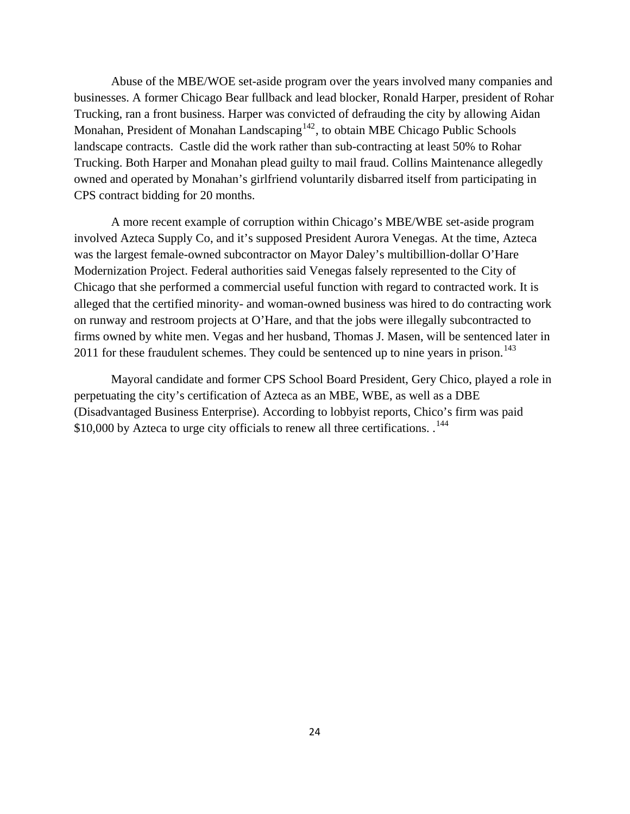Abuse of the MBE/WOE set-aside program over the years involved many companies and businesses. A former Chicago Bear fullback and lead blocker, Ronald Harper, president of Rohar Trucking, ran a front business. Harper was convicted of defrauding the city by allowing Aidan Monahan, President of Monahan Landscaping $142$ , to obtain MBE Chicago Public Schools landscape contracts. Castle did the work rather than sub-contracting at least 50% to Rohar Trucking. Both Harper and Monahan plead guilty to mail fraud. Collins Maintenance allegedly owned and operated by Monahan's girlfriend voluntarily disbarred itself from participating in CPS contract bidding for 20 months.

A more recent example of corruption within Chicago's MBE/WBE set-aside program involved Azteca Supply Co, and it's supposed President Aurora Venegas. At the time, Azteca was the largest female-owned subcontractor on Mayor Daley's multibillion-dollar O'Hare Modernization Project. Federal authorities said Venegas falsely represented to the City of Chicago that she performed a commercial useful function with regard to contracted work. It is alleged that the certified minority- and woman-owned business was hired to do contracting work on runway and restroom projects at O'Hare, and that the jobs were illegally subcontracted to firms owned by white men. Vegas and her husband, Thomas J. Masen, will be sentenced later in 2011 for these fraudulent schemes. They could be sentenced up to nine years in prison.<sup>[143](#page-81-1)</sup>

Mayoral candidate and former CPS School Board President, Gery Chico, played a role in perpetuating the city's certification of Azteca as an MBE, WBE, as well as a DBE (Disadvantaged Business Enterprise). According to lobbyist reports, Chico's firm was paid \$10,000 by Azteca to urge city officials to renew all three certifications.  $144$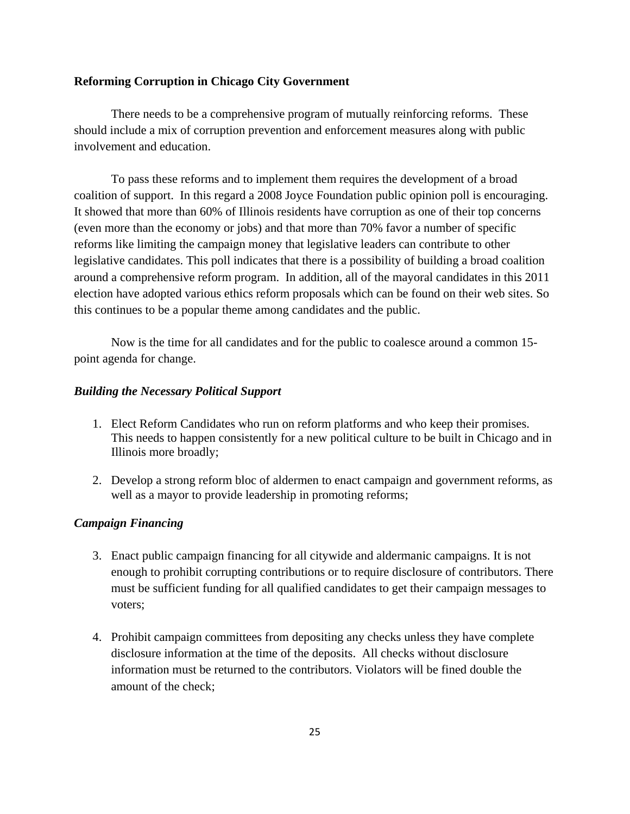# **Reforming Corruption in Chicago City Government**

There needs to be a comprehensive program of mutually reinforcing reforms. These should include a mix of corruption prevention and enforcement measures along with public involvement and education.

 To pass these reforms and to implement them requires the development of a broad coalition of support. In this regard a 2008 Joyce Foundation public opinion poll is encouraging. It showed that more than 60% of Illinois residents have corruption as one of their top concerns (even more than the economy or jobs) and that more than 70% favor a number of specific reforms like limiting the campaign money that legislative leaders can contribute to other legislative candidates. This poll indicates that there is a possibility of building a broad coalition around a comprehensive reform program. In addition, all of the mayoral candidates in this 2011 election have adopted various ethics reform proposals which can be found on their web sites. So this continues to be a popular theme among candidates and the public.

 Now is the time for all candidates and for the public to coalesce around a common 15 point agenda for change.

# *Building the Necessary Political Support*

- 1. Elect Reform Candidates who run on reform platforms and who keep their promises. This needs to happen consistently for a new political culture to be built in Chicago and in Illinois more broadly;
- 2. Develop a strong reform bloc of aldermen to enact campaign and government reforms, as well as a mayor to provide leadership in promoting reforms;

# *Campaign Financing*

- 3. Enact public campaign financing for all citywide and aldermanic campaigns. It is not enough to prohibit corrupting contributions or to require disclosure of contributors. There must be sufficient funding for all qualified candidates to get their campaign messages to voters;
- 4. Prohibit campaign committees from depositing any checks unless they have complete disclosure information at the time of the deposits. All checks without disclosure information must be returned to the contributors. Violators will be fined double the amount of the check;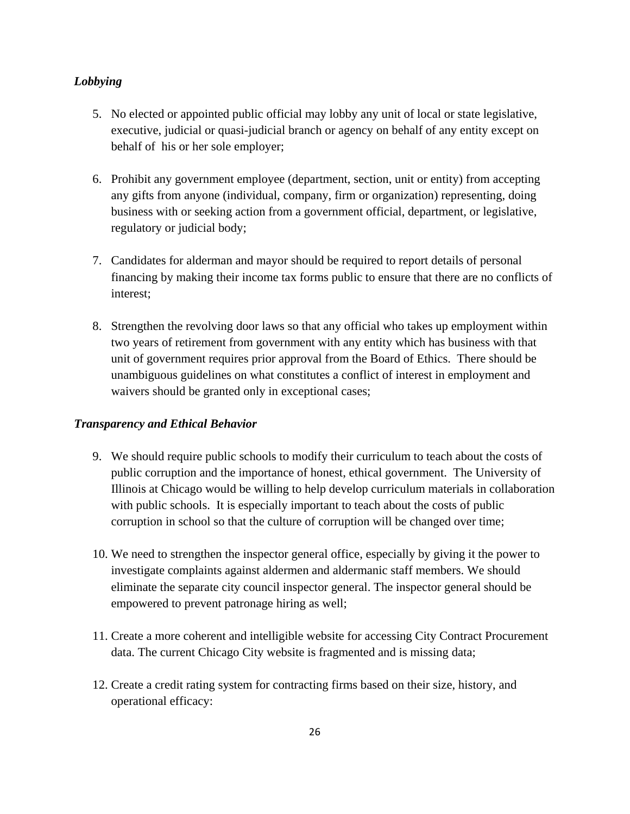# *Lobbying*

- 5. No elected or appointed public official may lobby any unit of local or state legislative, executive, judicial or quasi-judicial branch or agency on behalf of any entity except on behalf of his or her sole employer;
- 6. Prohibit any government employee (department, section, unit or entity) from accepting any gifts from anyone (individual, company, firm or organization) representing, doing business with or seeking action from a government official, department, or legislative, regulatory or judicial body;
- 7. Candidates for alderman and mayor should be required to report details of personal financing by making their income tax forms public to ensure that there are no conflicts of interest;
- 8. Strengthen the revolving door laws so that any official who takes up employment within two years of retirement from government with any entity which has business with that unit of government requires prior approval from the Board of Ethics. There should be unambiguous guidelines on what constitutes a conflict of interest in employment and waivers should be granted only in exceptional cases;

# *Transparency and Ethical Behavior*

- 9. We should require public schools to modify their curriculum to teach about the costs of public corruption and the importance of honest, ethical government. The University of Illinois at Chicago would be willing to help develop curriculum materials in collaboration with public schools. It is especially important to teach about the costs of public corruption in school so that the culture of corruption will be changed over time;
- 10. We need to strengthen the inspector general office, especially by giving it the power to investigate complaints against aldermen and aldermanic staff members. We should eliminate the separate city council inspector general. The inspector general should be empowered to prevent patronage hiring as well;
- 11. Create a more coherent and intelligible website for accessing City Contract Procurement data. The current Chicago City website is fragmented and is missing data;
- 12. Create a credit rating system for contracting firms based on their size, history, and operational efficacy: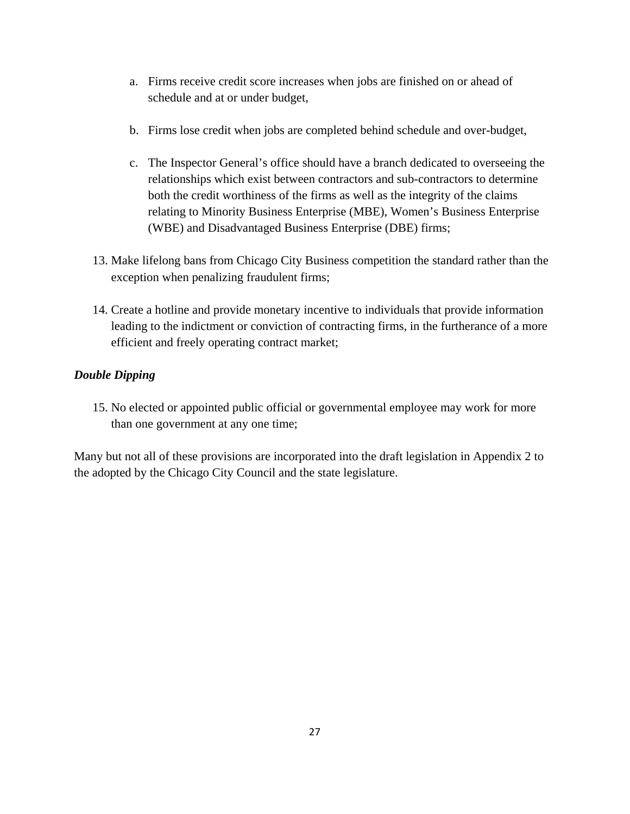- a. Firms receive credit score increases when jobs are finished on or ahead of schedule and at or under budget,
- b. Firms lose credit when jobs are completed behind schedule and over-budget,
- c. The Inspector General's office should have a branch dedicated to overseeing the relationships which exist between contractors and sub-contractors to determine both the credit worthiness of the firms as well as the integrity of the claims relating to Minority Business Enterprise (MBE), Women's Business Enterprise (WBE) and Disadvantaged Business Enterprise (DBE) firms;
- 13. Make lifelong bans from Chicago City Business competition the standard rather than the exception when penalizing fraudulent firms;
- 14. Create a hotline and provide monetary incentive to individuals that provide information leading to the indictment or conviction of contracting firms, in the furtherance of a more efficient and freely operating contract market;

# *Double Dipping*

15. No elected or appointed public official or governmental employee may work for more than one government at any one time;

Many but not all of these provisions are incorporated into the draft legislation in Appendix 2 to the adopted by the Chicago City Council and the state legislature.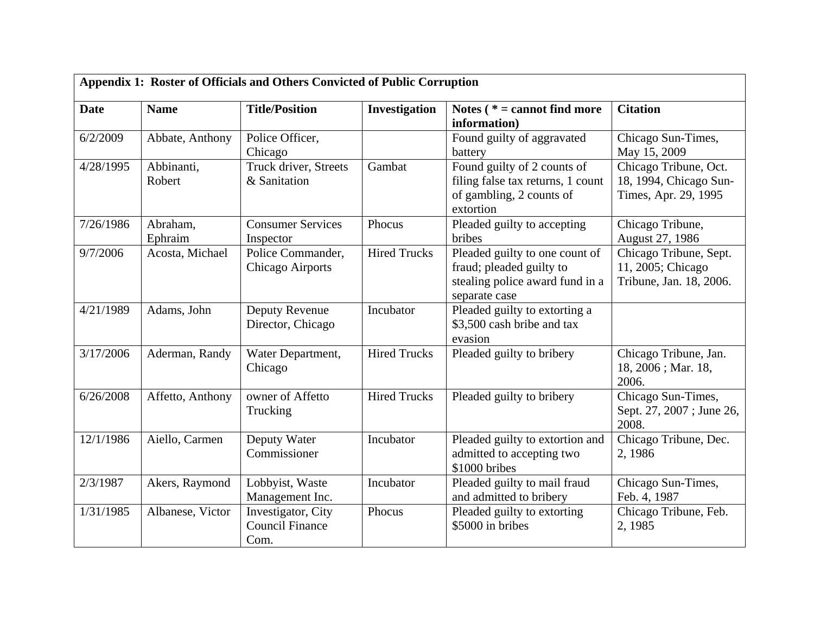| Appendix 1: Roster of Officials and Others Convicted of Public Corruption |                      |                                                      |                     |                                                                                                                |                                                                         |
|---------------------------------------------------------------------------|----------------------|------------------------------------------------------|---------------------|----------------------------------------------------------------------------------------------------------------|-------------------------------------------------------------------------|
| <b>Date</b>                                                               | <b>Name</b>          | <b>Title/Position</b>                                | Investigation       | Notes $(* = cannot find more)$<br>information)                                                                 | <b>Citation</b>                                                         |
| 6/2/2009                                                                  | Abbate, Anthony      | Police Officer,<br>Chicago                           |                     | Found guilty of aggravated<br>battery                                                                          | Chicago Sun-Times,<br>May 15, 2009                                      |
| 4/28/1995                                                                 | Abbinanti,<br>Robert | Truck driver, Streets<br>& Sanitation                | Gambat              | Found guilty of 2 counts of<br>filing false tax returns, 1 count<br>of gambling, 2 counts of<br>extortion      | Chicago Tribune, Oct.<br>18, 1994, Chicago Sun-<br>Times, Apr. 29, 1995 |
| 7/26/1986                                                                 | Abraham,<br>Ephraim  | <b>Consumer Services</b><br>Inspector                | Phocus              | Pleaded guilty to accepting<br>bribes                                                                          | Chicago Tribune,<br>August 27, 1986                                     |
| 9/7/2006                                                                  | Acosta, Michael      | Police Commander,<br><b>Chicago Airports</b>         | <b>Hired Trucks</b> | Pleaded guilty to one count of<br>fraud; pleaded guilty to<br>stealing police award fund in a<br>separate case | Chicago Tribune, Sept.<br>11, 2005; Chicago<br>Tribune, Jan. 18, 2006.  |
| 4/21/1989                                                                 | Adams, John          | Deputy Revenue<br>Director, Chicago                  | Incubator           | Pleaded guilty to extorting a<br>\$3,500 cash bribe and tax<br>evasion                                         |                                                                         |
| 3/17/2006                                                                 | Aderman, Randy       | Water Department,<br>Chicago                         | <b>Hired Trucks</b> | Pleaded guilty to bribery                                                                                      | Chicago Tribune, Jan.<br>18, 2006; Mar. 18,<br>2006.                    |
| 6/26/2008                                                                 | Affetto, Anthony     | owner of Affetto<br>Trucking                         | <b>Hired Trucks</b> | Pleaded guilty to bribery                                                                                      | Chicago Sun-Times,<br>Sept. 27, 2007; June 26,<br>2008.                 |
| 12/1/1986                                                                 | Aiello, Carmen       | Deputy Water<br>Commissioner                         | Incubator           | Pleaded guilty to extortion and<br>admitted to accepting two<br>\$1000 bribes                                  | Chicago Tribune, Dec.<br>2, 1986                                        |
| 2/3/1987                                                                  | Akers, Raymond       | Lobbyist, Waste<br>Management Inc.                   | Incubator           | Pleaded guilty to mail fraud<br>and admitted to bribery                                                        | Chicago Sun-Times,<br>Feb. 4, 1987                                      |
| 1/31/1985                                                                 | Albanese, Victor     | Investigator, City<br><b>Council Finance</b><br>Com. | Phocus              | Pleaded guilty to extorting<br>\$5000 in bribes                                                                | Chicago Tribune, Feb.<br>2, 1985                                        |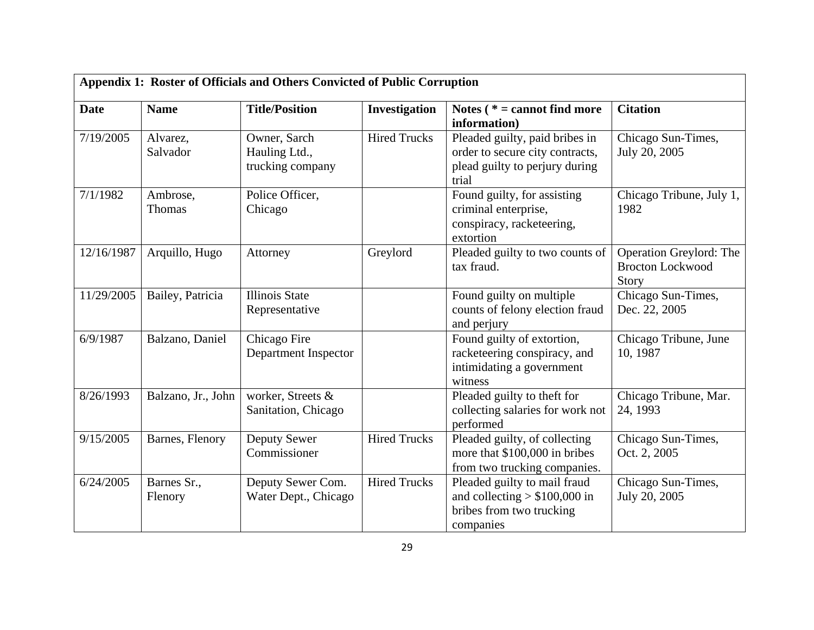| Appendix 1: Roster of Officials and Others Convicted of Public Corruption |                        |                                                   |                     |                                                                                                              |                                                             |
|---------------------------------------------------------------------------|------------------------|---------------------------------------------------|---------------------|--------------------------------------------------------------------------------------------------------------|-------------------------------------------------------------|
| <b>Date</b>                                                               | <b>Name</b>            | <b>Title/Position</b>                             | Investigation       | Notes ( $* =$ cannot find more<br>information)                                                               | <b>Citation</b>                                             |
| 7/19/2005                                                                 | Alvarez,<br>Salvador   | Owner, Sarch<br>Hauling Ltd.,<br>trucking company | <b>Hired Trucks</b> | Pleaded guilty, paid bribes in<br>order to secure city contracts,<br>plead guilty to perjury during<br>trial | Chicago Sun-Times,<br>July 20, 2005                         |
| 7/1/1982                                                                  | Ambrose,<br>Thomas     | Police Officer,<br>Chicago                        |                     | Found guilty, for assisting<br>criminal enterprise,<br>conspiracy, racketeering,<br>extortion                | Chicago Tribune, July 1,<br>1982                            |
| 12/16/1987                                                                | Arquillo, Hugo         | Attorney                                          | Greylord            | Pleaded guilty to two counts of<br>tax fraud.                                                                | Operation Greylord: The<br><b>Brocton Lockwood</b><br>Story |
| 11/29/2005                                                                | Bailey, Patricia       | <b>Illinois</b> State<br>Representative           |                     | Found guilty on multiple<br>counts of felony election fraud<br>and perjury                                   | Chicago Sun-Times,<br>Dec. 22, 2005                         |
| 6/9/1987                                                                  | Balzano, Daniel        | Chicago Fire<br>Department Inspector              |                     | Found guilty of extortion,<br>racketeering conspiracy, and<br>intimidating a government<br>witness           | Chicago Tribune, June<br>10, 1987                           |
| 8/26/1993                                                                 | Balzano, Jr., John     | worker, Streets &<br>Sanitation, Chicago          |                     | Pleaded guilty to theft for<br>collecting salaries for work not<br>performed                                 | Chicago Tribune, Mar.<br>24, 1993                           |
| 9/15/2005                                                                 | Barnes, Flenory        | Deputy Sewer<br>Commissioner                      | <b>Hired Trucks</b> | Pleaded guilty, of collecting<br>more that \$100,000 in bribes<br>from two trucking companies.               | Chicago Sun-Times,<br>Oct. 2, 2005                          |
| 6/24/2005                                                                 | Barnes Sr.,<br>Flenory | Deputy Sewer Com.<br>Water Dept., Chicago         | <b>Hired Trucks</b> | Pleaded guilty to mail fraud<br>and collecting $> $100,000$ in<br>bribes from two trucking<br>companies      | Chicago Sun-Times,<br>July 20, 2005                         |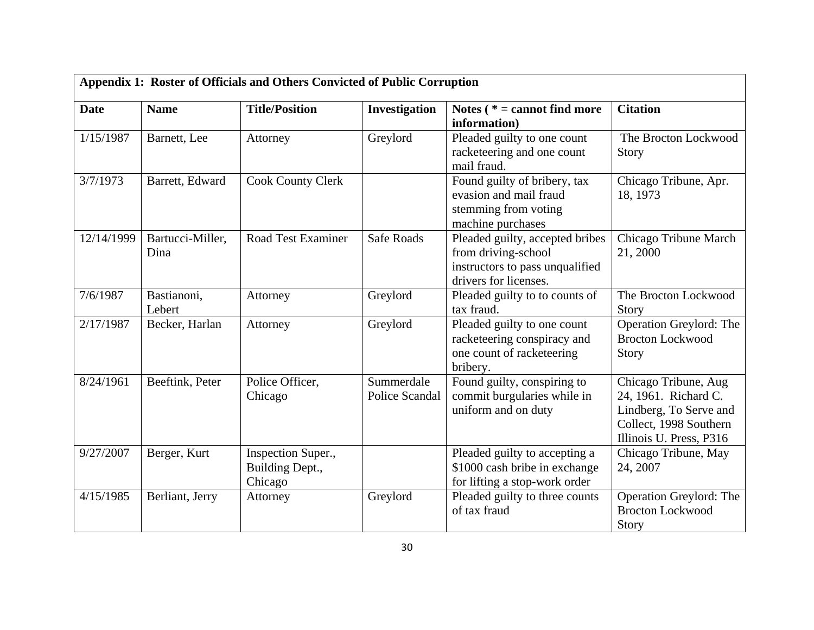| Appendix 1: Roster of Officials and Others Convicted of Public Corruption |                          |                                                  |                              |                                                                                                                    |                                                                                                                             |
|---------------------------------------------------------------------------|--------------------------|--------------------------------------------------|------------------------------|--------------------------------------------------------------------------------------------------------------------|-----------------------------------------------------------------------------------------------------------------------------|
| <b>Date</b>                                                               | <b>Name</b>              | <b>Title/Position</b>                            | Investigation                | Notes $(* = cannot find more)$<br>information)                                                                     | <b>Citation</b>                                                                                                             |
| 1/15/1987                                                                 | Barnett, Lee             | Attorney                                         | Greylord                     | Pleaded guilty to one count<br>racketeering and one count<br>mail fraud.                                           | The Brocton Lockwood<br>Story                                                                                               |
| 3/7/1973                                                                  | Barrett, Edward          | <b>Cook County Clerk</b>                         |                              | Found guilty of bribery, tax<br>evasion and mail fraud<br>stemming from voting<br>machine purchases                | Chicago Tribune, Apr.<br>18, 1973                                                                                           |
| 12/14/1999                                                                | Bartucci-Miller,<br>Dina | <b>Road Test Examiner</b>                        | <b>Safe Roads</b>            | Pleaded guilty, accepted bribes<br>from driving-school<br>instructors to pass unqualified<br>drivers for licenses. | Chicago Tribune March<br>21, 2000                                                                                           |
| 7/6/1987                                                                  | Bastianoni,<br>Lebert    | Attorney                                         | Greylord                     | Pleaded guilty to to counts of<br>tax fraud.                                                                       | The Brocton Lockwood<br>Story                                                                                               |
| 2/17/1987                                                                 | Becker, Harlan           | Attorney                                         | Greylord                     | Pleaded guilty to one count<br>racketeering conspiracy and<br>one count of racketeering<br>bribery.                | Operation Greylord: The<br><b>Brocton Lockwood</b><br>Story                                                                 |
| 8/24/1961                                                                 | Beeftink, Peter          | Police Officer,<br>Chicago                       | Summerdale<br>Police Scandal | Found guilty, conspiring to<br>commit burgularies while in<br>uniform and on duty                                  | Chicago Tribune, Aug<br>24, 1961. Richard C.<br>Lindberg, To Serve and<br>Collect, 1998 Southern<br>Illinois U. Press, P316 |
| 9/27/2007                                                                 | Berger, Kurt             | Inspection Super.,<br>Building Dept.,<br>Chicago |                              | Pleaded guilty to accepting a<br>\$1000 cash bribe in exchange<br>for lifting a stop-work order                    | Chicago Tribune, May<br>24, 2007                                                                                            |
| 4/15/1985                                                                 | Berliant, Jerry          | Attorney                                         | Greylord                     | Pleaded guilty to three counts<br>of tax fraud                                                                     | Operation Greylord: The<br><b>Brocton Lockwood</b><br>Story                                                                 |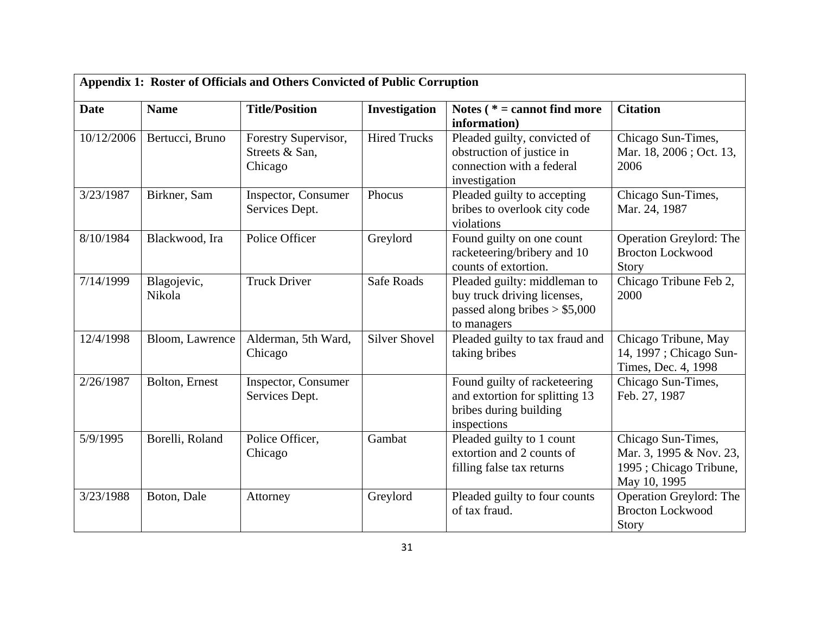| Appendix 1: Roster of Officials and Others Convicted of Public Corruption |                       |                                                   |                      |                                                                                                              |                                                                                         |
|---------------------------------------------------------------------------|-----------------------|---------------------------------------------------|----------------------|--------------------------------------------------------------------------------------------------------------|-----------------------------------------------------------------------------------------|
| <b>Date</b>                                                               | <b>Name</b>           | <b>Title/Position</b>                             | Investigation        | Notes $(* = cannot find more)$<br>information)                                                               | <b>Citation</b>                                                                         |
| 10/12/2006                                                                | Bertucci, Bruno       | Forestry Supervisor,<br>Streets & San,<br>Chicago | <b>Hired Trucks</b>  | Pleaded guilty, convicted of<br>obstruction of justice in<br>connection with a federal<br>investigation      | Chicago Sun-Times,<br>Mar. 18, 2006; Oct. 13,<br>2006                                   |
| 3/23/1987                                                                 | Birkner, Sam          | Inspector, Consumer<br>Services Dept.             | Phocus               | Pleaded guilty to accepting<br>bribes to overlook city code<br>violations                                    | Chicago Sun-Times,<br>Mar. 24, 1987                                                     |
| 8/10/1984                                                                 | Blackwood, Ira        | Police Officer                                    | Greylord             | Found guilty on one count<br>racketeering/bribery and 10<br>counts of extortion.                             | Operation Greylord: The<br><b>Brocton Lockwood</b><br>Story                             |
| 7/14/1999                                                                 | Blagojevic,<br>Nikola | <b>Truck Driver</b>                               | <b>Safe Roads</b>    | Pleaded guilty: middleman to<br>buy truck driving licenses,<br>passed along bribes $> $5,000$<br>to managers | Chicago Tribune Feb 2,<br>2000                                                          |
| 12/4/1998                                                                 | Bloom, Lawrence       | Alderman, 5th Ward,<br>Chicago                    | <b>Silver Shovel</b> | Pleaded guilty to tax fraud and<br>taking bribes                                                             | Chicago Tribune, May<br>14, 1997 ; Chicago Sun-<br>Times, Dec. 4, 1998                  |
| 2/26/1987                                                                 | Bolton, Ernest        | Inspector, Consumer<br>Services Dept.             |                      | Found guilty of racketeering<br>and extortion for splitting 13<br>bribes during building<br>inspections      | Chicago Sun-Times,<br>Feb. 27, 1987                                                     |
| 5/9/1995                                                                  | Borelli, Roland       | Police Officer,<br>Chicago                        | Gambat               | Pleaded guilty to 1 count<br>extortion and 2 counts of<br>filling false tax returns                          | Chicago Sun-Times,<br>Mar. 3, 1995 & Nov. 23,<br>1995; Chicago Tribune,<br>May 10, 1995 |
| 3/23/1988                                                                 | Boton, Dale           | Attorney                                          | Greylord             | Pleaded guilty to four counts<br>of tax fraud.                                                               | Operation Greylord: The<br><b>Brocton Lockwood</b><br>Story                             |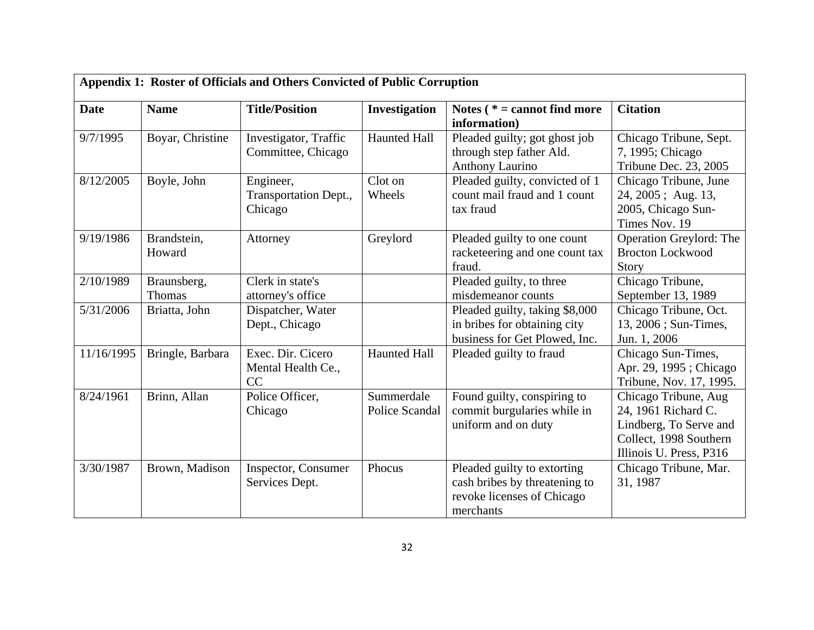| Appendix 1: Roster of Officials and Others Convicted of Public Corruption |                              |                                               |                                     |                                                                                                         |                                                                                                                            |
|---------------------------------------------------------------------------|------------------------------|-----------------------------------------------|-------------------------------------|---------------------------------------------------------------------------------------------------------|----------------------------------------------------------------------------------------------------------------------------|
| <b>Date</b>                                                               | <b>Name</b>                  | <b>Title/Position</b>                         | Investigation                       | Notes ( $* =$ cannot find more<br>information)                                                          | <b>Citation</b>                                                                                                            |
| 9/7/1995                                                                  | Boyar, Christine             | Investigator, Traffic<br>Committee, Chicago   | <b>Haunted Hall</b>                 | Pleaded guilty; got ghost job<br>through step father Ald.<br><b>Anthony Laurino</b>                     | Chicago Tribune, Sept.<br>7, 1995; Chicago<br>Tribune Dec. 23, 2005                                                        |
| 8/12/2005                                                                 | Boyle, John                  | Engineer,<br>Transportation Dept.,<br>Chicago | Clot on<br>Wheels                   | Pleaded guilty, convicted of 1<br>count mail fraud and 1 count<br>tax fraud                             | Chicago Tribune, June<br>24, 2005; Aug. 13,<br>2005, Chicago Sun-<br>Times Nov. 19                                         |
| 9/19/1986                                                                 | Brandstein,<br>Howard        | Attorney                                      | Greylord                            | Pleaded guilty to one count<br>racketeering and one count tax<br>fraud.                                 | Operation Greylord: The<br><b>Brocton Lockwood</b><br>Story                                                                |
| 2/10/1989                                                                 | Braunsberg,<br><b>Thomas</b> | Clerk in state's<br>attorney's office         |                                     | Pleaded guilty, to three<br>misdemeanor counts                                                          | Chicago Tribune,<br>September 13, 1989                                                                                     |
| 5/31/2006                                                                 | Briatta, John                | Dispatcher, Water<br>Dept., Chicago           |                                     | Pleaded guilty, taking \$8,000<br>in bribes for obtaining city<br>business for Get Plowed, Inc.         | Chicago Tribune, Oct.<br>13, 2006; Sun-Times,<br>Jun. 1, 2006                                                              |
| 11/16/1995                                                                | Bringle, Barbara             | Exec. Dir. Cicero<br>Mental Health Ce.,<br>CC | <b>Haunted Hall</b>                 | Pleaded guilty to fraud                                                                                 | Chicago Sun-Times,<br>Apr. 29, 1995; Chicago<br>Tribune, Nov. 17, 1995.                                                    |
| 8/24/1961                                                                 | Brinn, Allan                 | Police Officer,<br>Chicago                    | Summerdale<br><b>Police Scandal</b> | Found guilty, conspiring to<br>commit burgularies while in<br>uniform and on duty                       | Chicago Tribune, Aug<br>24, 1961 Richard C.<br>Lindberg, To Serve and<br>Collect, 1998 Southern<br>Illinois U. Press, P316 |
| 3/30/1987                                                                 | Brown, Madison               | <b>Inspector, Consumer</b><br>Services Dept.  | Phocus                              | Pleaded guilty to extorting<br>cash bribes by threatening to<br>revoke licenses of Chicago<br>merchants | Chicago Tribune, Mar.<br>31, 1987                                                                                          |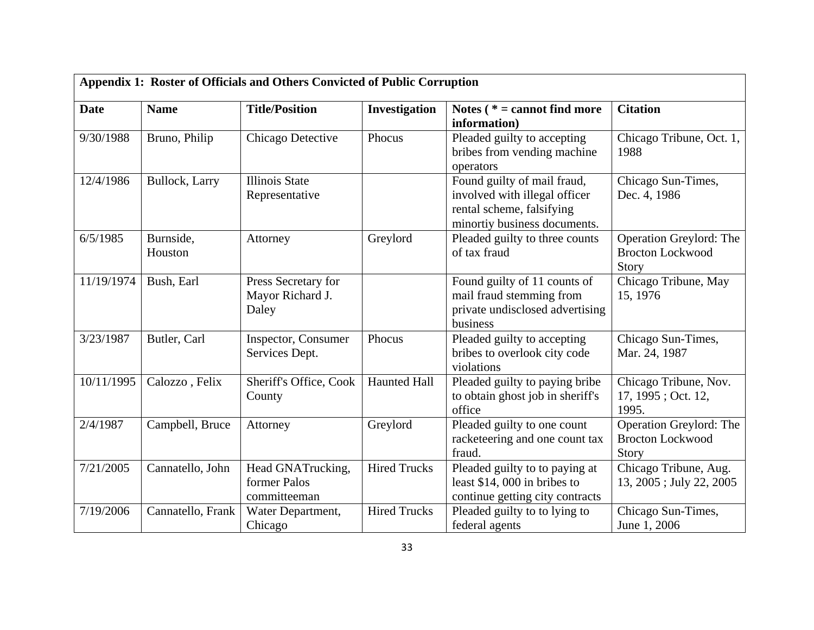| Appendix 1: Roster of Officials and Others Convicted of Public Corruption |                      |                                                   |                     |                                                                                                                           |                                                             |
|---------------------------------------------------------------------------|----------------------|---------------------------------------------------|---------------------|---------------------------------------------------------------------------------------------------------------------------|-------------------------------------------------------------|
| <b>Date</b>                                                               | <b>Name</b>          | <b>Title/Position</b>                             | Investigation       | Notes ( $* =$ cannot find more<br>information)                                                                            | <b>Citation</b>                                             |
| 9/30/1988                                                                 | Bruno, Philip        | Chicago Detective                                 | Phocus              | Pleaded guilty to accepting<br>bribes from vending machine<br>operators                                                   | Chicago Tribune, Oct. 1,<br>1988                            |
| 12/4/1986                                                                 | Bullock, Larry       | <b>Illinois State</b><br>Representative           |                     | Found guilty of mail fraud,<br>involved with illegal officer<br>rental scheme, falsifying<br>minortiy business documents. | Chicago Sun-Times,<br>Dec. 4, 1986                          |
| 6/5/1985                                                                  | Burnside,<br>Houston | Attorney                                          | Greylord            | Pleaded guilty to three counts<br>of tax fraud                                                                            | Operation Greylord: The<br><b>Brocton Lockwood</b><br>Story |
| 11/19/1974                                                                | Bush, Earl           | Press Secretary for<br>Mayor Richard J.<br>Daley  |                     | Found guilty of 11 counts of<br>mail fraud stemming from<br>private undisclosed advertising<br>business                   | Chicago Tribune, May<br>15, 1976                            |
| 3/23/1987                                                                 | Butler, Carl         | Inspector, Consumer<br>Services Dept.             | Phocus              | Pleaded guilty to accepting<br>bribes to overlook city code<br>violations                                                 | Chicago Sun-Times,<br>Mar. 24, 1987                         |
| 10/11/1995                                                                | Calozzo, Felix       | Sheriff's Office, Cook<br>County                  | <b>Haunted Hall</b> | Pleaded guilty to paying bribe<br>to obtain ghost job in sheriff's<br>office                                              | Chicago Tribune, Nov.<br>17, 1995; Oct. 12,<br>1995.        |
| 2/4/1987                                                                  | Campbell, Bruce      | Attorney                                          | Greylord            | Pleaded guilty to one count<br>racketeering and one count tax<br>fraud.                                                   | Operation Greylord: The<br><b>Brocton Lockwood</b><br>Story |
| 7/21/2005                                                                 | Cannatello, John     | Head GNATrucking,<br>former Palos<br>committeeman | <b>Hired Trucks</b> | Pleaded guilty to to paying at<br>least $$14,000$ in bribes to<br>continue getting city contracts                         | Chicago Tribune, Aug.<br>13, 2005; July 22, 2005            |
| 7/19/2006                                                                 | Cannatello, Frank    | Water Department,<br>Chicago                      | <b>Hired Trucks</b> | Pleaded guilty to to lying to<br>federal agents                                                                           | Chicago Sun-Times,<br>June 1, 2006                          |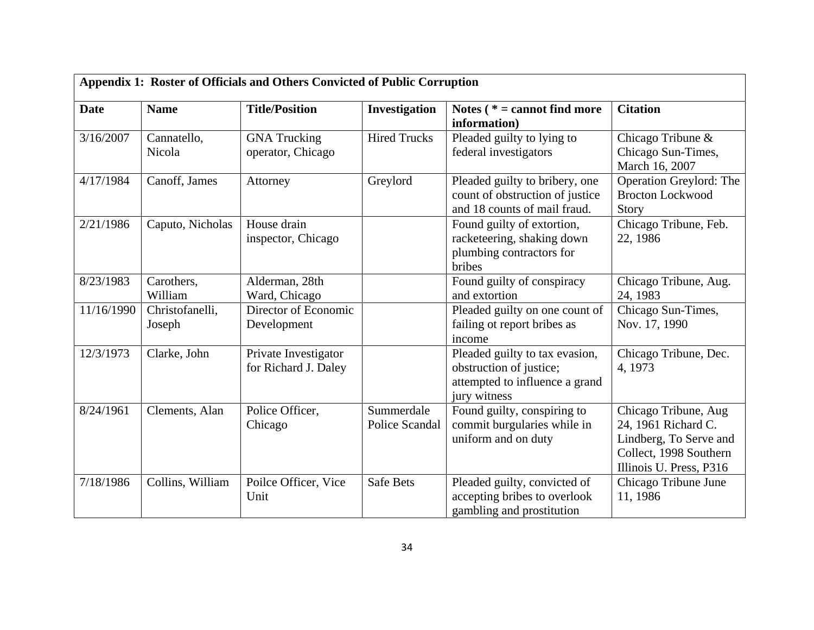| Appendix 1: Roster of Officials and Others Convicted of Public Corruption |                           |                                              |                              |                                                                                                             |                                                                                                                            |
|---------------------------------------------------------------------------|---------------------------|----------------------------------------------|------------------------------|-------------------------------------------------------------------------------------------------------------|----------------------------------------------------------------------------------------------------------------------------|
| <b>Date</b>                                                               | <b>Name</b>               | <b>Title/Position</b>                        | Investigation                | Notes $(* = cannot find more)$<br>information)                                                              | <b>Citation</b>                                                                                                            |
| 3/16/2007                                                                 | Cannatello,<br>Nicola     | <b>GNA</b> Trucking<br>operator, Chicago     | <b>Hired Trucks</b>          | Pleaded guilty to lying to<br>federal investigators                                                         | Chicago Tribune &<br>Chicago Sun-Times,<br>March 16, 2007                                                                  |
| 4/17/1984                                                                 | Canoff, James             | Attorney                                     | Greylord                     | Pleaded guilty to bribery, one<br>count of obstruction of justice<br>and 18 counts of mail fraud.           | Operation Greylord: The<br><b>Brocton Lockwood</b><br>Story                                                                |
| 2/21/1986                                                                 | Caputo, Nicholas          | House drain<br>inspector, Chicago            |                              | Found guilty of extortion,<br>racketeering, shaking down<br>plumbing contractors for<br>bribes              | Chicago Tribune, Feb.<br>22, 1986                                                                                          |
| 8/23/1983                                                                 | Carothers,<br>William     | Alderman, 28th<br>Ward, Chicago              |                              | Found guilty of conspiracy<br>and extortion                                                                 | Chicago Tribune, Aug.<br>24, 1983                                                                                          |
| 11/16/1990                                                                | Christofanelli,<br>Joseph | Director of Economic<br>Development          |                              | Pleaded guilty on one count of<br>failing ot report bribes as<br>income                                     | Chicago Sun-Times,<br>Nov. 17, 1990                                                                                        |
| 12/3/1973                                                                 | Clarke, John              | Private Investigator<br>for Richard J. Daley |                              | Pleaded guilty to tax evasion,<br>obstruction of justice;<br>attempted to influence a grand<br>jury witness | Chicago Tribune, Dec.<br>4, 1973                                                                                           |
| 8/24/1961                                                                 | Clements, Alan            | Police Officer,<br>Chicago                   | Summerdale<br>Police Scandal | Found guilty, conspiring to<br>commit burgularies while in<br>uniform and on duty                           | Chicago Tribune, Aug<br>24, 1961 Richard C.<br>Lindberg, To Serve and<br>Collect, 1998 Southern<br>Illinois U. Press, P316 |
| 7/18/1986                                                                 | Collins, William          | Poilce Officer, Vice<br>Unit                 | <b>Safe Bets</b>             | Pleaded guilty, convicted of<br>accepting bribes to overlook<br>gambling and prostitution                   | Chicago Tribune June<br>11, 1986                                                                                           |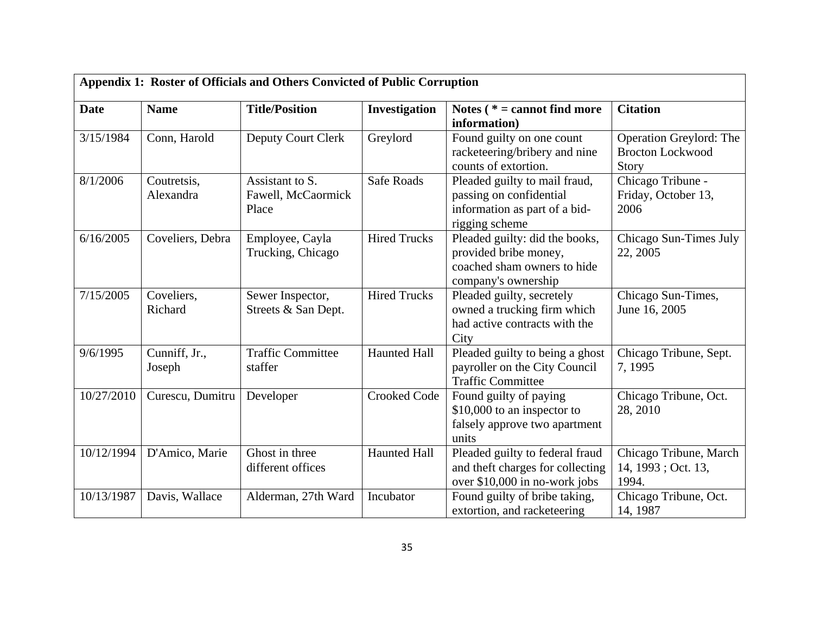| Appendix 1: Roster of Officials and Others Convicted of Public Corruption |                          |                                                |                     |                                                                                                               |                                                             |
|---------------------------------------------------------------------------|--------------------------|------------------------------------------------|---------------------|---------------------------------------------------------------------------------------------------------------|-------------------------------------------------------------|
| <b>Date</b>                                                               | <b>Name</b>              | <b>Title/Position</b>                          | Investigation       | Notes ( $* =$ cannot find more<br>information)                                                                | <b>Citation</b>                                             |
| 3/15/1984                                                                 | Conn, Harold             | <b>Deputy Court Clerk</b>                      | Greylord            | Found guilty on one count<br>racketeering/bribery and nine<br>counts of extortion.                            | Operation Greylord: The<br><b>Brocton Lockwood</b><br>Story |
| 8/1/2006                                                                  | Coutretsis,<br>Alexandra | Assistant to S.<br>Fawell, McCaormick<br>Place | Safe Roads          | Pleaded guilty to mail fraud,<br>passing on confidential<br>information as part of a bid-<br>rigging scheme   | Chicago Tribune -<br>Friday, October 13,<br>2006            |
| 6/16/2005                                                                 | Coveliers, Debra         | Employee, Cayla<br>Trucking, Chicago           | <b>Hired Trucks</b> | Pleaded guilty: did the books,<br>provided bribe money,<br>coached sham owners to hide<br>company's ownership | Chicago Sun-Times July<br>22, 2005                          |
| 7/15/2005                                                                 | Coveliers,<br>Richard    | Sewer Inspector,<br>Streets & San Dept.        | <b>Hired Trucks</b> | Pleaded guilty, secretely<br>owned a trucking firm which<br>had active contracts with the<br>City             | Chicago Sun-Times,<br>June 16, 2005                         |
| 9/6/1995                                                                  | Cunniff, Jr.,<br>Joseph  | <b>Traffic Committee</b><br>staffer            | <b>Haunted Hall</b> | Pleaded guilty to being a ghost<br>payroller on the City Council<br><b>Traffic Committee</b>                  | Chicago Tribune, Sept.<br>7, 1995                           |
| 10/27/2010                                                                | Curescu, Dumitru         | Developer                                      | <b>Crooked Code</b> | Found guilty of paying<br>\$10,000 to an inspector to<br>falsely approve two apartment<br>units               | Chicago Tribune, Oct.<br>28, 2010                           |
| 10/12/1994                                                                | D'Amico, Marie           | Ghost in three<br>different offices            | <b>Haunted Hall</b> | Pleaded guilty to federal fraud<br>and theft charges for collecting<br>over \$10,000 in no-work jobs          | Chicago Tribune, March<br>14, 1993; Oct. 13,<br>1994.       |
| 10/13/1987                                                                | Davis, Wallace           | Alderman, 27th Ward                            | Incubator           | Found guilty of bribe taking,<br>extortion, and racketeering                                                  | Chicago Tribune, Oct.<br>14, 1987                           |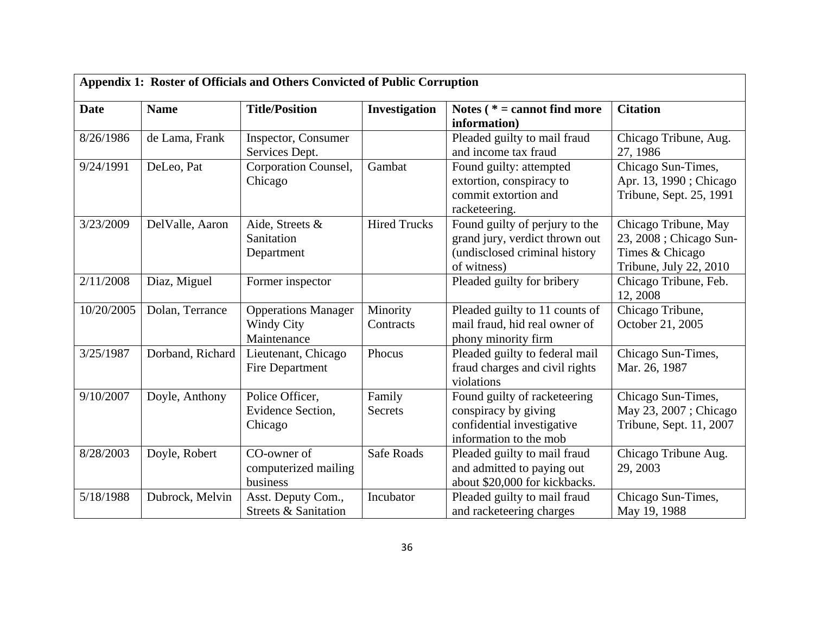| Appendix 1: Roster of Officials and Others Convicted of Public Corruption |                  |                                                                |                          |                                                                                                                  |                                                                                              |
|---------------------------------------------------------------------------|------------------|----------------------------------------------------------------|--------------------------|------------------------------------------------------------------------------------------------------------------|----------------------------------------------------------------------------------------------|
| <b>Date</b>                                                               | <b>Name</b>      | <b>Title/Position</b>                                          | Investigation            | Notes ( $* =$ cannot find more<br>information)                                                                   | <b>Citation</b>                                                                              |
| 8/26/1986                                                                 | de Lama, Frank   | Inspector, Consumer<br>Services Dept.                          |                          | Pleaded guilty to mail fraud<br>and income tax fraud                                                             | Chicago Tribune, Aug.<br>27, 1986                                                            |
| 9/24/1991                                                                 | DeLeo, Pat       | Corporation Counsel,<br>Chicago                                | Gambat                   | Found guilty: attempted<br>extortion, conspiracy to<br>commit extortion and<br>racketeering.                     | Chicago Sun-Times,<br>Apr. 13, 1990; Chicago<br>Tribune, Sept. 25, 1991                      |
| 3/23/2009                                                                 | DelValle, Aaron  | Aide, Streets &<br>Sanitation<br>Department                    | <b>Hired Trucks</b>      | Found guilty of perjury to the<br>grand jury, verdict thrown out<br>(undisclosed criminal history<br>of witness) | Chicago Tribune, May<br>23, 2008 ; Chicago Sun-<br>Times & Chicago<br>Tribune, July 22, 2010 |
| 2/11/2008                                                                 | Diaz, Miguel     | Former inspector                                               |                          | Pleaded guilty for bribery                                                                                       | Chicago Tribune, Feb.<br>12, 2008                                                            |
| 10/20/2005                                                                | Dolan, Terrance  | <b>Opperations Manager</b><br><b>Windy City</b><br>Maintenance | Minority<br>Contracts    | Pleaded guilty to 11 counts of<br>mail fraud, hid real owner of<br>phony minority firm                           | Chicago Tribune,<br>October 21, 2005                                                         |
| 3/25/1987                                                                 | Dorband, Richard | Lieutenant, Chicago<br>Fire Department                         | Phocus                   | Pleaded guilty to federal mail<br>fraud charges and civil rights<br>violations                                   | Chicago Sun-Times,<br>Mar. 26, 1987                                                          |
| 9/10/2007                                                                 | Doyle, Anthony   | Police Officer,<br>Evidence Section,<br>Chicago                | Family<br><b>Secrets</b> | Found guilty of racketeering<br>conspiracy by giving<br>confidential investigative<br>information to the mob     | Chicago Sun-Times,<br>May 23, 2007; Chicago<br>Tribune, Sept. 11, 2007                       |
| 8/28/2003                                                                 | Doyle, Robert    | CO-owner of<br>computerized mailing<br>business                | Safe Roads               | Pleaded guilty to mail fraud<br>and admitted to paying out<br>about \$20,000 for kickbacks.                      | Chicago Tribune Aug.<br>29, 2003                                                             |
| 5/18/1988                                                                 | Dubrock, Melvin  | Asst. Deputy Com.,<br>Streets & Sanitation                     | Incubator                | Pleaded guilty to mail fraud<br>and racketeering charges                                                         | Chicago Sun-Times,<br>May 19, 1988                                                           |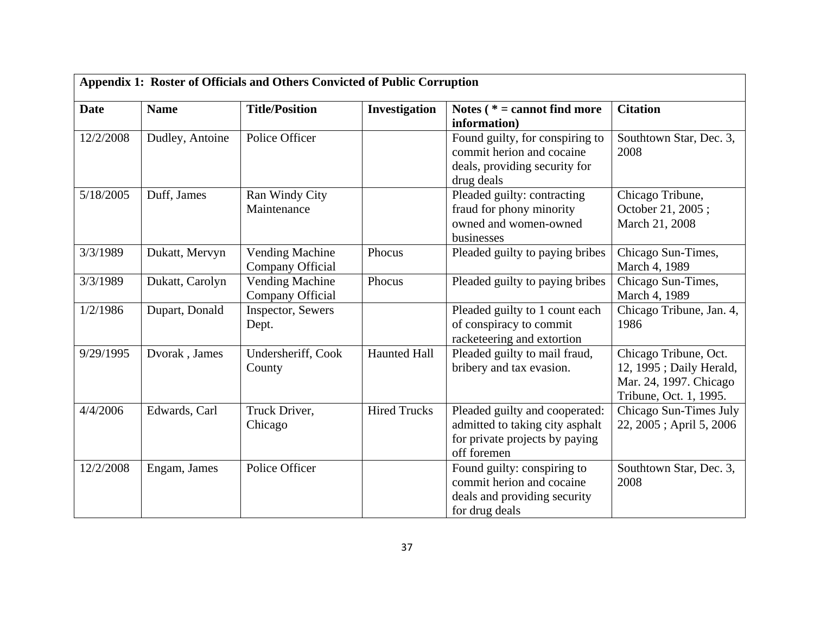| Appendix 1: Roster of Officials and Others Convicted of Public Corruption |                 |                                            |                     |                                                                                                                    |                                                                                                      |  |
|---------------------------------------------------------------------------|-----------------|--------------------------------------------|---------------------|--------------------------------------------------------------------------------------------------------------------|------------------------------------------------------------------------------------------------------|--|
| <b>Date</b>                                                               | <b>Name</b>     | <b>Title/Position</b>                      | Investigation       | Notes ( $* =$ cannot find more<br>information)                                                                     | <b>Citation</b>                                                                                      |  |
| 12/2/2008                                                                 | Dudley, Antoine | Police Officer                             |                     | Found guilty, for conspiring to<br>commit herion and cocaine<br>deals, providing security for<br>drug deals        | Southtown Star, Dec. 3,<br>2008                                                                      |  |
| 5/18/2005                                                                 | Duff, James     | Ran Windy City<br>Maintenance              |                     | Pleaded guilty: contracting<br>fraud for phony minority<br>owned and women-owned<br>businesses                     | Chicago Tribune,<br>October 21, 2005;<br>March 21, 2008                                              |  |
| 3/3/1989                                                                  | Dukatt, Mervyn  | Vending Machine<br>Company Official        | Phocus              | Pleaded guilty to paying bribes                                                                                    | Chicago Sun-Times,<br>March 4, 1989                                                                  |  |
| 3/3/1989                                                                  | Dukatt, Carolyn | <b>Vending Machine</b><br>Company Official | Phocus              | Pleaded guilty to paying bribes                                                                                    | Chicago Sun-Times,<br>March 4, 1989                                                                  |  |
| 1/2/1986                                                                  | Dupart, Donald  | <b>Inspector, Sewers</b><br>Dept.          |                     | Pleaded guilty to 1 count each<br>of conspiracy to commit<br>racketeering and extortion                            | Chicago Tribune, Jan. 4,<br>1986                                                                     |  |
| 9/29/1995                                                                 | Dvorak, James   | Undersheriff, Cook<br>County               | <b>Haunted Hall</b> | Pleaded guilty to mail fraud,<br>bribery and tax evasion.                                                          | Chicago Tribune, Oct.<br>12, 1995; Daily Herald,<br>Mar. 24, 1997. Chicago<br>Tribune, Oct. 1, 1995. |  |
| 4/4/2006                                                                  | Edwards, Carl   | Truck Driver,<br>Chicago                   | <b>Hired Trucks</b> | Pleaded guilty and cooperated:<br>admitted to taking city asphalt<br>for private projects by paying<br>off foremen | Chicago Sun-Times July<br>22, 2005; April 5, 2006                                                    |  |
| 12/2/2008                                                                 | Engam, James    | Police Officer                             |                     | Found guilty: conspiring to<br>commit herion and cocaine<br>deals and providing security<br>for drug deals         | Southtown Star, Dec. 3,<br>2008                                                                      |  |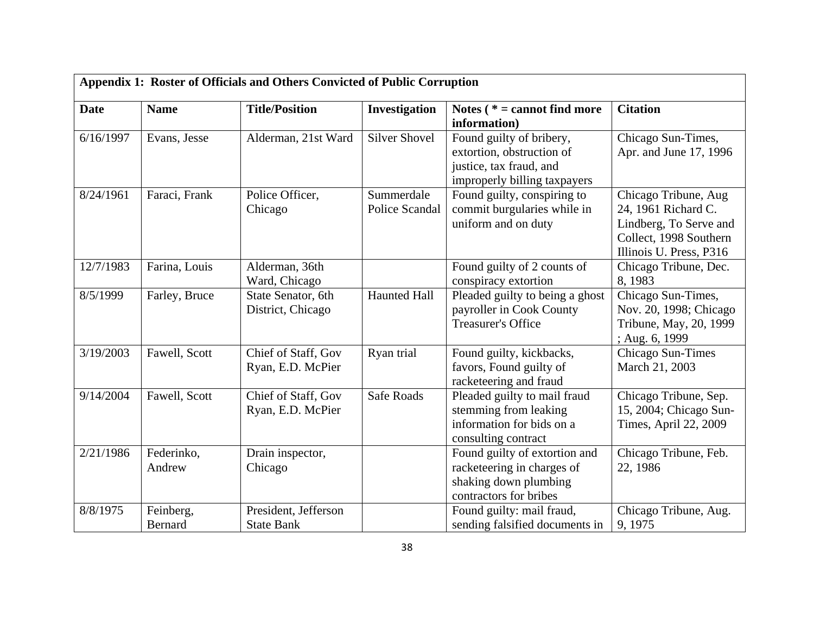| Appendix 1: Roster of Officials and Others Convicted of Public Corruption |                      |                                           |                              |                                                                                                                  |                                                                                                                            |  |  |
|---------------------------------------------------------------------------|----------------------|-------------------------------------------|------------------------------|------------------------------------------------------------------------------------------------------------------|----------------------------------------------------------------------------------------------------------------------------|--|--|
| <b>Date</b>                                                               | <b>Name</b>          | <b>Title/Position</b>                     | Investigation                | Notes ( $* =$ cannot find more<br>information)                                                                   | <b>Citation</b>                                                                                                            |  |  |
| 6/16/1997                                                                 | Evans, Jesse         | Alderman, 21st Ward                       | <b>Silver Shovel</b>         | Found guilty of bribery,<br>extortion, obstruction of<br>justice, tax fraud, and<br>improperly billing taxpayers | Chicago Sun-Times,<br>Apr. and June 17, 1996                                                                               |  |  |
| 8/24/1961                                                                 | Faraci, Frank        | Police Officer,<br>Chicago                | Summerdale<br>Police Scandal | Found guilty, conspiring to<br>commit burgularies while in<br>uniform and on duty                                | Chicago Tribune, Aug<br>24, 1961 Richard C.<br>Lindberg, To Serve and<br>Collect, 1998 Southern<br>Illinois U. Press, P316 |  |  |
| 12/7/1983                                                                 | Farina, Louis        | Alderman, 36th<br>Ward, Chicago           |                              | Found guilty of 2 counts of<br>conspiracy extortion                                                              | Chicago Tribune, Dec.<br>8, 1983                                                                                           |  |  |
| 8/5/1999                                                                  | Farley, Bruce        | State Senator, 6th<br>District, Chicago   | <b>Haunted Hall</b>          | Pleaded guilty to being a ghost<br>payroller in Cook County<br><b>Treasurer's Office</b>                         | Chicago Sun-Times,<br>Nov. 20, 1998; Chicago<br>Tribune, May, 20, 1999<br>; Aug. 6, 1999                                   |  |  |
| 3/19/2003                                                                 | Fawell, Scott        | Chief of Staff, Gov<br>Ryan, E.D. McPier  | Ryan trial                   | Found guilty, kickbacks,<br>favors, Found guilty of<br>racketeering and fraud                                    | Chicago Sun-Times<br>March 21, 2003                                                                                        |  |  |
| 9/14/2004                                                                 | Fawell, Scott        | Chief of Staff, Gov<br>Ryan, E.D. McPier  | <b>Safe Roads</b>            | Pleaded guilty to mail fraud<br>stemming from leaking<br>information for bids on a<br>consulting contract        | Chicago Tribune, Sep.<br>15, 2004; Chicago Sun-<br>Times, April 22, 2009                                                   |  |  |
| 2/21/1986                                                                 | Federinko,<br>Andrew | Drain inspector,<br>Chicago               |                              | Found guilty of extortion and<br>racketeering in charges of<br>shaking down plumbing<br>contractors for bribes   | Chicago Tribune, Feb.<br>22, 1986                                                                                          |  |  |
| 8/8/1975                                                                  | Feinberg,<br>Bernard | President, Jefferson<br><b>State Bank</b> |                              | Found guilty: mail fraud,<br>sending falsified documents in                                                      | Chicago Tribune, Aug.<br>9, 1975                                                                                           |  |  |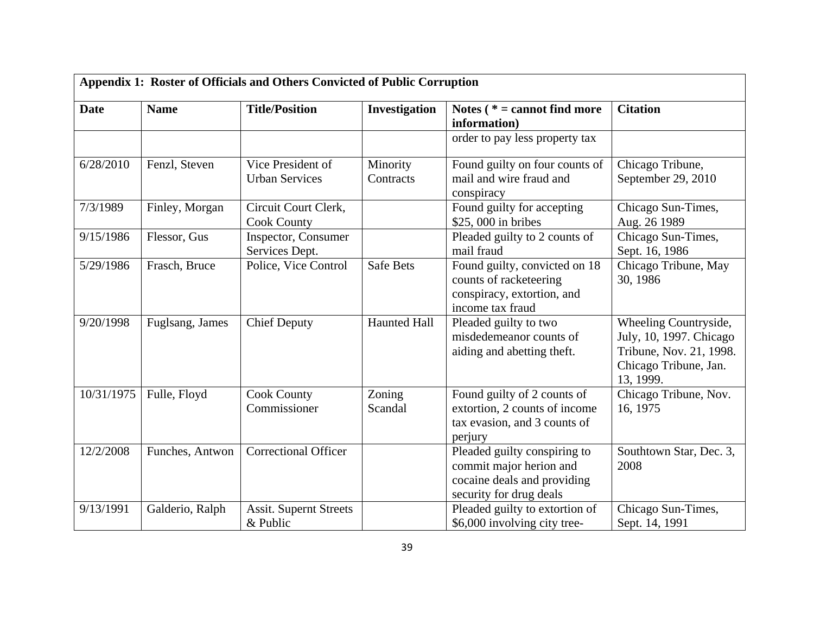|             | Appendix 1: Roster of Officials and Others Convicted of Public Corruption |                                            |                       |                                                                                                                   |                                                                                                                   |  |  |
|-------------|---------------------------------------------------------------------------|--------------------------------------------|-----------------------|-------------------------------------------------------------------------------------------------------------------|-------------------------------------------------------------------------------------------------------------------|--|--|
| <b>Date</b> | <b>Name</b>                                                               | <b>Title/Position</b>                      | Investigation         | Notes $(* = cannot find more)$<br>information)                                                                    | <b>Citation</b>                                                                                                   |  |  |
|             |                                                                           |                                            |                       | order to pay less property tax                                                                                    |                                                                                                                   |  |  |
| 6/28/2010   | Fenzl, Steven                                                             | Vice President of<br><b>Urban Services</b> | Minority<br>Contracts | Found guilty on four counts of<br>mail and wire fraud and<br>conspiracy                                           | Chicago Tribune,<br>September 29, 2010                                                                            |  |  |
| 7/3/1989    | Finley, Morgan                                                            | Circuit Court Clerk,<br><b>Cook County</b> |                       | Found guilty for accepting<br>\$25,000 in bribes                                                                  | Chicago Sun-Times,<br>Aug. 26 1989                                                                                |  |  |
| 9/15/1986   | Flessor, Gus                                                              | Inspector, Consumer<br>Services Dept.      |                       | Pleaded guilty to 2 counts of<br>mail fraud                                                                       | Chicago Sun-Times,<br>Sept. 16, 1986                                                                              |  |  |
| 5/29/1986   | Frasch, Bruce                                                             | Police, Vice Control                       | Safe Bets             | Found guilty, convicted on 18<br>counts of racketeering<br>conspiracy, extortion, and<br>income tax fraud         | Chicago Tribune, May<br>30, 1986                                                                                  |  |  |
| 9/20/1998   | Fuglsang, James                                                           | <b>Chief Deputy</b>                        | <b>Haunted Hall</b>   | Pleaded guilty to two<br>misdedemeanor counts of<br>aiding and abetting theft.                                    | Wheeling Countryside,<br>July, 10, 1997. Chicago<br>Tribune, Nov. 21, 1998.<br>Chicago Tribune, Jan.<br>13, 1999. |  |  |
| 10/31/1975  | Fulle, Floyd                                                              | <b>Cook County</b><br>Commissioner         | Zoning<br>Scandal     | Found guilty of 2 counts of<br>extortion, 2 counts of income<br>tax evasion, and 3 counts of<br>perjury           | Chicago Tribune, Nov.<br>16, 1975                                                                                 |  |  |
| 12/2/2008   | Funches, Antwon                                                           | <b>Correctional Officer</b>                |                       | Pleaded guilty conspiring to<br>commit major herion and<br>cocaine deals and providing<br>security for drug deals | Southtown Star, Dec. 3,<br>2008                                                                                   |  |  |
| 9/13/1991   | Galderio, Ralph                                                           | <b>Assit. Supernt Streets</b><br>& Public  |                       | Pleaded guilty to extortion of<br>\$6,000 involving city tree-                                                    | Chicago Sun-Times,<br>Sept. 14, 1991                                                                              |  |  |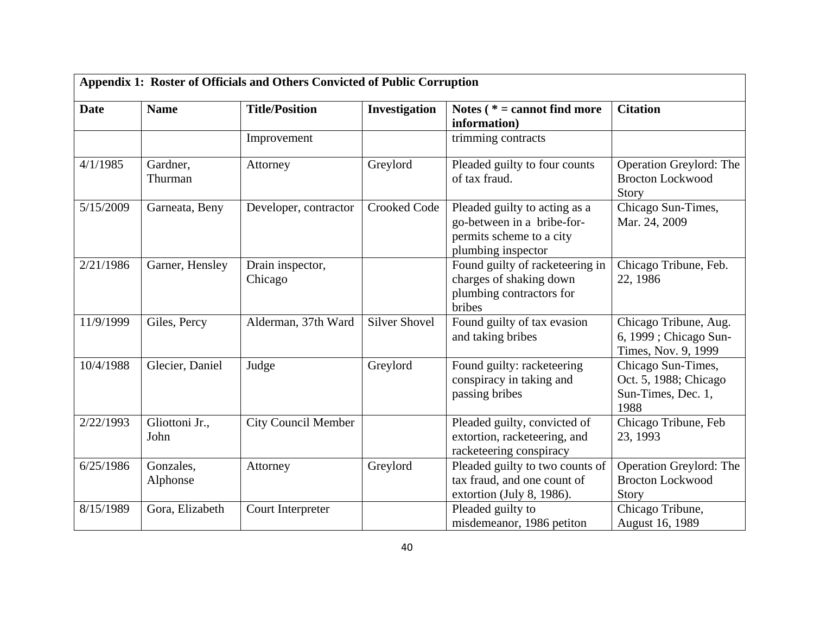| <b>Date</b> | <b>Name</b>            | <b>Title/Position</b>       | Investigation        | Notes ( $* =$ cannot find more<br>information)                                                                | <b>Citation</b>                                                           |
|-------------|------------------------|-----------------------------|----------------------|---------------------------------------------------------------------------------------------------------------|---------------------------------------------------------------------------|
|             |                        | Improvement                 |                      | trimming contracts                                                                                            |                                                                           |
| 4/1/1985    | Gardner,<br>Thurman    | Attorney                    | Greylord             | Pleaded guilty to four counts<br>of tax fraud.                                                                | Operation Greylord: The<br><b>Brocton Lockwood</b><br>Story               |
| 5/15/2009   | Garneata, Beny         | Developer, contractor       | <b>Crooked Code</b>  | Pleaded guilty to acting as a<br>go-between in a bribe-for-<br>permits scheme to a city<br>plumbing inspector | Chicago Sun-Times,<br>Mar. 24, 2009                                       |
| 2/21/1986   | Garner, Hensley        | Drain inspector,<br>Chicago |                      | Found guilty of racketeering in<br>charges of shaking down<br>plumbing contractors for<br>bribes              | Chicago Tribune, Feb.<br>22, 1986                                         |
| 11/9/1999   | Giles, Percy           | Alderman, 37th Ward         | <b>Silver Shovel</b> | Found guilty of tax evasion<br>and taking bribes                                                              | Chicago Tribune, Aug.<br>6, 1999 ; Chicago Sun-<br>Times, Nov. 9, 1999    |
| 10/4/1988   | Glecier, Daniel        | Judge                       | Greylord             | Found guilty: racketeering<br>conspiracy in taking and<br>passing bribes                                      | Chicago Sun-Times,<br>Oct. 5, 1988; Chicago<br>Sun-Times, Dec. 1,<br>1988 |
| 2/22/1993   | Gliottoni Jr.,<br>John | <b>City Council Member</b>  |                      | Pleaded guilty, convicted of<br>extortion, racketeering, and<br>racketeering conspiracy                       | Chicago Tribune, Feb<br>23, 1993                                          |
| 6/25/1986   | Gonzales,<br>Alphonse  | Attorney                    | Greylord             | Pleaded guilty to two counts of<br>tax fraud, and one count of<br>extortion (July 8, 1986).                   | <b>Operation Greylord: The</b><br><b>Brocton Lockwood</b><br>Story        |
| 8/15/1989   | Gora, Elizabeth        | Court Interpreter           |                      | Pleaded guilty to<br>misdemeanor, 1986 petiton                                                                | Chicago Tribune,<br>August 16, 1989                                       |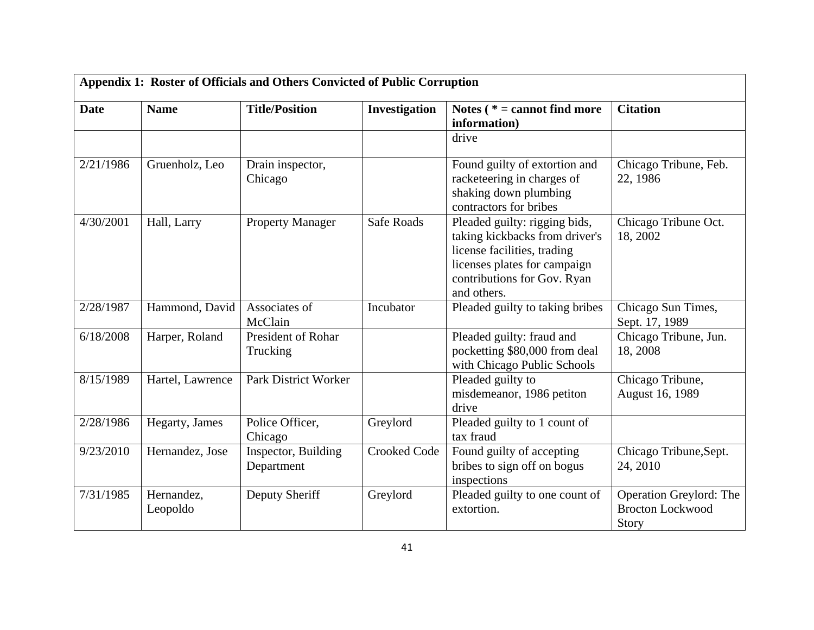|             | Appendix 1: Roster of Officials and Others Convicted of Public Corruption |                                   |                     |                                                                                                                                                                              |                                                             |  |  |
|-------------|---------------------------------------------------------------------------|-----------------------------------|---------------------|------------------------------------------------------------------------------------------------------------------------------------------------------------------------------|-------------------------------------------------------------|--|--|
| <b>Date</b> | <b>Name</b>                                                               | <b>Title/Position</b>             | Investigation       | Notes ( $* =$ cannot find more<br>information)                                                                                                                               | <b>Citation</b>                                             |  |  |
|             |                                                                           |                                   |                     | drive                                                                                                                                                                        |                                                             |  |  |
| 2/21/1986   | Gruenholz, Leo                                                            | Drain inspector,<br>Chicago       |                     | Found guilty of extortion and<br>racketeering in charges of<br>shaking down plumbing<br>contractors for bribes                                                               | Chicago Tribune, Feb.<br>22, 1986                           |  |  |
| 4/30/2001   | Hall, Larry                                                               | <b>Property Manager</b>           | <b>Safe Roads</b>   | Pleaded guilty: rigging bids,<br>taking kickbacks from driver's<br>license facilities, trading<br>licenses plates for campaign<br>contributions for Gov. Ryan<br>and others. | Chicago Tribune Oct.<br>18, 2002                            |  |  |
| 2/28/1987   | Hammond, David                                                            | Associates of<br>McClain          | Incubator           | Pleaded guilty to taking bribes                                                                                                                                              | Chicago Sun Times,<br>Sept. 17, 1989                        |  |  |
| 6/18/2008   | Harper, Roland                                                            | President of Rohar<br>Trucking    |                     | Pleaded guilty: fraud and<br>pocketting \$80,000 from deal<br>with Chicago Public Schools                                                                                    | Chicago Tribune, Jun.<br>18, 2008                           |  |  |
| 8/15/1989   | Hartel, Lawrence                                                          | <b>Park District Worker</b>       |                     | Pleaded guilty to<br>misdemeanor, 1986 petiton<br>drive                                                                                                                      | Chicago Tribune,<br>August 16, 1989                         |  |  |
| 2/28/1986   | Hegarty, James                                                            | Police Officer,<br>Chicago        | Greylord            | Pleaded guilty to 1 count of<br>tax fraud                                                                                                                                    |                                                             |  |  |
| 9/23/2010   | Hernandez, Jose                                                           | Inspector, Building<br>Department | <b>Crooked Code</b> | Found guilty of accepting<br>bribes to sign off on bogus<br>inspections                                                                                                      | Chicago Tribune, Sept.<br>24, 2010                          |  |  |
| 7/31/1985   | Hernandez,<br>Leopoldo                                                    | Deputy Sheriff                    | Greylord            | Pleaded guilty to one count of<br>extortion.                                                                                                                                 | Operation Greylord: The<br><b>Brocton Lockwood</b><br>Story |  |  |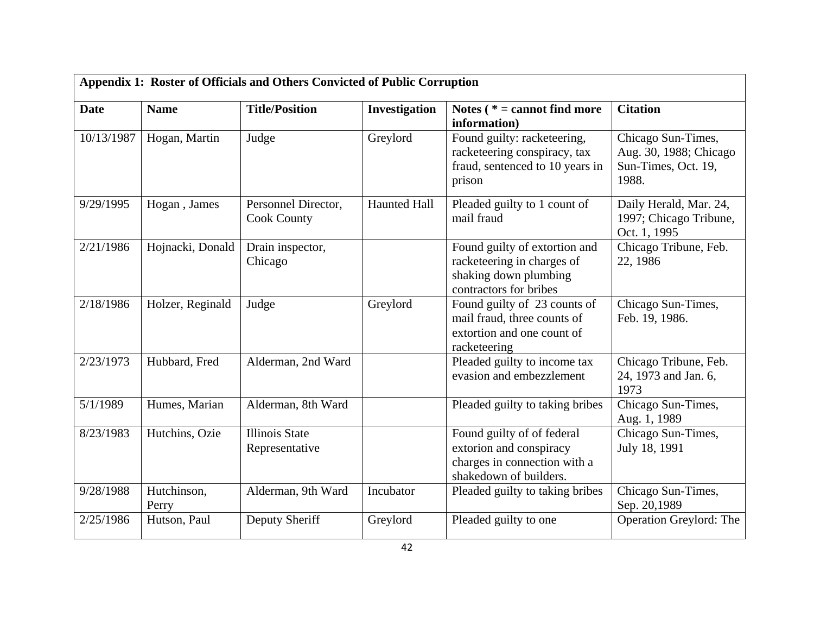| Appendix 1: Roster of Officials and Others Convicted of Public Corruption |                      |                                           |               |                                                                                                                 |                                                                              |  |  |
|---------------------------------------------------------------------------|----------------------|-------------------------------------------|---------------|-----------------------------------------------------------------------------------------------------------------|------------------------------------------------------------------------------|--|--|
| <b>Date</b>                                                               | <b>Name</b>          | <b>Title/Position</b>                     | Investigation | Notes $(* = cannot find more)$<br>information)                                                                  | <b>Citation</b>                                                              |  |  |
| 10/13/1987                                                                | Hogan, Martin        | Judge                                     | Greylord      | Found guilty: racketeering,<br>racketeering conspiracy, tax<br>fraud, sentenced to 10 years in<br>prison        | Chicago Sun-Times,<br>Aug. 30, 1988; Chicago<br>Sun-Times, Oct. 19,<br>1988. |  |  |
| 9/29/1995                                                                 | Hogan, James         | Personnel Director,<br><b>Cook County</b> | Haunted Hall  | Pleaded guilty to 1 count of<br>mail fraud                                                                      | Daily Herald, Mar. 24,<br>1997; Chicago Tribune,<br>Oct. 1, 1995             |  |  |
| 2/21/1986                                                                 | Hojnacki, Donald     | Drain inspector,<br>Chicago               |               | Found guilty of extortion and<br>racketeering in charges of<br>shaking down plumbing<br>contractors for bribes  | Chicago Tribune, Feb.<br>22, 1986                                            |  |  |
| 2/18/1986                                                                 | Holzer, Reginald     | Judge                                     | Greylord      | Found guilty of 23 counts of<br>mail fraud, three counts of<br>extortion and one count of<br>racketeering       | Chicago Sun-Times,<br>Feb. 19, 1986.                                         |  |  |
| 2/23/1973                                                                 | Hubbard, Fred        | Alderman, 2nd Ward                        |               | Pleaded guilty to income tax<br>evasion and embezzlement                                                        | Chicago Tribune, Feb.<br>24, 1973 and Jan. 6,<br>1973                        |  |  |
| 5/1/1989                                                                  | Humes, Marian        | Alderman, 8th Ward                        |               | Pleaded guilty to taking bribes                                                                                 | Chicago Sun-Times,<br>Aug. 1, 1989                                           |  |  |
| 8/23/1983                                                                 | Hutchins, Ozie       | <b>Illinois State</b><br>Representative   |               | Found guilty of of federal<br>extorion and conspiracy<br>charges in connection with a<br>shakedown of builders. | Chicago Sun-Times,<br>July 18, 1991                                          |  |  |
| 9/28/1988                                                                 | Hutchinson,<br>Perry | Alderman, 9th Ward                        | Incubator     | Pleaded guilty to taking bribes                                                                                 | Chicago Sun-Times,<br>Sep. 20,1989                                           |  |  |
| 2/25/1986                                                                 | Hutson, Paul         | Deputy Sheriff                            | Greylord      | Pleaded guilty to one                                                                                           | Operation Greylord: The                                                      |  |  |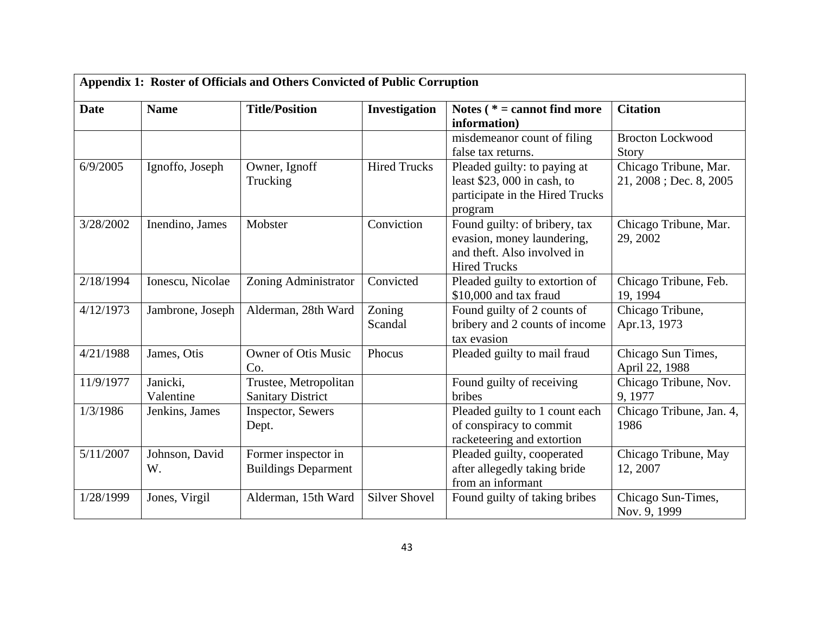| Appendix 1: Roster of Officials and Others Convicted of Public Corruption |                       |                                                   |                      |                                                                                                                   |                                                    |  |  |
|---------------------------------------------------------------------------|-----------------------|---------------------------------------------------|----------------------|-------------------------------------------------------------------------------------------------------------------|----------------------------------------------------|--|--|
| <b>Date</b>                                                               | <b>Name</b>           | <b>Title/Position</b>                             | Investigation        | Notes ( $* =$ cannot find more<br>information)                                                                    | <b>Citation</b>                                    |  |  |
|                                                                           |                       |                                                   |                      | misdemeanor count of filing<br>false tax returns.                                                                 | <b>Brocton Lockwood</b><br>Story                   |  |  |
| 6/9/2005                                                                  | Ignoffo, Joseph       | Owner, Ignoff<br>Trucking                         | <b>Hired Trucks</b>  | Pleaded guilty: to paying at<br>least $$23,000$ in cash, to<br>participate in the Hired Trucks<br>program         | Chicago Tribune, Mar.<br>$21, 2008$ ; Dec. 8, 2005 |  |  |
| 3/28/2002                                                                 | Inendino, James       | Mobster                                           | Conviction           | Found guilty: of bribery, tax<br>evasion, money laundering,<br>and theft. Also involved in<br><b>Hired Trucks</b> | Chicago Tribune, Mar.<br>29, 2002                  |  |  |
| 2/18/1994                                                                 | Ionescu, Nicolae      | Zoning Administrator                              | Convicted            | Pleaded guilty to extortion of<br>\$10,000 and tax fraud                                                          | Chicago Tribune, Feb.<br>19, 1994                  |  |  |
| 4/12/1973                                                                 | Jambrone, Joseph      | Alderman, 28th Ward                               | Zoning<br>Scandal    | Found guilty of 2 counts of<br>bribery and 2 counts of income<br>tax evasion                                      | Chicago Tribune,<br>Apr.13, 1973                   |  |  |
| 4/21/1988                                                                 | James, Otis           | <b>Owner of Otis Music</b><br>Co.                 | Phocus               | Pleaded guilty to mail fraud                                                                                      | Chicago Sun Times,<br>April 22, 1988               |  |  |
| 11/9/1977                                                                 | Janicki,<br>Valentine | Trustee, Metropolitan<br><b>Sanitary District</b> |                      | Found guilty of receiving<br>bribes                                                                               | Chicago Tribune, Nov.<br>9, 1977                   |  |  |
| 1/3/1986                                                                  | Jenkins, James        | Inspector, Sewers<br>Dept.                        |                      | Pleaded guilty to 1 count each<br>of conspiracy to commit<br>racketeering and extortion                           | Chicago Tribune, Jan. 4,<br>1986                   |  |  |
| 5/11/2007                                                                 | Johnson, David<br>W.  | Former inspector in<br><b>Buildings Deparment</b> |                      | Pleaded guilty, cooperated<br>after allegedly taking bride<br>from an informant                                   | Chicago Tribune, May<br>12, 2007                   |  |  |
| 1/28/1999                                                                 | Jones, Virgil         | Alderman, 15th Ward                               | <b>Silver Shovel</b> | Found guilty of taking bribes                                                                                     | Chicago Sun-Times,<br>Nov. 9, 1999                 |  |  |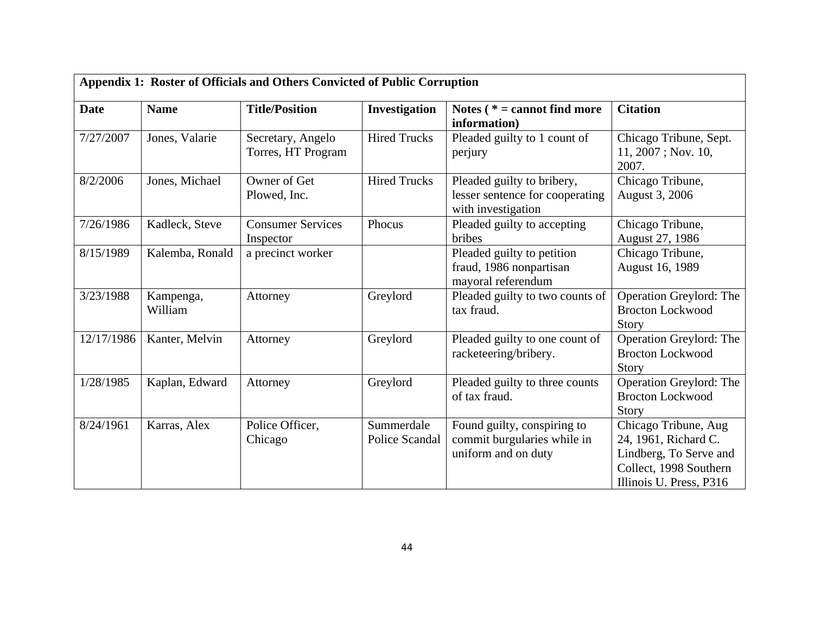| Appendix 1: Roster of Officials and Others Convicted of Public Corruption |                      |                                         |                              |                                                                                     |                                                                                                                             |  |  |
|---------------------------------------------------------------------------|----------------------|-----------------------------------------|------------------------------|-------------------------------------------------------------------------------------|-----------------------------------------------------------------------------------------------------------------------------|--|--|
| <b>Date</b>                                                               | <b>Name</b>          | <b>Title/Position</b>                   | Investigation                | Notes ( $* =$ cannot find more<br>information)                                      | <b>Citation</b>                                                                                                             |  |  |
| 7/27/2007                                                                 | Jones, Valarie       | Secretary, Angelo<br>Torres, HT Program | <b>Hired Trucks</b>          | Pleaded guilty to 1 count of<br>perjury                                             | Chicago Tribune, Sept.<br>$11, 2007$ ; Nov. 10,<br>2007.                                                                    |  |  |
| 8/2/2006                                                                  | Jones, Michael       | Owner of Get<br>Plowed, Inc.            | <b>Hired Trucks</b>          | Pleaded guilty to bribery,<br>lesser sentence for cooperating<br>with investigation | Chicago Tribune,<br>August 3, 2006                                                                                          |  |  |
| 7/26/1986                                                                 | Kadleck, Steve       | <b>Consumer Services</b><br>Inspector   | Phocus                       | Pleaded guilty to accepting<br>bribes                                               | Chicago Tribune,<br>August 27, 1986                                                                                         |  |  |
| 8/15/1989                                                                 | Kalemba, Ronald      | a precinct worker                       |                              | Pleaded guilty to petition<br>fraud, 1986 nonpartisan<br>mayoral referendum         | Chicago Tribune,<br>August 16, 1989                                                                                         |  |  |
| 3/23/1988                                                                 | Kampenga,<br>William | Attorney                                | Greylord                     | Pleaded guilty to two counts of<br>tax fraud.                                       | Operation Greylord: The<br><b>Brocton Lockwood</b><br>Story                                                                 |  |  |
| 12/17/1986                                                                | Kanter, Melvin       | Attorney                                | Greylord                     | Pleaded guilty to one count of<br>racketeering/bribery.                             | Operation Greylord: The<br><b>Brocton Lockwood</b><br>Story                                                                 |  |  |
| 1/28/1985                                                                 | Kaplan, Edward       | Attorney                                | Greylord                     | Pleaded guilty to three counts<br>of tax fraud.                                     | Operation Greylord: The<br><b>Brocton Lockwood</b><br><b>Story</b>                                                          |  |  |
| 8/24/1961                                                                 | Karras, Alex         | Police Officer,<br>Chicago              | Summerdale<br>Police Scandal | Found guilty, conspiring to<br>commit burgularies while in<br>uniform and on duty   | Chicago Tribune, Aug<br>24, 1961, Richard C.<br>Lindberg, To Serve and<br>Collect, 1998 Southern<br>Illinois U. Press, P316 |  |  |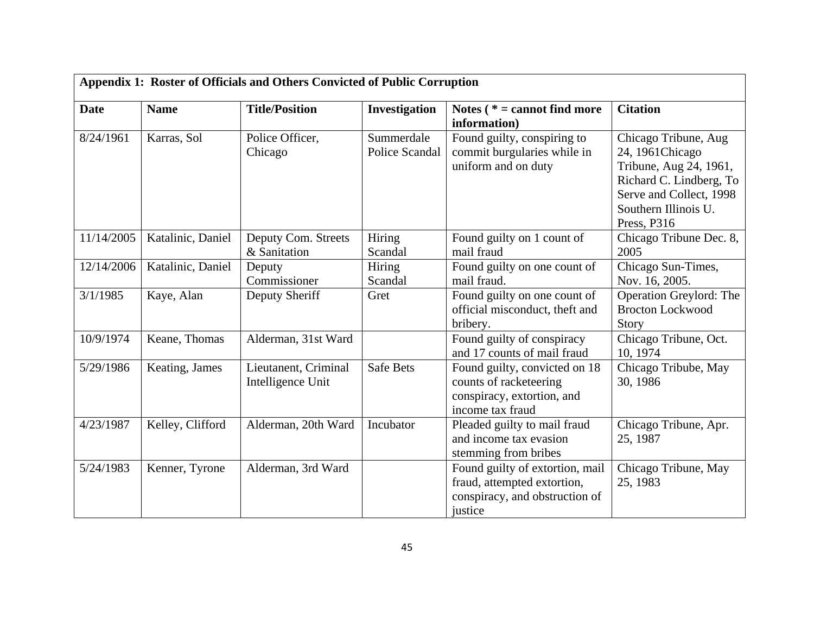| Appendix 1: Roster of Officials and Others Convicted of Public Corruption |                   |                                           |                              |                                                                                                             |                                                                                                                                                                 |  |
|---------------------------------------------------------------------------|-------------------|-------------------------------------------|------------------------------|-------------------------------------------------------------------------------------------------------------|-----------------------------------------------------------------------------------------------------------------------------------------------------------------|--|
| <b>Date</b>                                                               | <b>Name</b>       | <b>Title/Position</b>                     | Investigation                | Notes $(* = cannot find more)$<br>information)                                                              | <b>Citation</b>                                                                                                                                                 |  |
| 8/24/1961                                                                 | Karras, Sol       | Police Officer,<br>Chicago                | Summerdale<br>Police Scandal | Found guilty, conspiring to<br>commit burgularies while in<br>uniform and on duty                           | Chicago Tribune, Aug<br>24, 1961 Chicago<br>Tribune, Aug 24, 1961,<br>Richard C. Lindberg, To<br>Serve and Collect, 1998<br>Southern Illinois U.<br>Press, P316 |  |
| 11/14/2005                                                                | Katalinic, Daniel | Deputy Com. Streets<br>& Sanitation       | Hiring<br>Scandal            | Found guilty on 1 count of<br>mail fraud                                                                    | Chicago Tribune Dec. 8,<br>2005                                                                                                                                 |  |
| 12/14/2006                                                                | Katalinic, Daniel | Deputy<br>Commissioner                    | Hiring<br>Scandal            | Found guilty on one count of<br>mail fraud.                                                                 | Chicago Sun-Times,<br>Nov. 16, 2005.                                                                                                                            |  |
| 3/1/1985                                                                  | Kaye, Alan        | Deputy Sheriff                            | Gret                         | Found guilty on one count of<br>official misconduct, theft and<br>bribery.                                  | Operation Greylord: The<br><b>Brocton Lockwood</b><br>Story                                                                                                     |  |
| 10/9/1974                                                                 | Keane, Thomas     | Alderman, 31st Ward                       |                              | Found guilty of conspiracy<br>and 17 counts of mail fraud                                                   | Chicago Tribune, Oct.<br>10, 1974                                                                                                                               |  |
| 5/29/1986                                                                 | Keating, James    | Lieutanent, Criminal<br>Intelligence Unit | <b>Safe Bets</b>             | Found guilty, convicted on 18<br>counts of racketeering<br>conspiracy, extortion, and<br>income tax fraud   | Chicago Tribube, May<br>30, 1986                                                                                                                                |  |
| 4/23/1987                                                                 | Kelley, Clifford  | Alderman, 20th Ward                       | Incubator                    | Pleaded guilty to mail fraud<br>and income tax evasion<br>stemming from bribes                              | Chicago Tribune, Apr.<br>25, 1987                                                                                                                               |  |
| 5/24/1983                                                                 | Kenner, Tyrone    | Alderman, 3rd Ward                        |                              | Found guilty of extortion, mail<br>fraud, attempted extortion,<br>conspiracy, and obstruction of<br>justice | Chicago Tribune, May<br>25, 1983                                                                                                                                |  |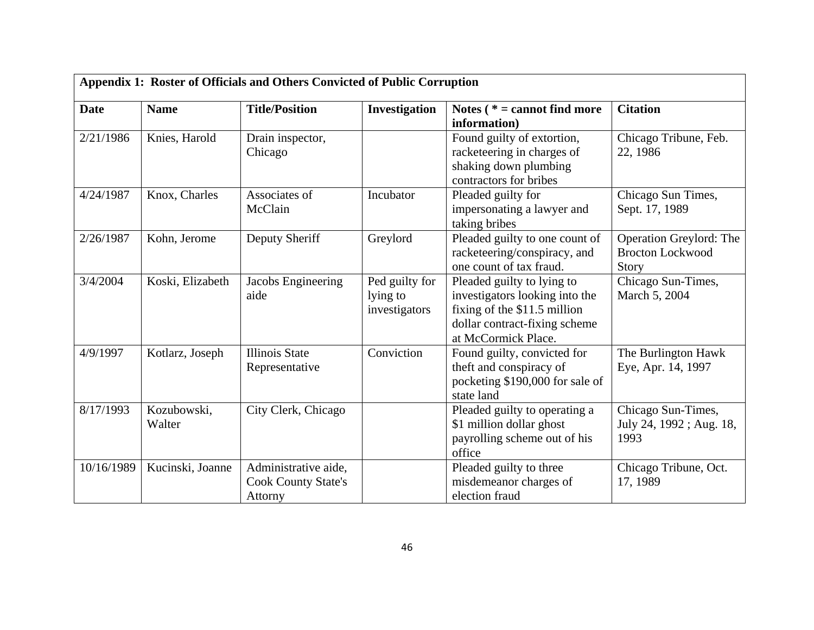| Appendix 1: Roster of Officials and Others Convicted of Public Corruption |                       |                                                               |                                             |                                                                                                                                                      |                                                             |  |
|---------------------------------------------------------------------------|-----------------------|---------------------------------------------------------------|---------------------------------------------|------------------------------------------------------------------------------------------------------------------------------------------------------|-------------------------------------------------------------|--|
| <b>Date</b>                                                               | <b>Name</b>           | <b>Title/Position</b>                                         | Investigation                               | Notes $(* = cannot find more)$<br>information)                                                                                                       | <b>Citation</b>                                             |  |
| 2/21/1986                                                                 | Knies, Harold         | Drain inspector,<br>Chicago                                   |                                             | Found guilty of extortion,<br>racketeering in charges of<br>shaking down plumbing<br>contractors for bribes                                          | Chicago Tribune, Feb.<br>22, 1986                           |  |
| 4/24/1987                                                                 | Knox, Charles         | Associates of<br>McClain                                      | Incubator                                   | Pleaded guilty for<br>impersonating a lawyer and<br>taking bribes                                                                                    | Chicago Sun Times,<br>Sept. 17, 1989                        |  |
| 2/26/1987                                                                 | Kohn, Jerome          | Deputy Sheriff                                                | Greylord                                    | Pleaded guilty to one count of<br>racketeering/conspiracy, and<br>one count of tax fraud.                                                            | Operation Greylord: The<br><b>Brocton Lockwood</b><br>Story |  |
| 3/4/2004                                                                  | Koski, Elizabeth      | Jacobs Engineering<br>aide                                    | Ped guilty for<br>lying to<br>investigators | Pleaded guilty to lying to<br>investigators looking into the<br>fixing of the \$11.5 million<br>dollar contract-fixing scheme<br>at McCormick Place. | Chicago Sun-Times,<br>March 5, 2004                         |  |
| 4/9/1997                                                                  | Kotlarz, Joseph       | <b>Illinois State</b><br>Representative                       | Conviction                                  | Found guilty, convicted for<br>theft and conspiracy of<br>pocketing \$190,000 for sale of<br>state land                                              | The Burlington Hawk<br>Eye, Apr. 14, 1997                   |  |
| 8/17/1993                                                                 | Kozubowski,<br>Walter | City Clerk, Chicago                                           |                                             | Pleaded guilty to operating a<br>\$1 million dollar ghost<br>payrolling scheme out of his<br>office                                                  | Chicago Sun-Times,<br>July 24, 1992; Aug. 18,<br>1993       |  |
| 10/16/1989                                                                | Kucinski, Joanne      | Administrative aide,<br><b>Cook County State's</b><br>Attorny |                                             | Pleaded guilty to three<br>misdemeanor charges of<br>election fraud                                                                                  | Chicago Tribune, Oct.<br>17, 1989                           |  |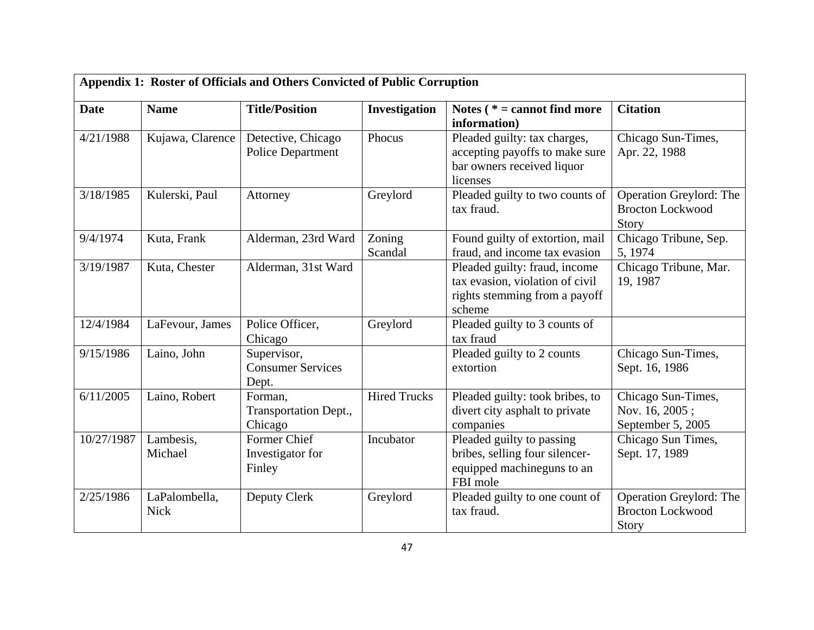|             | Appendix 1: Roster of Officials and Others Convicted of Public Corruption |                                                   |                     |                                                                                                             |                                                             |  |  |
|-------------|---------------------------------------------------------------------------|---------------------------------------------------|---------------------|-------------------------------------------------------------------------------------------------------------|-------------------------------------------------------------|--|--|
| <b>Date</b> | <b>Name</b>                                                               | <b>Title/Position</b>                             | Investigation       | Notes ( $* =$ cannot find more<br>information)                                                              | <b>Citation</b>                                             |  |  |
| 4/21/1988   | Kujawa, Clarence                                                          | Detective, Chicago<br><b>Police Department</b>    | Phocus              | Pleaded guilty: tax charges,<br>accepting payoffs to make sure<br>bar owners received liquor<br>licenses    | Chicago Sun-Times,<br>Apr. 22, 1988                         |  |  |
| 3/18/1985   | Kulerski, Paul                                                            | Attorney                                          | Greylord            | Pleaded guilty to two counts of<br>tax fraud.                                                               | Operation Greylord: The<br><b>Brocton Lockwood</b><br>Story |  |  |
| 9/4/1974    | Kuta, Frank                                                               | Alderman, 23rd Ward                               | Zoning<br>Scandal   | Found guilty of extortion, mail<br>fraud, and income tax evasion                                            | Chicago Tribune, Sep.<br>5, 1974                            |  |  |
| 3/19/1987   | Kuta, Chester                                                             | Alderman, 31st Ward                               |                     | Pleaded guilty: fraud, income<br>tax evasion, violation of civil<br>rights stemming from a payoff<br>scheme | Chicago Tribune, Mar.<br>19, 1987                           |  |  |
| 12/4/1984   | LaFevour, James                                                           | Police Officer,<br>Chicago                        | Greylord            | Pleaded guilty to 3 counts of<br>tax fraud                                                                  |                                                             |  |  |
| 9/15/1986   | Laino, John                                                               | Supervisor,<br><b>Consumer Services</b><br>Dept.  |                     | Pleaded guilty to 2 counts<br>extortion                                                                     | Chicago Sun-Times,<br>Sept. 16, 1986                        |  |  |
| 6/11/2005   | Laino, Robert                                                             | Forman,<br>Transportation Dept.,<br>Chicago       | <b>Hired Trucks</b> | Pleaded guilty: took bribes, to<br>divert city asphalt to private<br>companies                              | Chicago Sun-Times,<br>Nov. 16, 2005;<br>September 5, 2005   |  |  |
| 10/27/1987  | Lambesis,<br>Michael                                                      | <b>Former Chief</b><br>Investigator for<br>Finley | Incubator           | Pleaded guilty to passing<br>bribes, selling four silencer-<br>equipped machineguns to an<br>FBI mole       | Chicago Sun Times,<br>Sept. 17, 1989                        |  |  |
| 2/25/1986   | LaPalombella,<br><b>Nick</b>                                              | Deputy Clerk                                      | Greylord            | Pleaded guilty to one count of<br>tax fraud.                                                                | Operation Greylord: The<br><b>Brocton Lockwood</b><br>Story |  |  |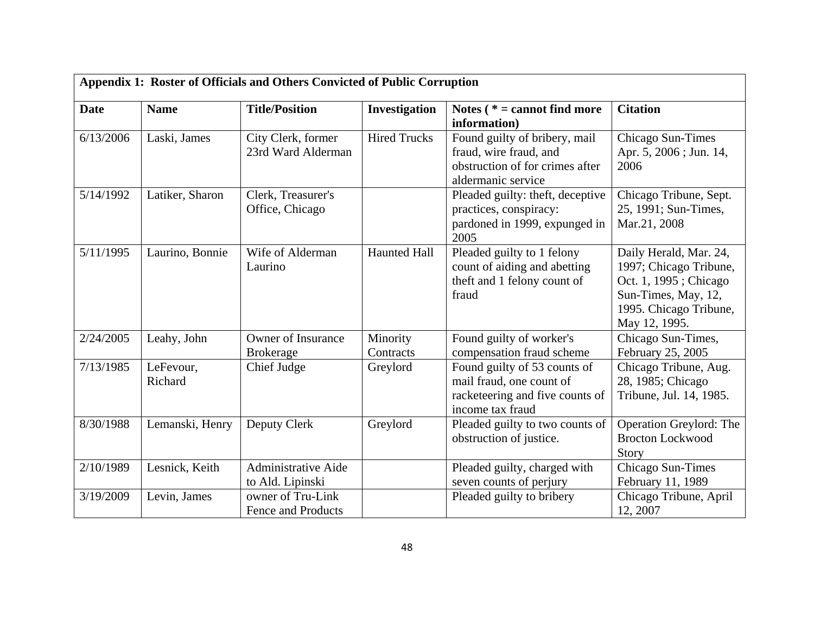| Appendix 1: Roster of Officials and Others Convicted of Public Corruption |                      |                                                |                       |                                                                                                                  |                                                                                                                                             |  |  |
|---------------------------------------------------------------------------|----------------------|------------------------------------------------|-----------------------|------------------------------------------------------------------------------------------------------------------|---------------------------------------------------------------------------------------------------------------------------------------------|--|--|
| <b>Date</b>                                                               | <b>Name</b>          | <b>Title/Position</b>                          | Investigation         | Notes ( $* =$ cannot find more<br>information)                                                                   | <b>Citation</b>                                                                                                                             |  |  |
| 6/13/2006                                                                 | Laski, James         | City Clerk, former<br>23rd Ward Alderman       | <b>Hired Trucks</b>   | Found guilty of bribery, mail<br>fraud, wire fraud, and<br>obstruction of for crimes after<br>aldermanic service | Chicago Sun-Times<br>Apr. 5, 2006; Jun. 14,<br>2006                                                                                         |  |  |
| 5/14/1992                                                                 | Latiker, Sharon      | Clerk, Treasurer's<br>Office, Chicago          |                       | Pleaded guilty: theft, deceptive<br>practices, conspiracy:<br>pardoned in 1999, expunged in<br>2005              | Chicago Tribune, Sept.<br>25, 1991; Sun-Times,<br>Mar.21, 2008                                                                              |  |  |
| 5/11/1995                                                                 | Laurino, Bonnie      | Wife of Alderman<br>Laurino                    | <b>Haunted Hall</b>   | Pleaded guilty to 1 felony<br>count of aiding and abetting<br>theft and 1 felony count of<br>fraud               | Daily Herald, Mar. 24,<br>1997; Chicago Tribune,<br>Oct. 1, 1995; Chicago<br>Sun-Times, May, 12,<br>1995. Chicago Tribune,<br>May 12, 1995. |  |  |
| 2/24/2005                                                                 | Leahy, John          | <b>Owner of Insurance</b><br><b>Brokerage</b>  | Minority<br>Contracts | Found guilty of worker's<br>compensation fraud scheme                                                            | Chicago Sun-Times,<br>February 25, 2005                                                                                                     |  |  |
| 7/13/1985                                                                 | LeFevour,<br>Richard | Chief Judge                                    | Greylord              | Found guilty of 53 counts of<br>mail fraud, one count of<br>racketeering and five counts of<br>income tax fraud  | Chicago Tribune, Aug.<br>28, 1985; Chicago<br>Tribune, Jul. 14, 1985.                                                                       |  |  |
| 8/30/1988                                                                 | Lemanski, Henry      | Deputy Clerk                                   | Greylord              | Pleaded guilty to two counts of<br>obstruction of justice.                                                       | Operation Greylord: The<br><b>Brocton Lockwood</b><br>Story                                                                                 |  |  |
| 2/10/1989                                                                 | Lesnick, Keith       | <b>Administrative Aide</b><br>to Ald. Lipinski |                       | Pleaded guilty, charged with<br>seven counts of perjury                                                          | Chicago Sun-Times<br>February 11, 1989                                                                                                      |  |  |
| 3/19/2009                                                                 | Levin, James         | owner of Tru-Link<br>Fence and Products        |                       | Pleaded guilty to bribery                                                                                        | Chicago Tribune, April<br>12, 2007                                                                                                          |  |  |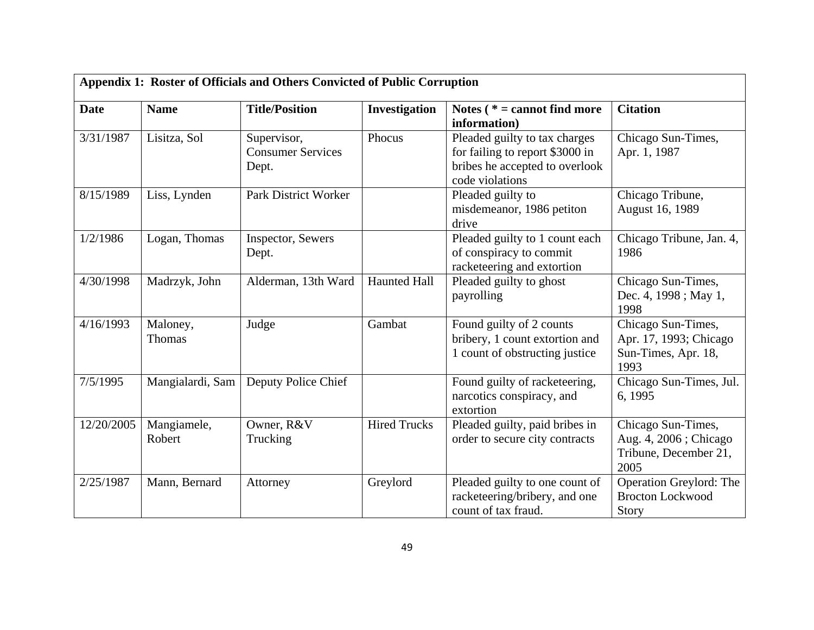| Appendix 1: Roster of Officials and Others Convicted of Public Corruption |                       |                                                  |                     |                                                                                                                       |                                                                              |  |
|---------------------------------------------------------------------------|-----------------------|--------------------------------------------------|---------------------|-----------------------------------------------------------------------------------------------------------------------|------------------------------------------------------------------------------|--|
| <b>Date</b>                                                               | <b>Name</b>           | <b>Title/Position</b>                            | Investigation       | Notes ( $* =$ cannot find more<br>information)                                                                        | <b>Citation</b>                                                              |  |
| 3/31/1987                                                                 | Lisitza, Sol          | Supervisor,<br><b>Consumer Services</b><br>Dept. | Phocus              | Pleaded guilty to tax charges<br>for failing to report \$3000 in<br>bribes he accepted to overlook<br>code violations | Chicago Sun-Times,<br>Apr. 1, 1987                                           |  |
| 8/15/1989                                                                 | Liss, Lynden          | <b>Park District Worker</b>                      |                     | Pleaded guilty to<br>misdemeanor, 1986 petiton<br>drive                                                               | Chicago Tribune,<br>August 16, 1989                                          |  |
| 1/2/1986                                                                  | Logan, Thomas         | Inspector, Sewers<br>Dept.                       |                     | Pleaded guilty to 1 count each<br>of conspiracy to commit<br>racketeering and extortion                               | Chicago Tribune, Jan. 4,<br>1986                                             |  |
| 4/30/1998                                                                 | Madrzyk, John         | Alderman, 13th Ward                              | <b>Haunted Hall</b> | Pleaded guilty to ghost<br>payrolling                                                                                 | Chicago Sun-Times,<br>Dec. 4, 1998; May 1,<br>1998                           |  |
| 4/16/1993                                                                 | Maloney,<br>Thomas    | Judge                                            | Gambat              | Found guilty of 2 counts<br>bribery, 1 count extortion and<br>1 count of obstructing justice                          | Chicago Sun-Times,<br>Apr. 17, 1993; Chicago<br>Sun-Times, Apr. 18,<br>1993  |  |
| 7/5/1995                                                                  | Mangialardi, Sam      | Deputy Police Chief                              |                     | Found guilty of racketeering,<br>narcotics conspiracy, and<br>extortion                                               | Chicago Sun-Times, Jul.<br>6, 1995                                           |  |
| 12/20/2005                                                                | Mangiamele,<br>Robert | Owner, R&V<br>Trucking                           | <b>Hired Trucks</b> | Pleaded guilty, paid bribes in<br>order to secure city contracts                                                      | Chicago Sun-Times,<br>Aug. 4, 2006; Chicago<br>Tribune, December 21,<br>2005 |  |
| 2/25/1987                                                                 | Mann, Bernard         | Attorney                                         | Greylord            | Pleaded guilty to one count of<br>racketeering/bribery, and one<br>count of tax fraud.                                | Operation Greylord: The<br><b>Brocton Lockwood</b><br>Story                  |  |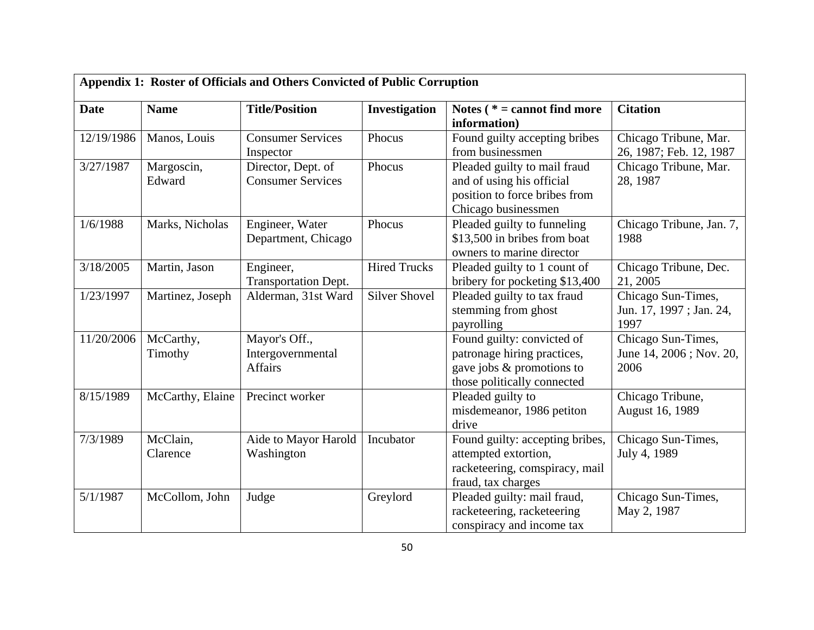| Appendix 1: Roster of Officials and Others Convicted of Public Corruption |                      |                                                      |                      |                                                                                                                       |                                                       |  |
|---------------------------------------------------------------------------|----------------------|------------------------------------------------------|----------------------|-----------------------------------------------------------------------------------------------------------------------|-------------------------------------------------------|--|
| <b>Date</b>                                                               | <b>Name</b>          | <b>Title/Position</b>                                | Investigation        | Notes ( $* =$ cannot find more<br>information)                                                                        | <b>Citation</b>                                       |  |
| 12/19/1986                                                                | Manos, Louis         | <b>Consumer Services</b><br>Inspector                | Phocus               | Found guilty accepting bribes<br>from businessmen                                                                     | Chicago Tribune, Mar.<br>26, 1987; Feb. 12, 1987      |  |
| 3/27/1987                                                                 | Margoscin,<br>Edward | Director, Dept. of<br><b>Consumer Services</b>       | Phocus               | Pleaded guilty to mail fraud<br>and of using his official<br>position to force bribes from<br>Chicago businessmen     | Chicago Tribune, Mar.<br>28, 1987                     |  |
| 1/6/1988                                                                  | Marks, Nicholas      | Engineer, Water<br>Department, Chicago               | Phocus               | Pleaded guilty to funneling<br>\$13,500 in bribes from boat<br>owners to marine director                              | Chicago Tribune, Jan. 7,<br>1988                      |  |
| 3/18/2005                                                                 | Martin, Jason        | Engineer,<br><b>Transportation Dept.</b>             | <b>Hired Trucks</b>  | Pleaded guilty to 1 count of<br>bribery for pocketing \$13,400                                                        | Chicago Tribune, Dec.<br>21, 2005                     |  |
| 1/23/1997                                                                 | Martinez, Joseph     | Alderman, 31st Ward                                  | <b>Silver Shovel</b> | Pleaded guilty to tax fraud<br>stemming from ghost<br>payrolling                                                      | Chicago Sun-Times,<br>Jun. 17, 1997; Jan. 24,<br>1997 |  |
| 11/20/2006                                                                | McCarthy,<br>Timothy | Mayor's Off.,<br>Intergovernmental<br><b>Affairs</b> |                      | Found guilty: convicted of<br>patronage hiring practices,<br>gave jobs & promotions to<br>those politically connected | Chicago Sun-Times,<br>June 14, 2006; Nov. 20,<br>2006 |  |
| 8/15/1989                                                                 | McCarthy, Elaine     | Precinct worker                                      |                      | Pleaded guilty to<br>misdemeanor, 1986 petiton<br>drive                                                               | Chicago Tribune,<br>August 16, 1989                   |  |
| 7/3/1989                                                                  | McClain,<br>Clarence | Aide to Mayor Harold<br>Washington                   | Incubator            | Found guilty: accepting bribes,<br>attempted extortion,<br>racketeering, comspiracy, mail<br>fraud, tax charges       | Chicago Sun-Times,<br>July 4, 1989                    |  |
| 5/1/1987                                                                  | McCollom, John       | Judge                                                | Greylord             | Pleaded guilty: mail fraud,<br>racketeering, racketeering<br>conspiracy and income tax                                | Chicago Sun-Times,<br>May 2, 1987                     |  |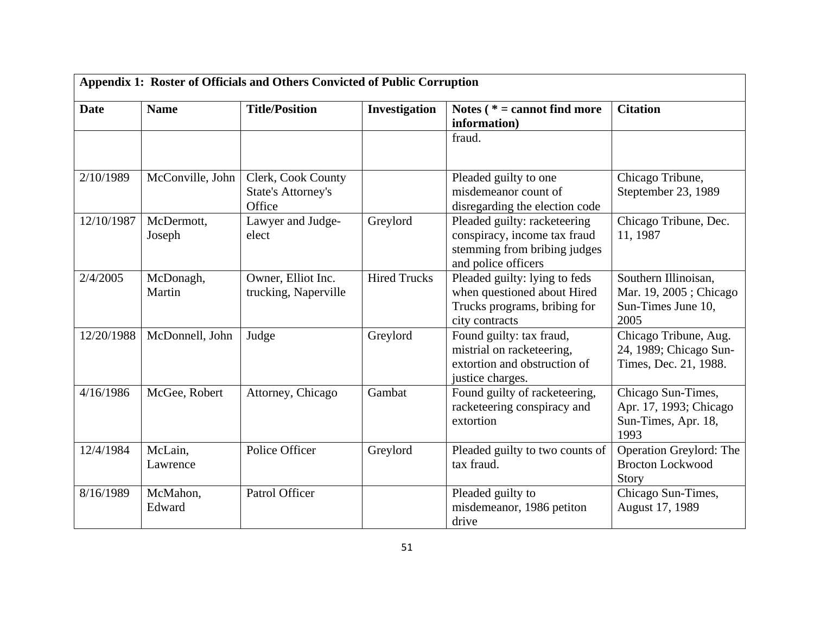| <b>Date</b> | <b>Name</b>          | <b>Title/Position</b>                                     | Investigation       | Notes ( $* =$ cannot find more<br>information)                                                                      | <b>Citation</b>                                                              |
|-------------|----------------------|-----------------------------------------------------------|---------------------|---------------------------------------------------------------------------------------------------------------------|------------------------------------------------------------------------------|
|             |                      |                                                           |                     | fraud.                                                                                                              |                                                                              |
| 2/10/1989   | McConville, John     | Clerk, Cook County<br><b>State's Attorney's</b><br>Office |                     | Pleaded guilty to one<br>misdemeanor count of<br>disregarding the election code                                     | Chicago Tribune,<br>Steptember 23, 1989                                      |
| 12/10/1987  | McDermott,<br>Joseph | Lawyer and Judge-<br>elect                                | Greylord            | Pleaded guilty: racketeering<br>conspiracy, income tax fraud<br>stemming from bribing judges<br>and police officers | Chicago Tribune, Dec.<br>11, 1987                                            |
| 2/4/2005    | McDonagh,<br>Martin  | Owner, Elliot Inc.<br>trucking, Naperville                | <b>Hired Trucks</b> | Pleaded guilty: lying to feds<br>when questioned about Hired<br>Trucks programs, bribing for<br>city contracts      | Southern Illinoisan,<br>Mar. 19, 2005; Chicago<br>Sun-Times June 10,<br>2005 |
| 12/20/1988  | McDonnell, John      | Judge                                                     | Greylord            | Found guilty: tax fraud,<br>mistrial on racketeering,<br>extortion and obstruction of<br>justice charges.           | Chicago Tribune, Aug.<br>24, 1989; Chicago Sun-<br>Times, Dec. 21, 1988.     |
| 4/16/1986   | McGee, Robert        | Attorney, Chicago                                         | Gambat              | Found guilty of racketeering,<br>racketeering conspiracy and<br>extortion                                           | Chicago Sun-Times,<br>Apr. 17, 1993; Chicago<br>Sun-Times, Apr. 18,<br>1993  |
| 12/4/1984   | McLain,<br>Lawrence  | Police Officer                                            | Greylord            | Pleaded guilty to two counts of<br>tax fraud.                                                                       | Operation Greylord: The<br><b>Brocton Lockwood</b><br>Story                  |
| 8/16/1989   | McMahon,<br>Edward   | Patrol Officer                                            |                     | Pleaded guilty to<br>misdemeanor, 1986 petiton<br>drive                                                             | Chicago Sun-Times,<br>August 17, 1989                                        |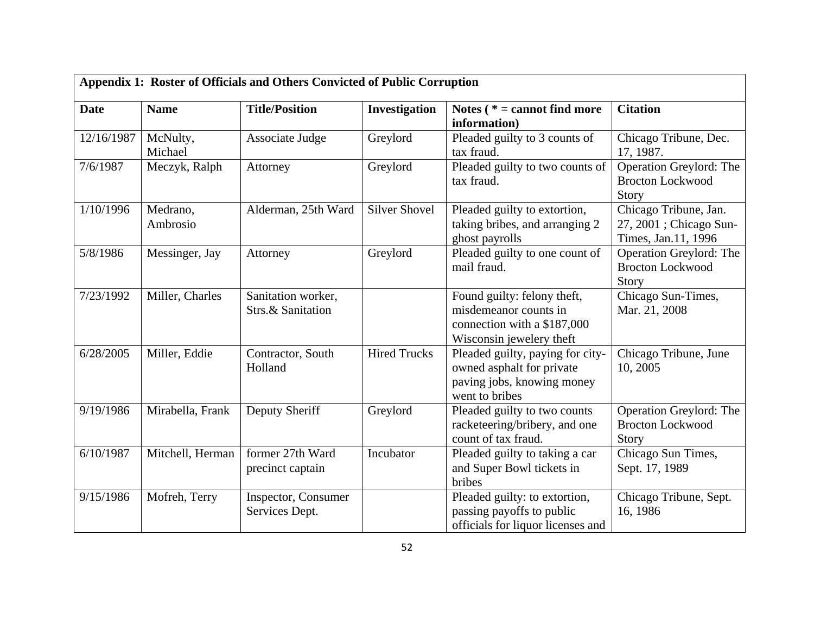|             | Appendix 1: Roster of Officials and Others Convicted of Public Corruption |                                         |                      |                                                                                                                 |                                                                         |  |  |
|-------------|---------------------------------------------------------------------------|-----------------------------------------|----------------------|-----------------------------------------------------------------------------------------------------------------|-------------------------------------------------------------------------|--|--|
| <b>Date</b> | <b>Name</b>                                                               | <b>Title/Position</b>                   | Investigation        | Notes $(* = cannot find more)$<br>information)                                                                  | <b>Citation</b>                                                         |  |  |
| 12/16/1987  | McNulty,<br>Michael                                                       | Associate Judge                         | Greylord             | Pleaded guilty to 3 counts of<br>tax fraud.                                                                     | Chicago Tribune, Dec.<br>17, 1987.                                      |  |  |
| 7/6/1987    | Meczyk, Ralph                                                             | Attorney                                | Greylord             | Pleaded guilty to two counts of<br>tax fraud.                                                                   | Operation Greylord: The<br><b>Brocton Lockwood</b><br>Story             |  |  |
| 1/10/1996   | Medrano,<br>Ambrosio                                                      | Alderman, 25th Ward                     | <b>Silver Shovel</b> | Pleaded guilty to extortion,<br>taking bribes, and arranging 2<br>ghost payrolls                                | Chicago Tribune, Jan.<br>27, 2001 ; Chicago Sun-<br>Times, Jan.11, 1996 |  |  |
| 5/8/1986    | Messinger, Jay                                                            | Attorney                                | Greylord             | Pleaded guilty to one count of<br>mail fraud.                                                                   | Operation Greylord: The<br><b>Brocton Lockwood</b><br><b>Story</b>      |  |  |
| 7/23/1992   | Miller, Charles                                                           | Sanitation worker,<br>Strs.& Sanitation |                      | Found guilty: felony theft,<br>misdemeanor counts in<br>connection with a \$187,000<br>Wisconsin jewelery theft | Chicago Sun-Times,<br>Mar. 21, 2008                                     |  |  |
| 6/28/2005   | Miller, Eddie                                                             | Contractor, South<br>Holland            | <b>Hired Trucks</b>  | Pleaded guilty, paying for city-<br>owned asphalt for private<br>paving jobs, knowing money<br>went to bribes   | Chicago Tribune, June<br>10, 2005                                       |  |  |
| 9/19/1986   | Mirabella, Frank                                                          | Deputy Sheriff                          | Greylord             | Pleaded guilty to two counts<br>racketeering/bribery, and one<br>count of tax fraud.                            | Operation Greylord: The<br><b>Brocton Lockwood</b><br>Story             |  |  |
| 6/10/1987   | Mitchell, Herman                                                          | former 27th Ward<br>precinct captain    | Incubator            | Pleaded guilty to taking a car<br>and Super Bowl tickets in<br>bribes                                           | Chicago Sun Times,<br>Sept. 17, 1989                                    |  |  |
| 9/15/1986   | Mofreh, Terry                                                             | Inspector, Consumer<br>Services Dept.   |                      | Pleaded guilty: to extortion,<br>passing payoffs to public<br>officials for liquor licenses and                 | Chicago Tribune, Sept.<br>16, 1986                                      |  |  |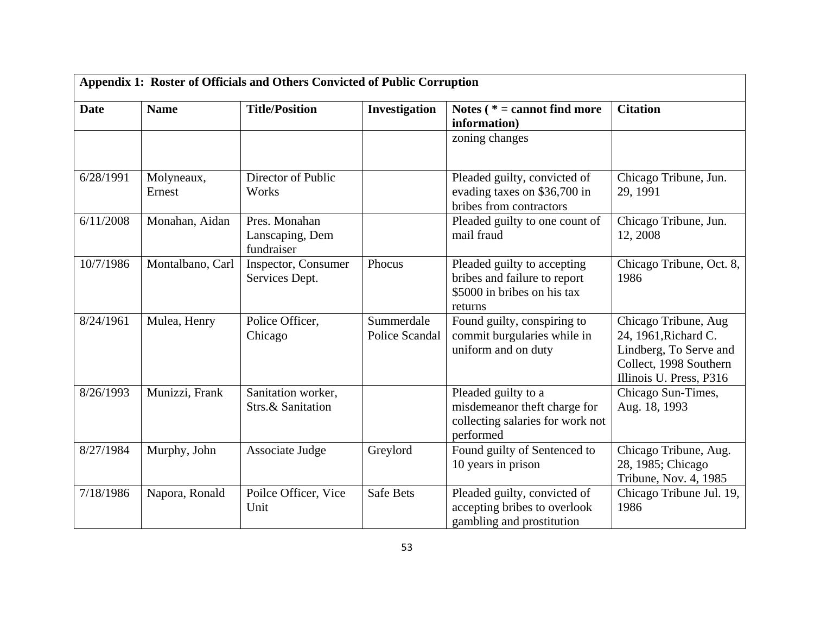|             | Appendix 1: Roster of Officials and Others Convicted of Public Corruption |                                                |                              |                                                                                                       |                                                                                                                             |  |  |
|-------------|---------------------------------------------------------------------------|------------------------------------------------|------------------------------|-------------------------------------------------------------------------------------------------------|-----------------------------------------------------------------------------------------------------------------------------|--|--|
| <b>Date</b> | <b>Name</b>                                                               | <b>Title/Position</b>                          | Investigation                | Notes $(* = cannot find more)$<br>information)                                                        | <b>Citation</b>                                                                                                             |  |  |
|             |                                                                           |                                                |                              | zoning changes                                                                                        |                                                                                                                             |  |  |
| 6/28/1991   | Molyneaux,<br>Ernest                                                      | Director of Public<br>Works                    |                              | Pleaded guilty, convicted of<br>evading taxes on \$36,700 in<br>bribes from contractors               | Chicago Tribune, Jun.<br>29, 1991                                                                                           |  |  |
| 6/11/2008   | Monahan, Aidan                                                            | Pres. Monahan<br>Lanscaping, Dem<br>fundraiser |                              | Pleaded guilty to one count of<br>mail fraud                                                          | Chicago Tribune, Jun.<br>12, 2008                                                                                           |  |  |
| 10/7/1986   | Montalbano, Carl                                                          | Inspector, Consumer<br>Services Dept.          | Phocus                       | Pleaded guilty to accepting<br>bribes and failure to report<br>\$5000 in bribes on his tax<br>returns | Chicago Tribune, Oct. 8,<br>1986                                                                                            |  |  |
| 8/24/1961   | Mulea, Henry                                                              | Police Officer,<br>Chicago                     | Summerdale<br>Police Scandal | Found guilty, conspiring to<br>commit burgularies while in<br>uniform and on duty                     | Chicago Tribune, Aug<br>24, 1961, Richard C.<br>Lindberg, To Serve and<br>Collect, 1998 Southern<br>Illinois U. Press, P316 |  |  |
| 8/26/1993   | Munizzi, Frank                                                            | Sanitation worker,<br>Strs.& Sanitation        |                              | Pleaded guilty to a<br>misdemeanor theft charge for<br>collecting salaries for work not<br>performed  | Chicago Sun-Times,<br>Aug. 18, 1993                                                                                         |  |  |
| 8/27/1984   | Murphy, John                                                              | Associate Judge                                | Greylord                     | Found guilty of Sentenced to<br>10 years in prison                                                    | Chicago Tribune, Aug.<br>28, 1985; Chicago<br>Tribune, Nov. 4, 1985                                                         |  |  |
| 7/18/1986   | Napora, Ronald                                                            | Poilce Officer, Vice<br>Unit                   | <b>Safe Bets</b>             | Pleaded guilty, convicted of<br>accepting bribes to overlook<br>gambling and prostitution             | Chicago Tribune Jul. 19,<br>1986                                                                                            |  |  |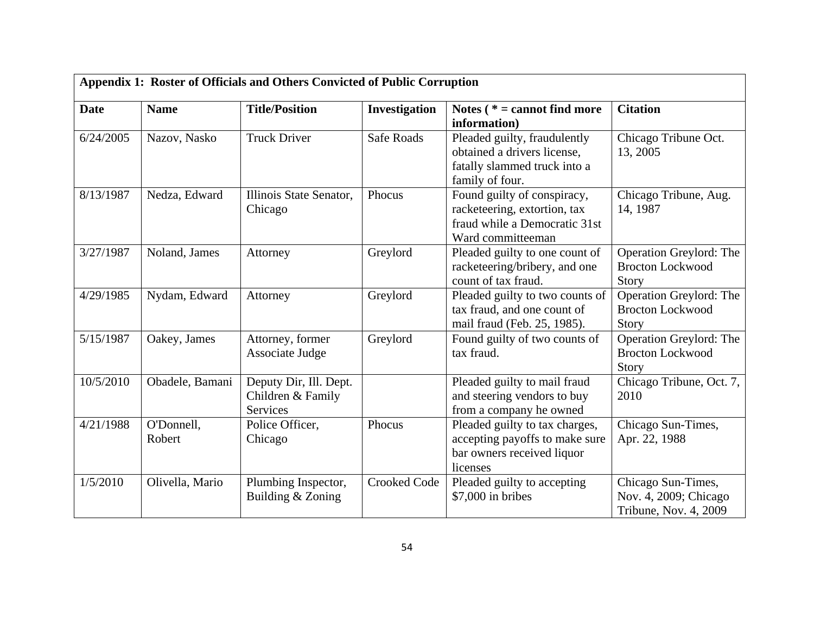|             | Appendix 1: Roster of Officials and Others Convicted of Public Corruption |                                                         |                     |                                                                                                                   |                                                                      |  |  |
|-------------|---------------------------------------------------------------------------|---------------------------------------------------------|---------------------|-------------------------------------------------------------------------------------------------------------------|----------------------------------------------------------------------|--|--|
| <b>Date</b> | <b>Name</b>                                                               | <b>Title/Position</b>                                   | Investigation       | Notes ( $* =$ cannot find more<br>information)                                                                    | <b>Citation</b>                                                      |  |  |
| 6/24/2005   | Nazov, Nasko                                                              | <b>Truck Driver</b>                                     | <b>Safe Roads</b>   | Pleaded guilty, fraudulently<br>obtained a drivers license,<br>fatally slammed truck into a<br>family of four.    | Chicago Tribune Oct.<br>13, 2005                                     |  |  |
| 8/13/1987   | Nedza, Edward                                                             | Illinois State Senator,<br>Chicago                      | Phocus              | Found guilty of conspiracy,<br>racketeering, extortion, tax<br>fraud while a Democratic 31st<br>Ward committeeman | Chicago Tribune, Aug.<br>14, 1987                                    |  |  |
| 3/27/1987   | Noland, James                                                             | Attorney                                                | Greylord            | Pleaded guilty to one count of<br>racketeering/bribery, and one<br>count of tax fraud.                            | Operation Greylord: The<br><b>Brocton Lockwood</b><br>Story          |  |  |
| 4/29/1985   | Nydam, Edward                                                             | Attorney                                                | Greylord            | Pleaded guilty to two counts of<br>tax fraud, and one count of<br>mail fraud (Feb. 25, 1985).                     | Operation Greylord: The<br><b>Brocton Lockwood</b><br>Story          |  |  |
| 5/15/1987   | Oakey, James                                                              | Attorney, former<br>Associate Judge                     | Greylord            | Found guilty of two counts of<br>tax fraud.                                                                       | Operation Greylord: The<br><b>Brocton Lockwood</b><br>Story          |  |  |
| 10/5/2010   | Obadele, Bamani                                                           | Deputy Dir, Ill. Dept.<br>Children & Family<br>Services |                     | Pleaded guilty to mail fraud<br>and steering vendors to buy<br>from a company he owned                            | Chicago Tribune, Oct. 7,<br>2010                                     |  |  |
| 4/21/1988   | O'Donnell,<br>Robert                                                      | Police Officer,<br>Chicago                              | Phocus              | Pleaded guilty to tax charges,<br>accepting payoffs to make sure<br>bar owners received liquor<br>licenses        | Chicago Sun-Times,<br>Apr. 22, 1988                                  |  |  |
| 1/5/2010    | Olivella, Mario                                                           | Plumbing Inspector,<br>Building & Zoning                | <b>Crooked Code</b> | Pleaded guilty to accepting<br>\$7,000 in bribes                                                                  | Chicago Sun-Times,<br>Nov. 4, 2009; Chicago<br>Tribune, Nov. 4, 2009 |  |  |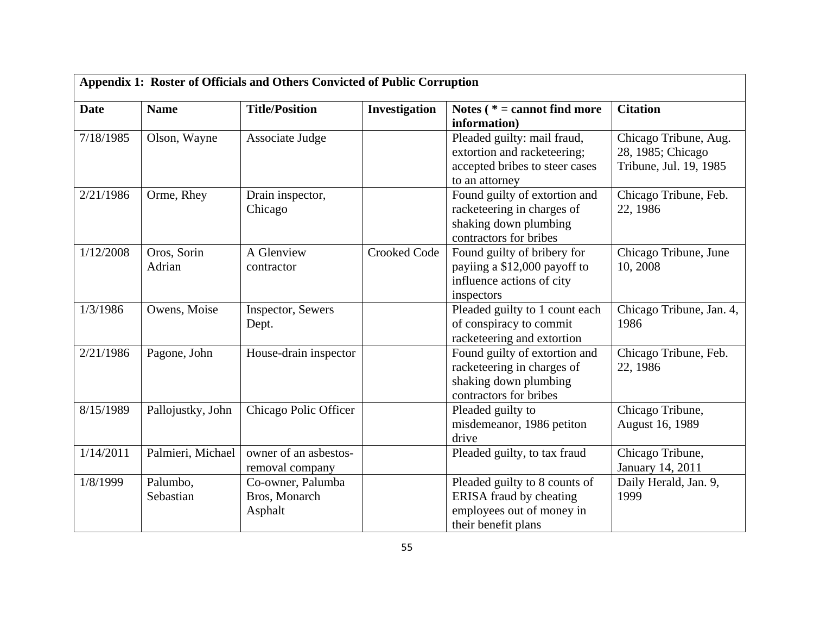| Appendix 1: Roster of Officials and Others Convicted of Public Corruption |                       |                                               |                     |                                                                                                                     |                                                                      |
|---------------------------------------------------------------------------|-----------------------|-----------------------------------------------|---------------------|---------------------------------------------------------------------------------------------------------------------|----------------------------------------------------------------------|
| <b>Date</b>                                                               | <b>Name</b>           | <b>Title/Position</b>                         | Investigation       | Notes ( $* =$ cannot find more<br>information)                                                                      | <b>Citation</b>                                                      |
| 7/18/1985                                                                 | Olson, Wayne          | Associate Judge                               |                     | Pleaded guilty: mail fraud,<br>extortion and racketeering;<br>accepted bribes to steer cases<br>to an attorney      | Chicago Tribune, Aug.<br>28, 1985; Chicago<br>Tribune, Jul. 19, 1985 |
| 2/21/1986                                                                 | Orme, Rhey            | Drain inspector,<br>Chicago                   |                     | Found guilty of extortion and<br>racketeering in charges of<br>shaking down plumbing<br>contractors for bribes      | Chicago Tribune, Feb.<br>22, 1986                                    |
| 1/12/2008                                                                 | Oros, Sorin<br>Adrian | A Glenview<br>contractor                      | <b>Crooked Code</b> | Found guilty of bribery for<br>payiing a \$12,000 payoff to<br>influence actions of city<br>inspectors              | Chicago Tribune, June<br>10, 2008                                    |
| 1/3/1986                                                                  | Owens, Moise          | Inspector, Sewers<br>Dept.                    |                     | Pleaded guilty to 1 count each<br>of conspiracy to commit<br>racketeering and extortion                             | Chicago Tribune, Jan. 4,<br>1986                                     |
| 2/21/1986                                                                 | Pagone, John          | House-drain inspector                         |                     | Found guilty of extortion and<br>racketeering in charges of<br>shaking down plumbing<br>contractors for bribes      | Chicago Tribune, Feb.<br>22, 1986                                    |
| 8/15/1989                                                                 | Pallojustky, John     | Chicago Polic Officer                         |                     | Pleaded guilty to<br>misdemeanor, 1986 petiton<br>drive                                                             | Chicago Tribune,<br>August 16, 1989                                  |
| 1/14/2011                                                                 | Palmieri, Michael     | owner of an asbestos-<br>removal company      |                     | Pleaded guilty, to tax fraud                                                                                        | Chicago Tribune,<br>January 14, 2011                                 |
| 1/8/1999                                                                  | Palumbo,<br>Sebastian | Co-owner, Palumba<br>Bros, Monarch<br>Asphalt |                     | Pleaded guilty to 8 counts of<br><b>ERISA</b> fraud by cheating<br>employees out of money in<br>their benefit plans | Daily Herald, Jan. 9,<br>1999                                        |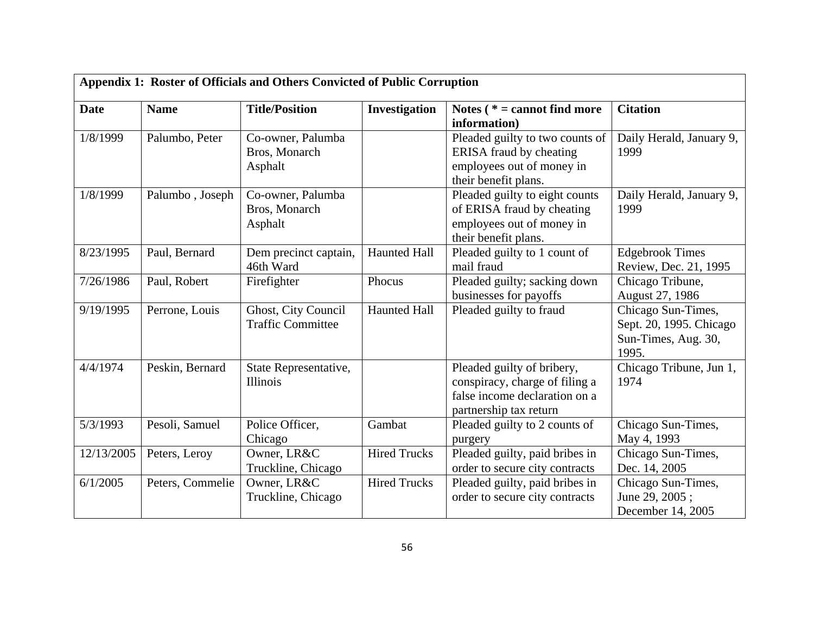| <b>Date</b> | <b>Name</b>      | <b>Title/Position</b>                           | Investigation       | Notes ( $* =$ cannot find more                                                                                                  | <b>Citation</b>                                                               |
|-------------|------------------|-------------------------------------------------|---------------------|---------------------------------------------------------------------------------------------------------------------------------|-------------------------------------------------------------------------------|
| 1/8/1999    | Palumbo, Peter   | Co-owner, Palumba<br>Bros, Monarch<br>Asphalt   |                     | information)<br>Pleaded guilty to two counts of<br>ERISA fraud by cheating<br>employees out of money in<br>their benefit plans. | Daily Herald, January 9,<br>1999                                              |
| 1/8/1999    | Palumbo, Joseph  | Co-owner, Palumba<br>Bros, Monarch<br>Asphalt   |                     | Pleaded guilty to eight counts<br>of ERISA fraud by cheating<br>employees out of money in<br>their benefit plans.               | Daily Herald, January 9,<br>1999                                              |
| 8/23/1995   | Paul, Bernard    | Dem precinct captain,<br>46th Ward              | <b>Haunted Hall</b> | Pleaded guilty to 1 count of<br>mail fraud                                                                                      | <b>Edgebrook Times</b><br>Review, Dec. 21, 1995                               |
| 7/26/1986   | Paul, Robert     | Firefighter                                     | Phocus              | Pleaded guilty; sacking down<br>businesses for payoffs                                                                          | Chicago Tribune,<br>August 27, 1986                                           |
| 9/19/1995   | Perrone, Louis   | Ghost, City Council<br><b>Traffic Committee</b> | <b>Haunted Hall</b> | Pleaded guilty to fraud                                                                                                         | Chicago Sun-Times,<br>Sept. 20, 1995. Chicago<br>Sun-Times, Aug. 30,<br>1995. |
| 4/4/1974    | Peskin, Bernard  | State Representative,<br>Illinois               |                     | Pleaded guilty of bribery,<br>conspiracy, charge of filing a<br>false income declaration on a<br>partnership tax return         | Chicago Tribune, Jun 1,<br>1974                                               |
| 5/3/1993    | Pesoli, Samuel   | Police Officer,<br>Chicago                      | Gambat              | Pleaded guilty to 2 counts of<br>purgery                                                                                        | Chicago Sun-Times,<br>May 4, 1993                                             |
| 12/13/2005  | Peters, Leroy    | Owner, LR&C<br>Truckline, Chicago               | <b>Hired Trucks</b> | Pleaded guilty, paid bribes in<br>order to secure city contracts                                                                | Chicago Sun-Times,<br>Dec. 14, 2005                                           |
| 6/1/2005    | Peters, Commelie | Owner, LR&C<br>Truckline, Chicago               | <b>Hired Trucks</b> | Pleaded guilty, paid bribes in<br>order to secure city contracts                                                                | Chicago Sun-Times,<br>June 29, 2005;<br>December 14, 2005                     |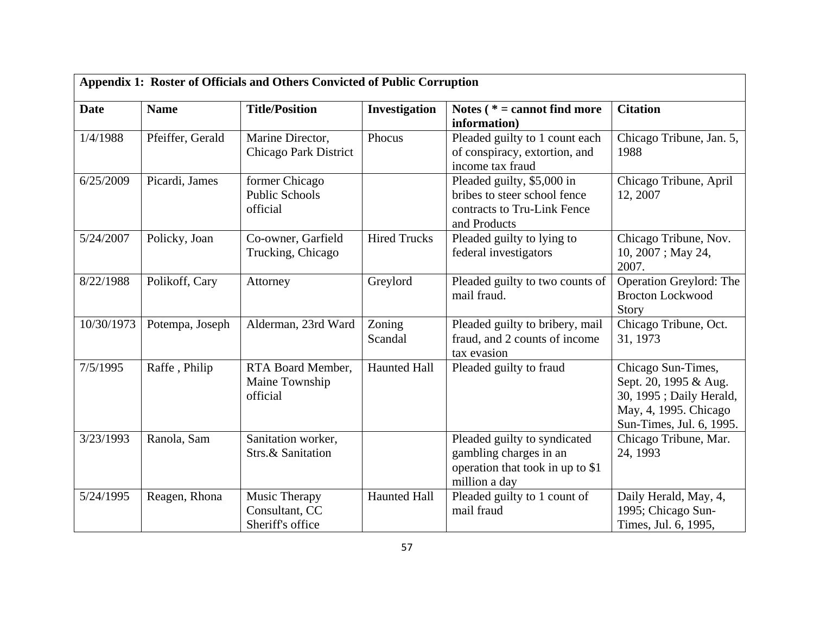| Appendix 1: Roster of Officials and Others Convicted of Public Corruption |                  |                                                     |                     |                                                                                                             |                                                                                                                             |  |
|---------------------------------------------------------------------------|------------------|-----------------------------------------------------|---------------------|-------------------------------------------------------------------------------------------------------------|-----------------------------------------------------------------------------------------------------------------------------|--|
| <b>Date</b>                                                               | <b>Name</b>      | <b>Title/Position</b>                               | Investigation       | Notes $(* = cannot find more)$<br>information)                                                              | <b>Citation</b>                                                                                                             |  |
| 1/4/1988                                                                  | Pfeiffer, Gerald | Marine Director,<br>Chicago Park District           | Phocus              | Pleaded guilty to 1 count each<br>of conspiracy, extortion, and<br>income tax fraud                         | Chicago Tribune, Jan. 5,<br>1988                                                                                            |  |
| 6/25/2009                                                                 | Picardi, James   | former Chicago<br><b>Public Schools</b><br>official |                     | Pleaded guilty, \$5,000 in<br>bribes to steer school fence<br>contracts to Tru-Link Fence<br>and Products   | Chicago Tribune, April<br>12, 2007                                                                                          |  |
| 5/24/2007                                                                 | Policky, Joan    | Co-owner, Garfield<br>Trucking, Chicago             | <b>Hired Trucks</b> | Pleaded guilty to lying to<br>federal investigators                                                         | Chicago Tribune, Nov.<br>10, 2007; May 24,<br>2007.                                                                         |  |
| 8/22/1988                                                                 | Polikoff, Cary   | Attorney                                            | Greylord            | Pleaded guilty to two counts of<br>mail fraud.                                                              | Operation Greylord: The<br><b>Brocton Lockwood</b><br>Story                                                                 |  |
| 10/30/1973                                                                | Potempa, Joseph  | Alderman, 23rd Ward                                 | Zoning<br>Scandal   | Pleaded guilty to bribery, mail<br>fraud, and 2 counts of income<br>tax evasion                             | Chicago Tribune, Oct.<br>31, 1973                                                                                           |  |
| 7/5/1995                                                                  | Raffe, Philip    | RTA Board Member,<br>Maine Township<br>official     | <b>Haunted Hall</b> | Pleaded guilty to fraud                                                                                     | Chicago Sun-Times,<br>Sept. 20, 1995 & Aug.<br>30, 1995; Daily Herald,<br>May, 4, 1995. Chicago<br>Sun-Times, Jul. 6, 1995. |  |
| 3/23/1993                                                                 | Ranola, Sam      | Sanitation worker,<br>Strs.& Sanitation             |                     | Pleaded guilty to syndicated<br>gambling charges in an<br>operation that took in up to \$1<br>million a day | Chicago Tribune, Mar.<br>24, 1993                                                                                           |  |
| 5/24/1995                                                                 | Reagen, Rhona    | Music Therapy<br>Consultant, CC<br>Sheriff's office | <b>Haunted Hall</b> | Pleaded guilty to 1 count of<br>mail fraud                                                                  | Daily Herald, May, 4,<br>1995; Chicago Sun-<br>Times, Jul. 6, 1995,                                                         |  |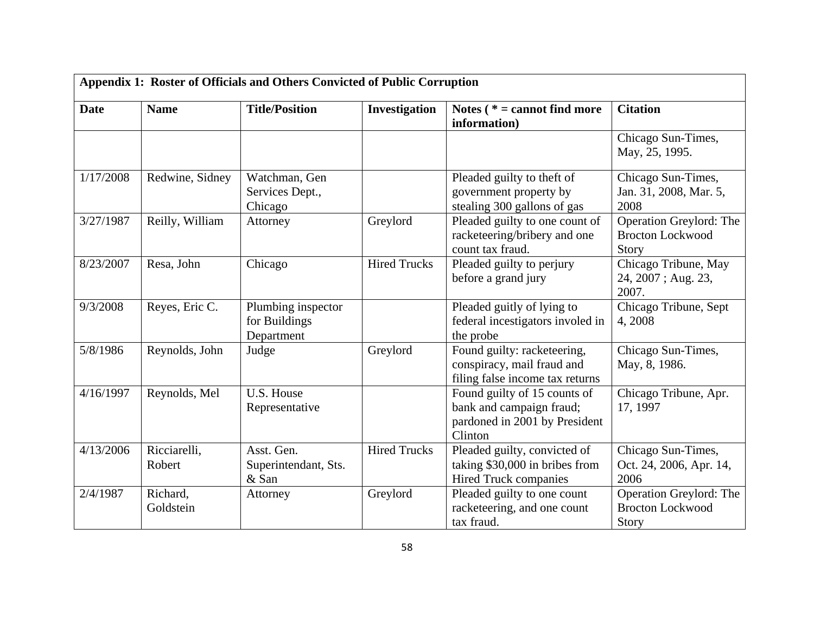|             | Appendix 1: Roster of Officials and Others Convicted of Public Corruption |                                                   |                     |                                                                                                      |                                                             |  |  |
|-------------|---------------------------------------------------------------------------|---------------------------------------------------|---------------------|------------------------------------------------------------------------------------------------------|-------------------------------------------------------------|--|--|
| <b>Date</b> | <b>Name</b>                                                               | <b>Title/Position</b>                             | Investigation       | Notes $(* = cannot find more)$<br>information)                                                       | <b>Citation</b>                                             |  |  |
|             |                                                                           |                                                   |                     |                                                                                                      | Chicago Sun-Times,<br>May, 25, 1995.                        |  |  |
| 1/17/2008   | Redwine, Sidney                                                           | Watchman, Gen<br>Services Dept.,<br>Chicago       |                     | Pleaded guilty to theft of<br>government property by<br>stealing 300 gallons of gas                  | Chicago Sun-Times,<br>Jan. 31, 2008, Mar. 5,<br>2008        |  |  |
| 3/27/1987   | Reilly, William                                                           | Attorney                                          | Greylord            | Pleaded guilty to one count of<br>racketeering/bribery and one<br>count tax fraud.                   | Operation Greylord: The<br><b>Brocton Lockwood</b><br>Story |  |  |
| 8/23/2007   | Resa, John                                                                | Chicago                                           | <b>Hired Trucks</b> | Pleaded guilty to perjury<br>before a grand jury                                                     | Chicago Tribune, May<br>24, 2007; Aug. 23,<br>2007.         |  |  |
| 9/3/2008    | Reyes, Eric C.                                                            | Plumbing inspector<br>for Buildings<br>Department |                     | Pleaded guitly of lying to<br>federal incestigators involed in<br>the probe                          | Chicago Tribune, Sept<br>4,2008                             |  |  |
| 5/8/1986    | Reynolds, John                                                            | Judge                                             | Greylord            | Found guilty: racketeering,<br>conspiracy, mail fraud and<br>filing false income tax returns         | Chicago Sun-Times,<br>May, 8, 1986.                         |  |  |
| 4/16/1997   | Reynolds, Mel                                                             | U.S. House<br>Representative                      |                     | Found guilty of 15 counts of<br>bank and campaign fraud;<br>pardoned in 2001 by President<br>Clinton | Chicago Tribune, Apr.<br>17, 1997                           |  |  |
| 4/13/2006   | Ricciarelli,<br>Robert                                                    | Asst. Gen.<br>Superintendant, Sts.<br>& San       | <b>Hired Trucks</b> | Pleaded guilty, convicted of<br>taking \$30,000 in bribes from<br>Hired Truck companies              | Chicago Sun-Times,<br>Oct. 24, 2006, Apr. 14,<br>2006       |  |  |
| 2/4/1987    | Richard,<br>Goldstein                                                     | Attorney                                          | Greylord            | Pleaded guilty to one count<br>racketeering, and one count<br>tax fraud.                             | Operation Greylord: The<br><b>Brocton Lockwood</b><br>Story |  |  |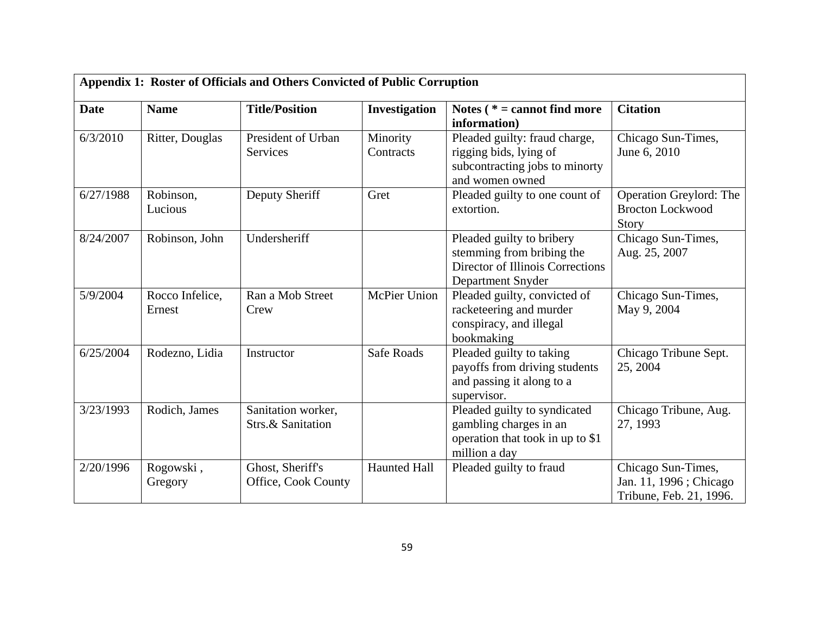| Appendix 1: Roster of Officials and Others Convicted of Public Corruption |                           |                                         |                       |                                                                                                                 |                                                                         |  |
|---------------------------------------------------------------------------|---------------------------|-----------------------------------------|-----------------------|-----------------------------------------------------------------------------------------------------------------|-------------------------------------------------------------------------|--|
| <b>Date</b>                                                               | <b>Name</b>               | <b>Title/Position</b>                   | Investigation         | Notes $(* = cannot find more)$<br>information)                                                                  | <b>Citation</b>                                                         |  |
| 6/3/2010                                                                  | Ritter, Douglas           | President of Urban<br>Services          | Minority<br>Contracts | Pleaded guilty: fraud charge,<br>rigging bids, lying of<br>subcontracting jobs to minorty<br>and women owned    | Chicago Sun-Times,<br>June 6, 2010                                      |  |
| 6/27/1988                                                                 | Robinson,<br>Lucious      | Deputy Sheriff                          | Gret                  | Pleaded guilty to one count of<br>extortion.                                                                    | Operation Greylord: The<br><b>Brocton Lockwood</b><br>Story             |  |
| 8/24/2007                                                                 | Robinson, John            | Undersheriff                            |                       | Pleaded guilty to bribery<br>stemming from bribing the<br>Director of Illinois Corrections<br>Department Snyder | Chicago Sun-Times,<br>Aug. 25, 2007                                     |  |
| 5/9/2004                                                                  | Rocco Infelice,<br>Ernest | Ran a Mob Street<br>Crew                | <b>McPier Union</b>   | Pleaded guilty, convicted of<br>racketeering and murder<br>conspiracy, and illegal<br>bookmaking                | Chicago Sun-Times,<br>May 9, 2004                                       |  |
| 6/25/2004                                                                 | Rodezno, Lidia            | Instructor                              | Safe Roads            | Pleaded guilty to taking<br>payoffs from driving students<br>and passing it along to a<br>supervisor.           | Chicago Tribune Sept.<br>25, 2004                                       |  |
| 3/23/1993                                                                 | Rodich, James             | Sanitation worker,<br>Strs.& Sanitation |                       | Pleaded guilty to syndicated<br>gambling charges in an<br>operation that took in up to \$1<br>million a day     | Chicago Tribune, Aug.<br>27, 1993                                       |  |
| 2/20/1996                                                                 | Rogowski,<br>Gregory      | Ghost, Sheriff's<br>Office, Cook County | <b>Haunted Hall</b>   | Pleaded guilty to fraud                                                                                         | Chicago Sun-Times,<br>Jan. 11, 1996; Chicago<br>Tribune, Feb. 21, 1996. |  |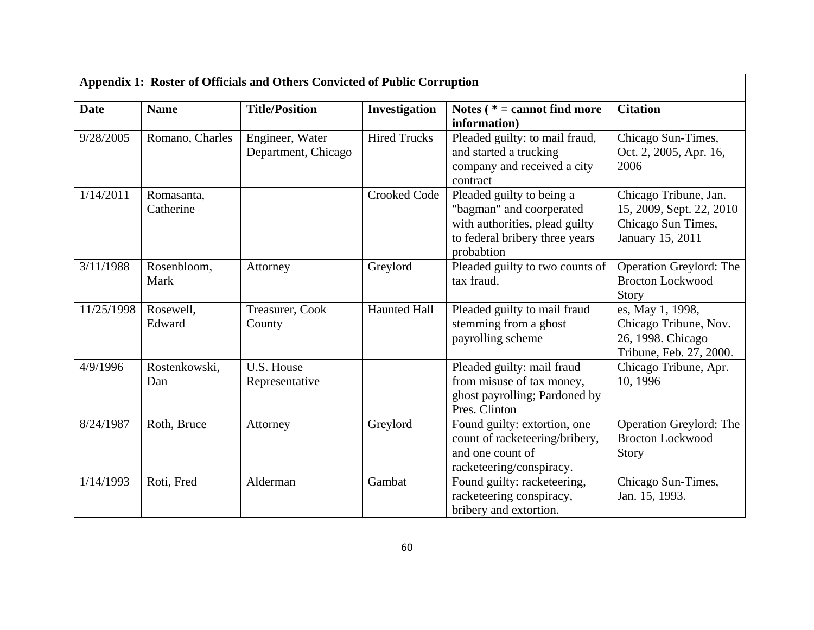| Appendix 1: Roster of Officials and Others Convicted of Public Corruption |                         |                                        |                     |                                                                                                                                         |                                                                                             |  |
|---------------------------------------------------------------------------|-------------------------|----------------------------------------|---------------------|-----------------------------------------------------------------------------------------------------------------------------------------|---------------------------------------------------------------------------------------------|--|
| <b>Date</b>                                                               | <b>Name</b>             | <b>Title/Position</b>                  | Investigation       | Notes ( $* =$ cannot find more<br>information)                                                                                          | <b>Citation</b>                                                                             |  |
| 9/28/2005                                                                 | Romano, Charles         | Engineer, Water<br>Department, Chicago | <b>Hired Trucks</b> | Pleaded guilty: to mail fraud,<br>and started a trucking<br>company and received a city<br>contract                                     | Chicago Sun-Times,<br>Oct. 2, 2005, Apr. 16,<br>2006                                        |  |
| 1/14/2011                                                                 | Romasanta,<br>Catherine |                                        | <b>Crooked Code</b> | Pleaded guilty to being a<br>"bagman" and coorperated<br>with authorities, plead guilty<br>to federal bribery three years<br>probabtion | Chicago Tribune, Jan.<br>15, 2009, Sept. 22, 2010<br>Chicago Sun Times,<br>January 15, 2011 |  |
| 3/11/1988                                                                 | Rosenbloom,<br>Mark     | Attorney                               | Greylord            | Pleaded guilty to two counts of<br>tax fraud.                                                                                           | Operation Greylord: The<br><b>Brocton Lockwood</b><br>Story                                 |  |
| 11/25/1998                                                                | Rosewell,<br>Edward     | Treasurer, Cook<br>County              | <b>Haunted Hall</b> | Pleaded guilty to mail fraud<br>stemming from a ghost<br>payrolling scheme                                                              | es, May 1, 1998,<br>Chicago Tribune, Nov.<br>26, 1998. Chicago<br>Tribune, Feb. 27, 2000.   |  |
| 4/9/1996                                                                  | Rostenkowski,<br>Dan    | U.S. House<br>Representative           |                     | Pleaded guilty: mail fraud<br>from misuse of tax money,<br>ghost payrolling; Pardoned by<br>Pres. Clinton                               | Chicago Tribune, Apr.<br>10, 1996                                                           |  |
| 8/24/1987                                                                 | Roth, Bruce             | Attorney                               | Greylord            | Found guilty: extortion, one<br>count of racketeering/bribery,<br>and one count of<br>racketeering/conspiracy.                          | Operation Greylord: The<br><b>Brocton Lockwood</b><br><b>Story</b>                          |  |
| 1/14/1993                                                                 | Roti, Fred              | Alderman                               | Gambat              | Found guilty: racketeering,<br>racketeering conspiracy,<br>bribery and extortion.                                                       | Chicago Sun-Times,<br>Jan. 15, 1993.                                                        |  |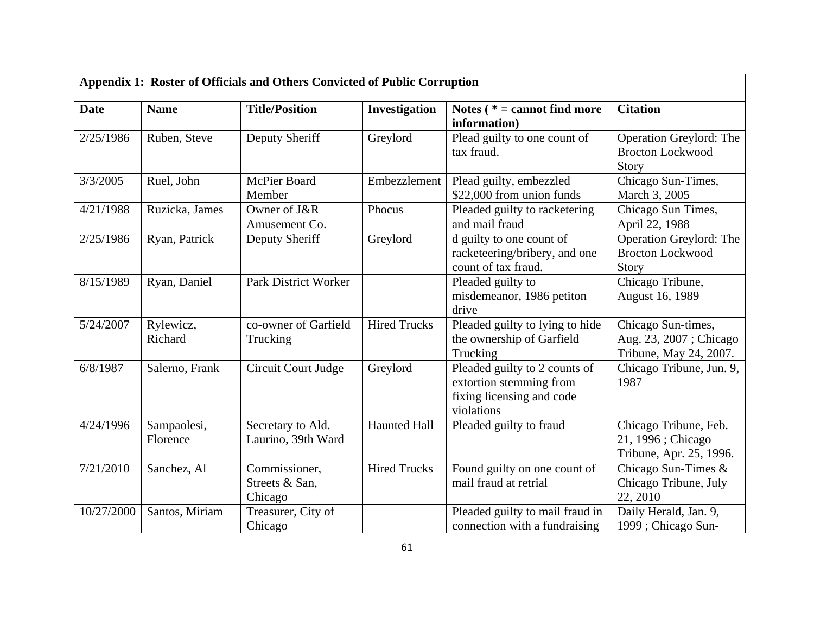| Appendix 1: Roster of Officials and Others Convicted of Public Corruption |                         |                                            |                     |                                                                                                     |                                                                        |
|---------------------------------------------------------------------------|-------------------------|--------------------------------------------|---------------------|-----------------------------------------------------------------------------------------------------|------------------------------------------------------------------------|
| <b>Date</b>                                                               | <b>Name</b>             | <b>Title/Position</b>                      | Investigation       | Notes ( $* =$ cannot find more<br>information)                                                      | <b>Citation</b>                                                        |
| 2/25/1986                                                                 | Ruben, Steve            | Deputy Sheriff                             | Greylord            | Plead guilty to one count of<br>tax fraud.                                                          | Operation Greylord: The<br><b>Brocton Lockwood</b><br><b>Story</b>     |
| 3/3/2005                                                                  | Ruel, John              | McPier Board<br>Member                     | Embezzlement        | Plead guilty, embezzled<br>\$22,000 from union funds                                                | Chicago Sun-Times,<br>March 3, 2005                                    |
| 4/21/1988                                                                 | Ruzicka, James          | Owner of J&R<br>Amusement Co.              | Phocus              | Pleaded guilty to racketering<br>and mail fraud                                                     | Chicago Sun Times,<br>April 22, 1988                                   |
| 2/25/1986                                                                 | Ryan, Patrick           | Deputy Sheriff                             | Greylord            | d guilty to one count of<br>racketeering/bribery, and one<br>count of tax fraud.                    | <b>Operation Greylord: The</b><br><b>Brocton Lockwood</b><br>Story     |
| 8/15/1989                                                                 | Ryan, Daniel            | <b>Park District Worker</b>                |                     | Pleaded guilty to<br>misdemeanor, 1986 petiton<br>drive                                             | Chicago Tribune,<br>August 16, 1989                                    |
| 5/24/2007                                                                 | Rylewicz,<br>Richard    | co-owner of Garfield<br>Trucking           | <b>Hired Trucks</b> | Pleaded guilty to lying to hide<br>the ownership of Garfield<br>Trucking                            | Chicago Sun-times,<br>Aug. 23, 2007; Chicago<br>Tribune, May 24, 2007. |
| 6/8/1987                                                                  | Salerno, Frank          | Circuit Court Judge                        | Greylord            | Pleaded guilty to 2 counts of<br>extortion stemming from<br>fixing licensing and code<br>violations | Chicago Tribune, Jun. 9,<br>1987                                       |
| 4/24/1996                                                                 | Sampaolesi,<br>Florence | Secretary to Ald.<br>Laurino, 39th Ward    | <b>Haunted Hall</b> | Pleaded guilty to fraud                                                                             | Chicago Tribune, Feb.<br>21, 1996; Chicago<br>Tribune, Apr. 25, 1996.  |
| 7/21/2010                                                                 | Sanchez, Al             | Commissioner,<br>Streets & San,<br>Chicago | <b>Hired Trucks</b> | Found guilty on one count of<br>mail fraud at retrial                                               | Chicago Sun-Times &<br>Chicago Tribune, July<br>22, 2010               |
| 10/27/2000                                                                | Santos, Miriam          | Treasurer, City of<br>Chicago              |                     | Pleaded guilty to mail fraud in<br>connection with a fundraising                                    | Daily Herald, Jan. 9,<br>1999; Chicago Sun-                            |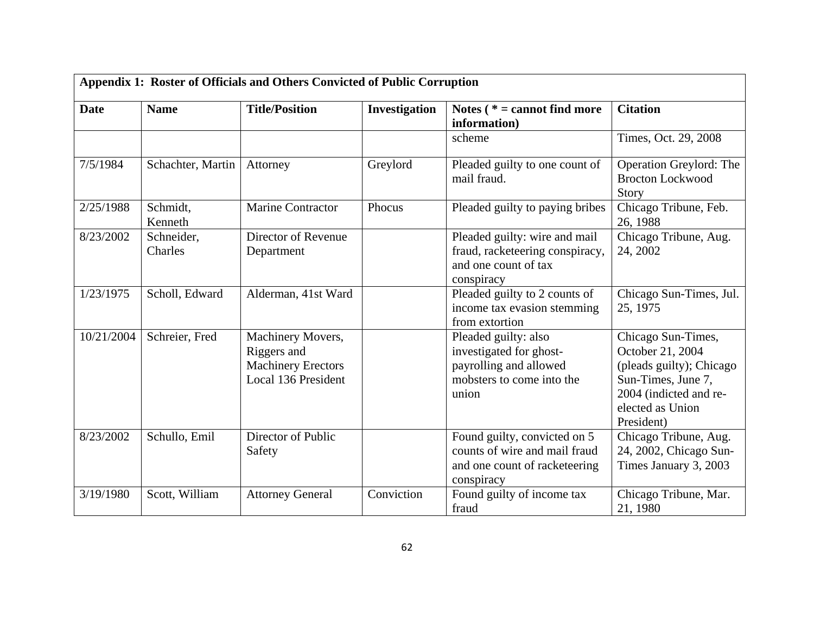| Appendix 1: Roster of Officials and Others Convicted of Public Corruption |                       |                                                                                      |               |                                                                                                                 |                                                                                                                                                      |
|---------------------------------------------------------------------------|-----------------------|--------------------------------------------------------------------------------------|---------------|-----------------------------------------------------------------------------------------------------------------|------------------------------------------------------------------------------------------------------------------------------------------------------|
| <b>Date</b>                                                               | <b>Name</b>           | <b>Title/Position</b>                                                                | Investigation | Notes ( $* =$ cannot find more<br>information)                                                                  | <b>Citation</b>                                                                                                                                      |
|                                                                           |                       |                                                                                      |               | scheme                                                                                                          | Times, Oct. 29, 2008                                                                                                                                 |
| 7/5/1984                                                                  | Schachter, Martin     | Attorney                                                                             | Greylord      | Pleaded guilty to one count of<br>mail fraud.                                                                   | Operation Greylord: The<br><b>Brocton Lockwood</b><br>Story                                                                                          |
| 2/25/1988                                                                 | Schmidt,<br>Kenneth   | <b>Marine Contractor</b>                                                             | Phocus        | Pleaded guilty to paying bribes                                                                                 | Chicago Tribune, Feb.<br>26, 1988                                                                                                                    |
| 8/23/2002                                                                 | Schneider,<br>Charles | Director of Revenue<br>Department                                                    |               | Pleaded guilty: wire and mail<br>fraud, racketeering conspiracy,<br>and one count of tax<br>conspiracy          | Chicago Tribune, Aug.<br>24, 2002                                                                                                                    |
| 1/23/1975                                                                 | Scholl, Edward        | Alderman, 41st Ward                                                                  |               | Pleaded guilty to 2 counts of<br>income tax evasion stemming<br>from extortion                                  | Chicago Sun-Times, Jul.<br>25, 1975                                                                                                                  |
| 10/21/2004                                                                | Schreier, Fred        | Machinery Movers,<br>Riggers and<br><b>Machinery Erectors</b><br>Local 136 President |               | Pleaded guilty: also<br>investigated for ghost-<br>payrolling and allowed<br>mobsters to come into the<br>union | Chicago Sun-Times,<br>October 21, 2004<br>(pleads guilty); Chicago<br>Sun-Times, June 7,<br>2004 (indicted and re-<br>elected as Union<br>President) |
| 8/23/2002                                                                 | Schullo, Emil         | Director of Public<br>Safety                                                         |               | Found guilty, convicted on 5<br>counts of wire and mail fraud<br>and one count of racketeering<br>conspiracy    | Chicago Tribune, Aug.<br>24, 2002, Chicago Sun-<br>Times January 3, 2003                                                                             |
| 3/19/1980                                                                 | Scott, William        | <b>Attorney General</b>                                                              | Conviction    | Found guilty of income tax<br>fraud                                                                             | Chicago Tribune, Mar.<br>21, 1980                                                                                                                    |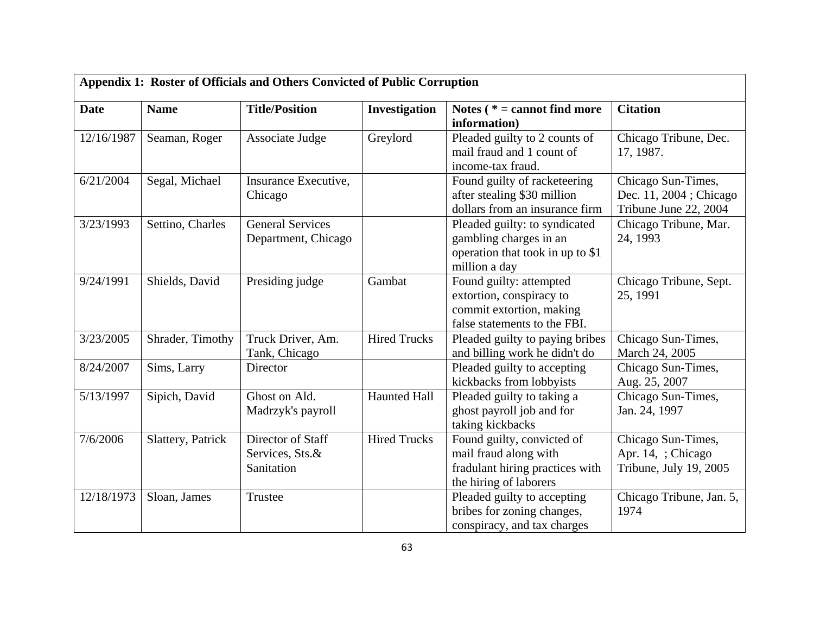| <b>Date</b> | <b>Name</b>       | <b>Title/Position</b>                              | Investigation       | Notes $(* = cannot find more)$                                                                                   | <b>Citation</b>                                                        |
|-------------|-------------------|----------------------------------------------------|---------------------|------------------------------------------------------------------------------------------------------------------|------------------------------------------------------------------------|
|             |                   |                                                    |                     | information)                                                                                                     |                                                                        |
| 12/16/1987  | Seaman, Roger     | Associate Judge                                    | Greylord            | Pleaded guilty to 2 counts of<br>mail fraud and 1 count of<br>income-tax fraud.                                  | Chicago Tribune, Dec.<br>17, 1987.                                     |
| 6/21/2004   | Segal, Michael    | Insurance Executive,<br>Chicago                    |                     | Found guilty of racketeering<br>after stealing \$30 million<br>dollars from an insurance firm                    | Chicago Sun-Times,<br>Dec. 11, 2004 ; Chicago<br>Tribune June 22, 2004 |
| 3/23/1993   | Settino, Charles  | <b>General Services</b><br>Department, Chicago     |                     | Pleaded guilty: to syndicated<br>gambling charges in an<br>operation that took in up to \$1<br>million a day     | Chicago Tribune, Mar.<br>24, 1993                                      |
| 9/24/1991   | Shields, David    | Presiding judge                                    | Gambat              | Found guilty: attempted<br>extortion, conspiracy to<br>commit extortion, making<br>false statements to the FBI.  | Chicago Tribune, Sept.<br>25, 1991                                     |
| 3/23/2005   | Shrader, Timothy  | Truck Driver, Am.<br>Tank, Chicago                 | <b>Hired Trucks</b> | Pleaded guilty to paying bribes<br>and billing work he didn't do                                                 | Chicago Sun-Times,<br>March 24, 2005                                   |
| 8/24/2007   | Sims, Larry       | Director                                           |                     | Pleaded guilty to accepting<br>kickbacks from lobbyists                                                          | Chicago Sun-Times,<br>Aug. 25, 2007                                    |
| 5/13/1997   | Sipich, David     | Ghost on Ald.<br>Madrzyk's payroll                 | <b>Haunted Hall</b> | Pleaded guilty to taking a<br>ghost payroll job and for<br>taking kickbacks                                      | Chicago Sun-Times,<br>Jan. 24, 1997                                    |
| 7/6/2006    | Slattery, Patrick | Director of Staff<br>Services, Sts.&<br>Sanitation | <b>Hired Trucks</b> | Found guilty, convicted of<br>mail fraud along with<br>fradulant hiring practices with<br>the hiring of laborers | Chicago Sun-Times,<br>Apr. 14, ; Chicago<br>Tribune, July 19, 2005     |
| 12/18/1973  | Sloan, James      | Trustee                                            |                     | Pleaded guilty to accepting<br>bribes for zoning changes,<br>conspiracy, and tax charges                         | Chicago Tribune, Jan. 5,<br>1974                                       |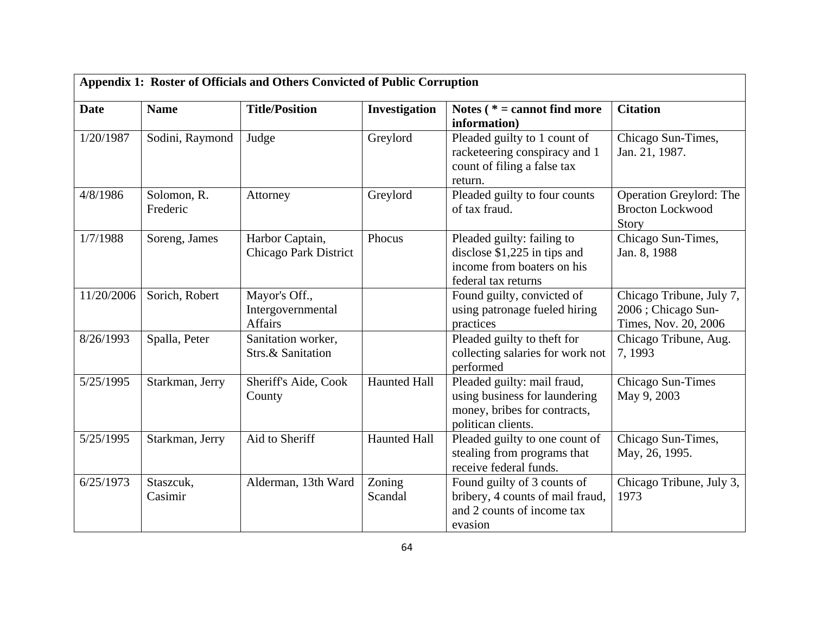| Appendix 1: Roster of Officials and Others Convicted of Public Corruption |                         |                                                 |                     |                                                                                                                    |                                                                        |
|---------------------------------------------------------------------------|-------------------------|-------------------------------------------------|---------------------|--------------------------------------------------------------------------------------------------------------------|------------------------------------------------------------------------|
| <b>Date</b>                                                               | <b>Name</b>             | <b>Title/Position</b>                           | Investigation       | Notes ( $* =$ cannot find more<br>information)                                                                     | <b>Citation</b>                                                        |
| 1/20/1987                                                                 | Sodini, Raymond         | Judge                                           | Greylord            | Pleaded guilty to 1 count of<br>racketeering conspiracy and 1<br>count of filing a false tax<br>return.            | Chicago Sun-Times,<br>Jan. 21, 1987.                                   |
| 4/8/1986                                                                  | Solomon, R.<br>Frederic | Attorney                                        | Greylord            | Pleaded guilty to four counts<br>of tax fraud.                                                                     | Operation Greylord: The<br><b>Brocton Lockwood</b><br>Story            |
| 1/7/1988                                                                  | Soreng, James           | Harbor Captain,<br><b>Chicago Park District</b> | Phocus              | Pleaded guilty: failing to<br>disclose $$1,225$ in tips and<br>income from boaters on his<br>federal tax returns   | Chicago Sun-Times,<br>Jan. 8, 1988                                     |
| 11/20/2006                                                                | Sorich, Robert          | Mayor's Off.,<br>Intergovernmental<br>Affairs   |                     | Found guilty, convicted of<br>using patronage fueled hiring<br>practices                                           | Chicago Tribune, July 7,<br>2006; Chicago Sun-<br>Times, Nov. 20, 2006 |
| 8/26/1993                                                                 | Spalla, Peter           | Sanitation worker,<br>Strs.& Sanitation         |                     | Pleaded guilty to theft for<br>collecting salaries for work not<br>performed                                       | Chicago Tribune, Aug.<br>7,1993                                        |
| 5/25/1995                                                                 | Starkman, Jerry         | Sheriff's Aide, Cook<br>County                  | <b>Haunted Hall</b> | Pleaded guilty: mail fraud,<br>using business for laundering<br>money, bribes for contracts,<br>politican clients. | Chicago Sun-Times<br>May 9, 2003                                       |
| 5/25/1995                                                                 | Starkman, Jerry         | Aid to Sheriff                                  | <b>Haunted Hall</b> | Pleaded guilty to one count of<br>stealing from programs that<br>receive federal funds.                            | Chicago Sun-Times,<br>May, 26, 1995.                                   |
| 6/25/1973                                                                 | Staszcuk,<br>Casimir    | Alderman, 13th Ward                             | Zoning<br>Scandal   | Found guilty of 3 counts of<br>bribery, 4 counts of mail fraud,<br>and 2 counts of income tax<br>evasion           | Chicago Tribune, July 3,<br>1973                                       |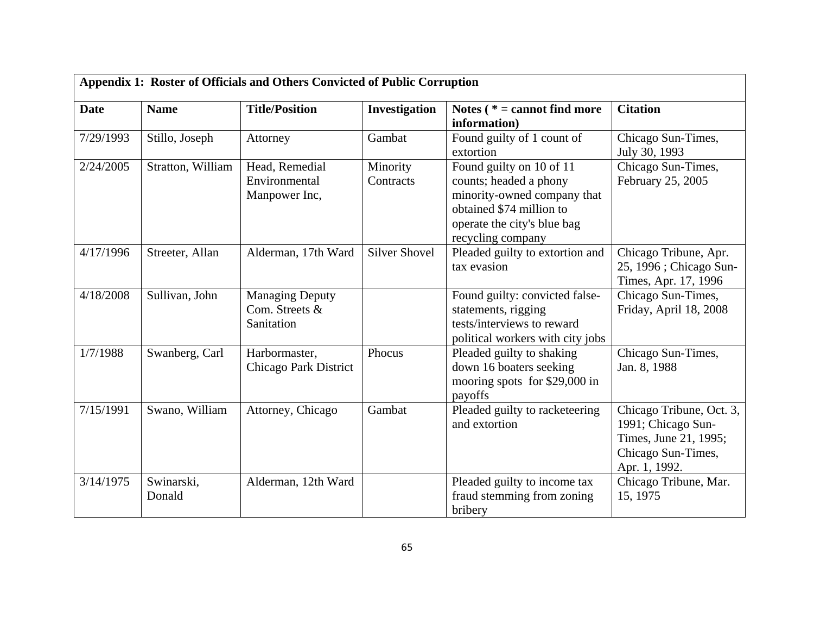| Appendix 1: Roster of Officials and Others Convicted of Public Corruption |                      |                                                        |                       |                                                                                                                                                                   |                                                                                                                |  |
|---------------------------------------------------------------------------|----------------------|--------------------------------------------------------|-----------------------|-------------------------------------------------------------------------------------------------------------------------------------------------------------------|----------------------------------------------------------------------------------------------------------------|--|
| <b>Date</b>                                                               | <b>Name</b>          | <b>Title/Position</b>                                  | Investigation         | Notes ( $* =$ cannot find more<br>information)                                                                                                                    | <b>Citation</b>                                                                                                |  |
| 7/29/1993                                                                 | Stillo, Joseph       | Attorney                                               | Gambat                | Found guilty of 1 count of<br>extortion                                                                                                                           | Chicago Sun-Times,<br>July 30, 1993                                                                            |  |
| 2/24/2005                                                                 | Stratton, William    | Head, Remedial<br>Environmental<br>Manpower Inc,       | Minority<br>Contracts | Found guilty on 10 of 11<br>counts; headed a phony<br>minority-owned company that<br>obtained \$74 million to<br>operate the city's blue bag<br>recycling company | Chicago Sun-Times,<br>February 25, 2005                                                                        |  |
| 4/17/1996                                                                 | Streeter, Allan      | Alderman, 17th Ward                                    | <b>Silver Shovel</b>  | Pleaded guilty to extortion and<br>tax evasion                                                                                                                    | Chicago Tribune, Apr.<br>25, 1996 ; Chicago Sun-<br>Times, Apr. 17, 1996                                       |  |
| 4/18/2008                                                                 | Sullivan, John       | <b>Managing Deputy</b><br>Com. Streets &<br>Sanitation |                       | Found guilty: convicted false-<br>statements, rigging<br>tests/interviews to reward<br>political workers with city jobs                                           | Chicago Sun-Times,<br>Friday, April 18, 2008                                                                   |  |
| 1/7/1988                                                                  | Swanberg, Carl       | Harbormaster,<br>Chicago Park District                 | Phocus                | Pleaded guilty to shaking<br>down 16 boaters seeking<br>mooring spots for \$29,000 in<br>payoffs                                                                  | Chicago Sun-Times,<br>Jan. 8, 1988                                                                             |  |
| 7/15/1991                                                                 | Swano, William       | Attorney, Chicago                                      | Gambat                | Pleaded guilty to racketeering<br>and extortion                                                                                                                   | Chicago Tribune, Oct. 3,<br>1991; Chicago Sun-<br>Times, June 21, 1995;<br>Chicago Sun-Times,<br>Apr. 1, 1992. |  |
| 3/14/1975                                                                 | Swinarski,<br>Donald | Alderman, 12th Ward                                    |                       | Pleaded guilty to income tax<br>fraud stemming from zoning<br>bribery                                                                                             | Chicago Tribune, Mar.<br>15, 1975                                                                              |  |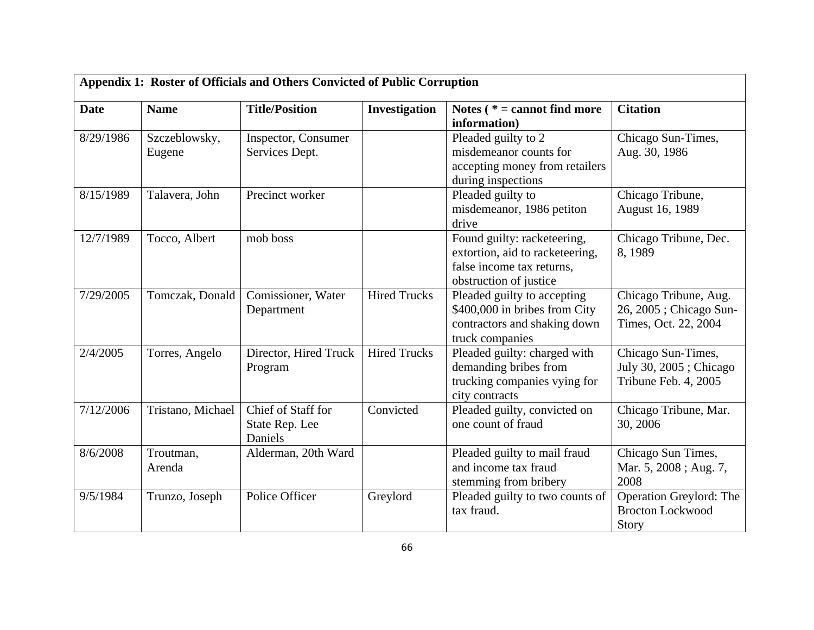| Appendix 1: Roster of Officials and Others Convicted of Public Corruption |                         |                                                 |                     |                                                                                                                       |                                                                          |
|---------------------------------------------------------------------------|-------------------------|-------------------------------------------------|---------------------|-----------------------------------------------------------------------------------------------------------------------|--------------------------------------------------------------------------|
| <b>Date</b>                                                               | <b>Name</b>             | <b>Title/Position</b>                           | Investigation       | Notes ( $* =$ cannot find more<br>information)                                                                        | <b>Citation</b>                                                          |
| 8/29/1986                                                                 | Szczeblowsky,<br>Eugene | Inspector, Consumer<br>Services Dept.           |                     | Pleaded guilty to 2<br>misdemeanor counts for<br>accepting money from retailers<br>during inspections                 | Chicago Sun-Times,<br>Aug. 30, 1986                                      |
| 8/15/1989                                                                 | Talavera, John          | Precinct worker                                 |                     | Pleaded guilty to<br>misdemeanor, 1986 petiton<br>drive                                                               | Chicago Tribune,<br>August 16, 1989                                      |
| 12/7/1989                                                                 | Tocco, Albert           | mob boss                                        |                     | Found guilty: racketeering,<br>extortion, aid to racketeering,<br>false income tax returns,<br>obstruction of justice | Chicago Tribune, Dec.<br>8,1989                                          |
| 7/29/2005                                                                 | Tomczak, Donald         | Comissioner, Water<br>Department                | <b>Hired Trucks</b> | Pleaded guilty to accepting<br>\$400,000 in bribes from City<br>contractors and shaking down<br>truck companies       | Chicago Tribune, Aug.<br>26, 2005 ; Chicago Sun-<br>Times, Oct. 22, 2004 |
| 2/4/2005                                                                  | Torres, Angelo          | Director, Hired Truck<br>Program                | <b>Hired Trucks</b> | Pleaded guilty: charged with<br>demanding bribes from<br>trucking companies vying for<br>city contracts               | Chicago Sun-Times,<br>July 30, 2005; Chicago<br>Tribune Feb. 4, 2005     |
| 7/12/2006                                                                 | Tristano, Michael       | Chief of Staff for<br>State Rep. Lee<br>Daniels | Convicted           | Pleaded guilty, convicted on<br>one count of fraud                                                                    | Chicago Tribune, Mar.<br>30, 2006                                        |
| 8/6/2008                                                                  | Troutman,<br>Arenda     | Alderman, 20th Ward                             |                     | Pleaded guilty to mail fraud<br>and income tax fraud<br>stemming from bribery                                         | Chicago Sun Times,<br>Mar. 5, 2008; Aug. 7,<br>2008                      |
| 9/5/1984                                                                  | Trunzo, Joseph          | Police Officer                                  | Greylord            | Pleaded guilty to two counts of<br>tax fraud.                                                                         | Operation Greylord: The<br><b>Brocton Lockwood</b><br>Story              |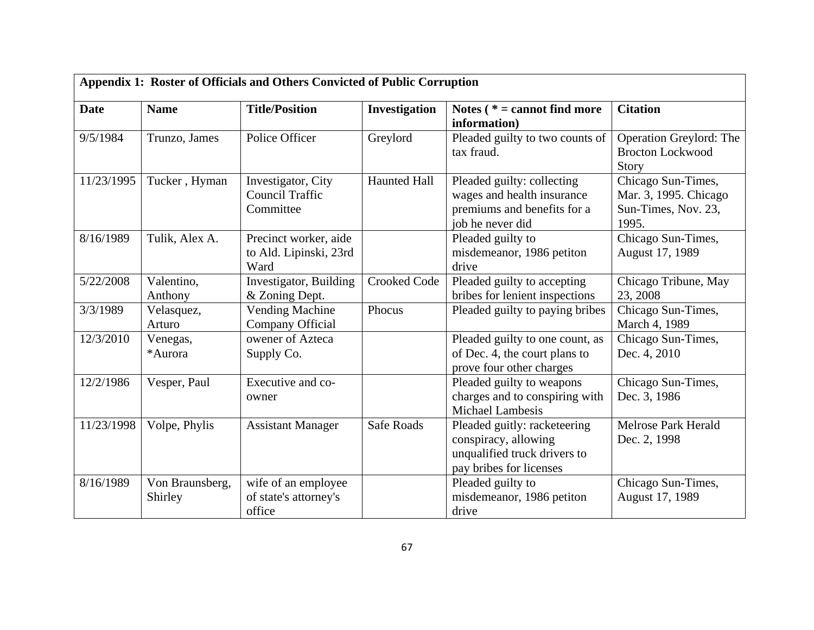| Appendix 1: Roster of Officials and Others Convicted of Public Corruption |                            |                                                           |                     |                                                                                                                 |                                                                             |
|---------------------------------------------------------------------------|----------------------------|-----------------------------------------------------------|---------------------|-----------------------------------------------------------------------------------------------------------------|-----------------------------------------------------------------------------|
| <b>Date</b>                                                               | <b>Name</b>                | <b>Title/Position</b>                                     | Investigation       | Notes ( $* =$ cannot find more<br>information)                                                                  | <b>Citation</b>                                                             |
| 9/5/1984                                                                  | Trunzo, James              | Police Officer                                            | Greylord            | Pleaded guilty to two counts of<br>tax fraud.                                                                   | Operation Greylord: The<br><b>Brocton Lockwood</b><br>Story                 |
| 11/23/1995                                                                | Tucker, Hyman              | Investigator, City<br><b>Council Traffic</b><br>Committee | <b>Haunted Hall</b> | Pleaded guilty: collecting<br>wages and health insurance<br>premiums and benefits for a<br>job he never did     | Chicago Sun-Times,<br>Mar. 3, 1995. Chicago<br>Sun-Times, Nov. 23,<br>1995. |
| 8/16/1989                                                                 | Tulik, Alex A.             | Precinct worker, aide<br>to Ald. Lipinski, 23rd<br>Ward   |                     | Pleaded guilty to<br>misdemeanor, 1986 petiton<br>drive                                                         | Chicago Sun-Times,<br>August 17, 1989                                       |
| 5/22/2008                                                                 | Valentino,<br>Anthony      | Investigator, Building<br>& Zoning Dept.                  | <b>Crooked Code</b> | Pleaded guilty to accepting<br>bribes for lenient inspections                                                   | Chicago Tribune, May<br>23, 2008                                            |
| 3/3/1989                                                                  | Velasquez,<br>Arturo       | <b>Vending Machine</b><br>Company Official                | Phocus              | Pleaded guilty to paying bribes                                                                                 | Chicago Sun-Times,<br>March 4, 1989                                         |
| 12/3/2010                                                                 | Venegas,<br>*Aurora        | owener of Azteca<br>Supply Co.                            |                     | Pleaded guilty to one count, as<br>of Dec. 4, the court plans to<br>prove four other charges                    | Chicago Sun-Times,<br>Dec. 4, 2010                                          |
| 12/2/1986                                                                 | Vesper, Paul               | Executive and co-<br>owner                                |                     | Pleaded guilty to weapons<br>charges and to conspiring with<br><b>Michael Lambesis</b>                          | Chicago Sun-Times,<br>Dec. 3, 1986                                          |
| 11/23/1998                                                                | Volpe, Phylis              | <b>Assistant Manager</b>                                  | <b>Safe Roads</b>   | Pleaded guitly: racketeering<br>conspiracy, allowing<br>unqualified truck drivers to<br>pay bribes for licenses | Melrose Park Herald<br>Dec. 2, 1998                                         |
| 8/16/1989                                                                 | Von Braunsberg,<br>Shirley | wife of an employee<br>of state's attorney's<br>office    |                     | Pleaded guilty to<br>misdemeanor, 1986 petiton<br>drive                                                         | Chicago Sun-Times,<br>August 17, 1989                                       |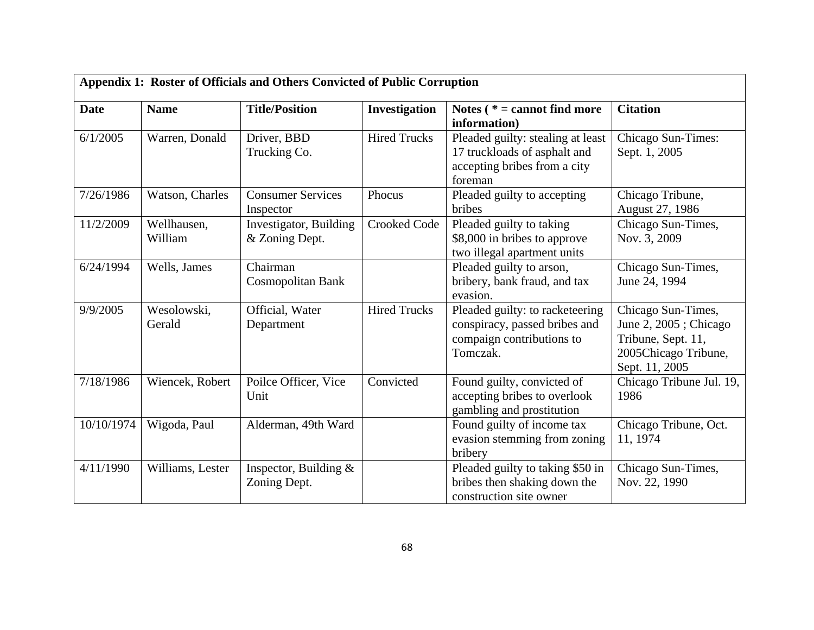| Appendix 1: Roster of Officials and Others Convicted of Public Corruption |                        |                                          |                     |                                                                                                              |                                                                                                             |
|---------------------------------------------------------------------------|------------------------|------------------------------------------|---------------------|--------------------------------------------------------------------------------------------------------------|-------------------------------------------------------------------------------------------------------------|
| <b>Date</b>                                                               | <b>Name</b>            | <b>Title/Position</b>                    | Investigation       | Notes $(* = cannot find more)$<br>information)                                                               | <b>Citation</b>                                                                                             |
| 6/1/2005                                                                  | Warren, Donald         | Driver, BBD<br>Trucking Co.              | <b>Hired Trucks</b> | Pleaded guilty: stealing at least<br>17 truckloads of asphalt and<br>accepting bribes from a city<br>foreman | Chicago Sun-Times:<br>Sept. 1, 2005                                                                         |
| 7/26/1986                                                                 | Watson, Charles        | <b>Consumer Services</b><br>Inspector    | Phocus              | Pleaded guilty to accepting<br>bribes                                                                        | Chicago Tribune,<br>August 27, 1986                                                                         |
| 11/2/2009                                                                 | Wellhausen,<br>William | Investigator, Building<br>& Zoning Dept. | <b>Crooked Code</b> | Pleaded guilty to taking<br>\$8,000 in bribes to approve<br>two illegal apartment units                      | Chicago Sun-Times,<br>Nov. 3, 2009                                                                          |
| 6/24/1994                                                                 | Wells, James           | Chairman<br>Cosmopolitan Bank            |                     | Pleaded guilty to arson,<br>bribery, bank fraud, and tax<br>evasion.                                         | Chicago Sun-Times,<br>June 24, 1994                                                                         |
| 9/9/2005                                                                  | Wesolowski,<br>Gerald  | Official, Water<br>Department            | <b>Hired Trucks</b> | Pleaded guilty: to racketeering<br>conspiracy, passed bribes and<br>compaign contributions to<br>Tomczak.    | Chicago Sun-Times,<br>June 2, 2005; Chicago<br>Tribune, Sept. 11,<br>2005Chicago Tribune,<br>Sept. 11, 2005 |
| 7/18/1986                                                                 | Wiencek, Robert        | Poilce Officer, Vice<br>Unit             | Convicted           | Found guilty, convicted of<br>accepting bribes to overlook<br>gambling and prostitution                      | Chicago Tribune Jul. 19,<br>1986                                                                            |
| 10/10/1974                                                                | Wigoda, Paul           | Alderman, 49th Ward                      |                     | Found guilty of income tax<br>evasion stemming from zoning<br>bribery                                        | Chicago Tribune, Oct.<br>11, 1974                                                                           |
| 4/11/1990                                                                 | Williams, Lester       | Inspector, Building $\&$<br>Zoning Dept. |                     | Pleaded guilty to taking \$50 in<br>bribes then shaking down the<br>construction site owner                  | Chicago Sun-Times,<br>Nov. 22, 1990                                                                         |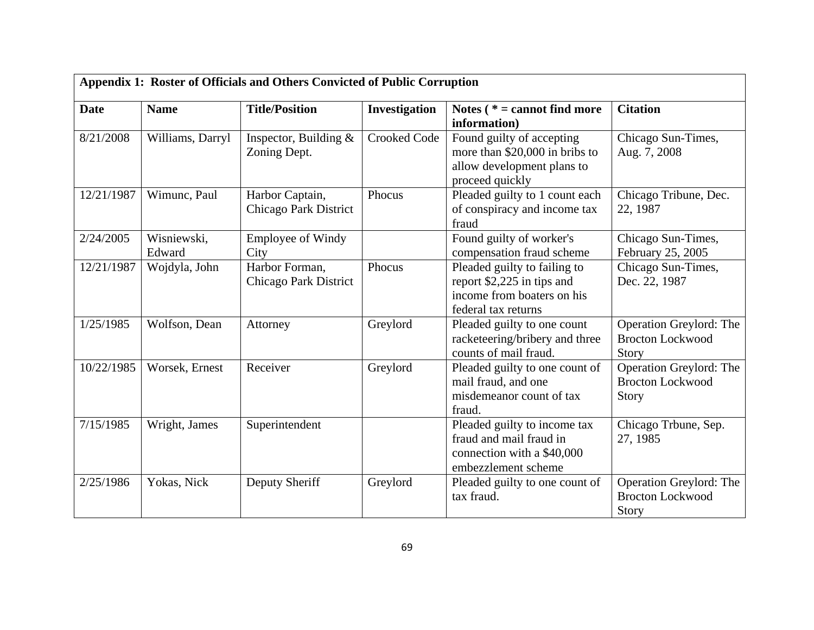| Appendix 1: Roster of Officials and Others Convicted of Public Corruption |                       |                                          |                     |                                                                                                                 |                                                                    |  |
|---------------------------------------------------------------------------|-----------------------|------------------------------------------|---------------------|-----------------------------------------------------------------------------------------------------------------|--------------------------------------------------------------------|--|
| <b>Date</b>                                                               | <b>Name</b>           | <b>Title/Position</b>                    | Investigation       | Notes ( $* =$ cannot find more<br>information)                                                                  | <b>Citation</b>                                                    |  |
| 8/21/2008                                                                 | Williams, Darryl      | Inspector, Building $\&$<br>Zoning Dept. | <b>Crooked Code</b> | Found guilty of accepting<br>more than \$20,000 in bribs to<br>allow development plans to<br>proceed quickly    | Chicago Sun-Times,<br>Aug. 7, 2008                                 |  |
| 12/21/1987                                                                | Wimunc, Paul          | Harbor Captain,<br>Chicago Park District | Phocus              | Pleaded guilty to 1 count each<br>of conspiracy and income tax<br>fraud                                         | Chicago Tribune, Dec.<br>22, 1987                                  |  |
| 2/24/2005                                                                 | Wisniewski,<br>Edward | <b>Employee of Windy</b><br>City         |                     | Found guilty of worker's<br>compensation fraud scheme                                                           | Chicago Sun-Times,<br>February 25, 2005                            |  |
| 12/21/1987                                                                | Wojdyla, John         | Harbor Forman,<br>Chicago Park District  | Phocus              | Pleaded guilty to failing to<br>report \$2,225 in tips and<br>income from boaters on his<br>federal tax returns | Chicago Sun-Times,<br>Dec. 22, 1987                                |  |
| 1/25/1985                                                                 | Wolfson, Dean         | Attorney                                 | Greylord            | Pleaded guilty to one count<br>racketeering/bribery and three<br>counts of mail fraud.                          | Operation Greylord: The<br><b>Brocton Lockwood</b><br>Story        |  |
| 10/22/1985                                                                | Worsek, Ernest        | Receiver                                 | Greylord            | Pleaded guilty to one count of<br>mail fraud, and one<br>misdemeanor count of tax<br>fraud.                     | Operation Greylord: The<br><b>Brocton Lockwood</b><br><b>Story</b> |  |
| 7/15/1985                                                                 | Wright, James         | Superintendent                           |                     | Pleaded guilty to income tax<br>fraud and mail fraud in<br>connection with a \$40,000<br>embezzlement scheme    | Chicago Trbune, Sep.<br>27, 1985                                   |  |
| 2/25/1986                                                                 | Yokas, Nick           | Deputy Sheriff                           | Greylord            | Pleaded guilty to one count of<br>tax fraud.                                                                    | Operation Greylord: The<br><b>Brocton Lockwood</b><br>Story        |  |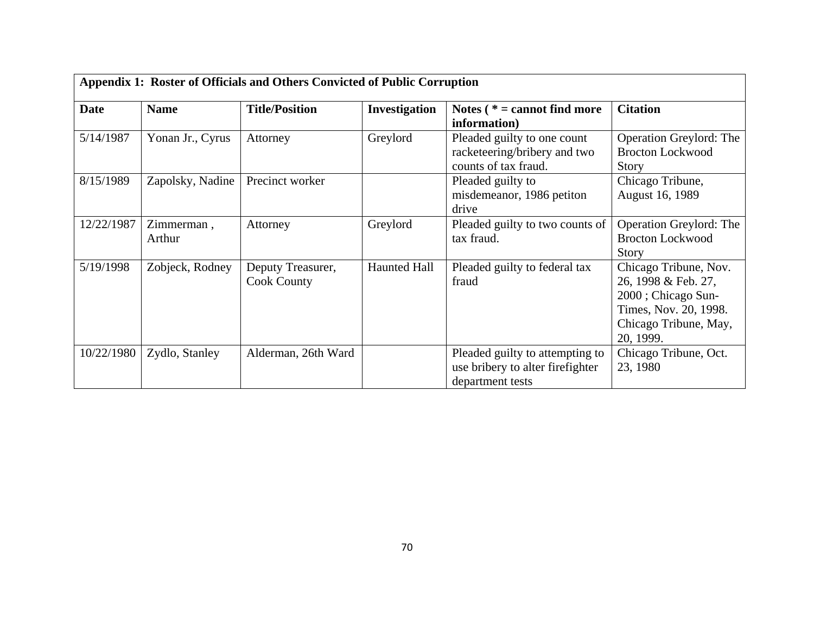| Appendix 1: Roster of Officials and Others Convicted of Public Corruption |                      |                                         |                      |                                                                                         |                                                                                                                                   |
|---------------------------------------------------------------------------|----------------------|-----------------------------------------|----------------------|-----------------------------------------------------------------------------------------|-----------------------------------------------------------------------------------------------------------------------------------|
| <b>Date</b>                                                               | <b>Name</b>          | <b>Title/Position</b>                   | <b>Investigation</b> | Notes $(* = cannot find more)$<br>information)                                          | <b>Citation</b>                                                                                                                   |
| 5/14/1987                                                                 | Yonan Jr., Cyrus     | Attorney                                | Greylord             | Pleaded guilty to one count<br>racketeering/bribery and two<br>counts of tax fraud.     | <b>Operation Greylord: The</b><br><b>Brocton Lockwood</b><br><b>Story</b>                                                         |
| 8/15/1989                                                                 | Zapolsky, Nadine     | Precinct worker                         |                      | Pleaded guilty to<br>misdemeanor, 1986 petiton<br>drive                                 | Chicago Tribune,<br>August 16, 1989                                                                                               |
| 12/22/1987                                                                | Zimmerman,<br>Arthur | Attorney                                | Greylord             | Pleaded guilty to two counts of<br>tax fraud.                                           | <b>Operation Greylord: The</b><br><b>Brocton Lockwood</b><br><b>Story</b>                                                         |
| 5/19/1998                                                                 | Zobjeck, Rodney      | Deputy Treasurer,<br><b>Cook County</b> | <b>Haunted Hall</b>  | Pleaded guilty to federal tax<br>fraud                                                  | Chicago Tribune, Nov.<br>26, 1998 & Feb. 27,<br>2000; Chicago Sun-<br>Times, Nov. 20, 1998.<br>Chicago Tribune, May,<br>20, 1999. |
| 10/22/1980                                                                | Zydlo, Stanley       | Alderman, 26th Ward                     |                      | Pleaded guilty to attempting to<br>use bribery to alter firefighter<br>department tests | Chicago Tribune, Oct.<br>23, 1980                                                                                                 |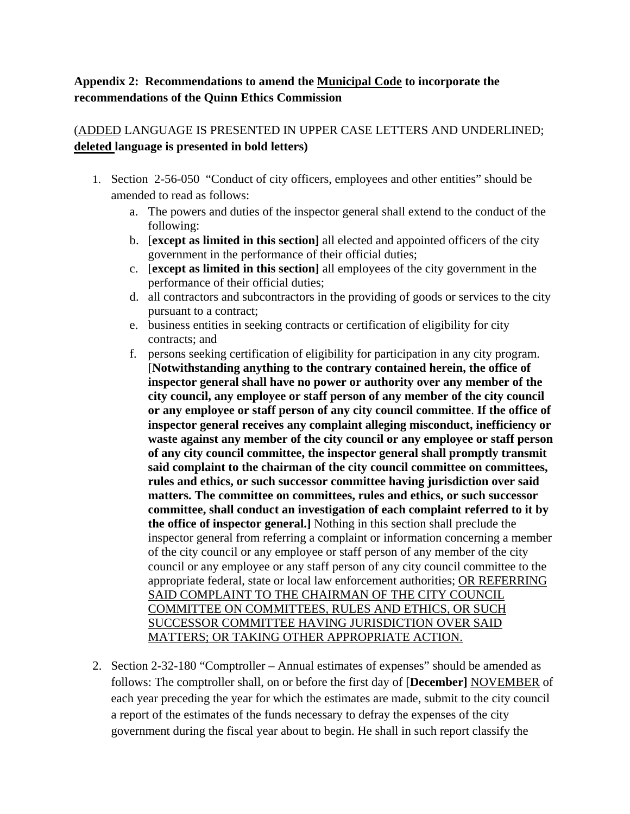## **Appendix 2: Recommendations to amend the Municipal Code to incorporate the recommendations of the Quinn Ethics Commission**

## (ADDED LANGUAGE IS PRESENTED IN UPPER CASE LETTERS AND UNDERLINED; **deleted language is presented in bold letters)**

- 1. Section 2-56-050 "Conduct of city officers, employees and other entities" should be amended to read as follows:
	- a. The powers and duties of the inspector general shall extend to the conduct of the following:
	- b. [**except as limited in this section]** all elected and appointed officers of the city government in the performance of their official duties;
	- c. [**except as limited in this section]** all employees of the city government in the performance of their official duties;
	- d. all contractors and subcontractors in the providing of goods or services to the city pursuant to a contract;
	- e. business entities in seeking contracts or certification of eligibility for city contracts; and
	- f. persons seeking certification of eligibility for participation in any city program. [**Notwithstanding anything to the contrary contained herein, the office of inspector general shall have no power or authority over any member of the city council, any employee or staff person of any member of the city council or any employee or staff person of any city council committee**. **If the office of inspector general receives any complaint alleging misconduct, inefficiency or waste against any member of the city council or any employee or staff person of any city council committee, the inspector general shall promptly transmit said complaint to the chairman of the city council committee on committees, rules and ethics, or such successor committee having jurisdiction over said matters. The committee on committees, rules and ethics, or such successor committee, shall conduct an investigation of each complaint referred to it by the office of inspector general.]** Nothing in this section shall preclude the inspector general from referring a complaint or information concerning a member of the city council or any employee or staff person of any member of the city council or any employee or any staff person of any city council committee to the appropriate federal, state or local law enforcement authorities; OR REFERRING SAID COMPLAINT TO THE CHAIRMAN OF THE CITY COUNCIL COMMITTEE ON COMMITTEES, RULES AND ETHICS, OR SUCH SUCCESSOR COMMITTEE HAVING JURISDICTION OVER SAID MATTERS; OR TAKING OTHER APPROPRIATE ACTION.
- 2. Section 2-32-180 "Comptroller Annual estimates of expenses" should be amended as follows: The comptroller shall, on or before the first day of [**December]** NOVEMBER of each year preceding the year for which the estimates are made, submit to the city council a report of the estimates of the funds necessary to defray the expenses of the city government during the fiscal year about to begin. He shall in such report classify the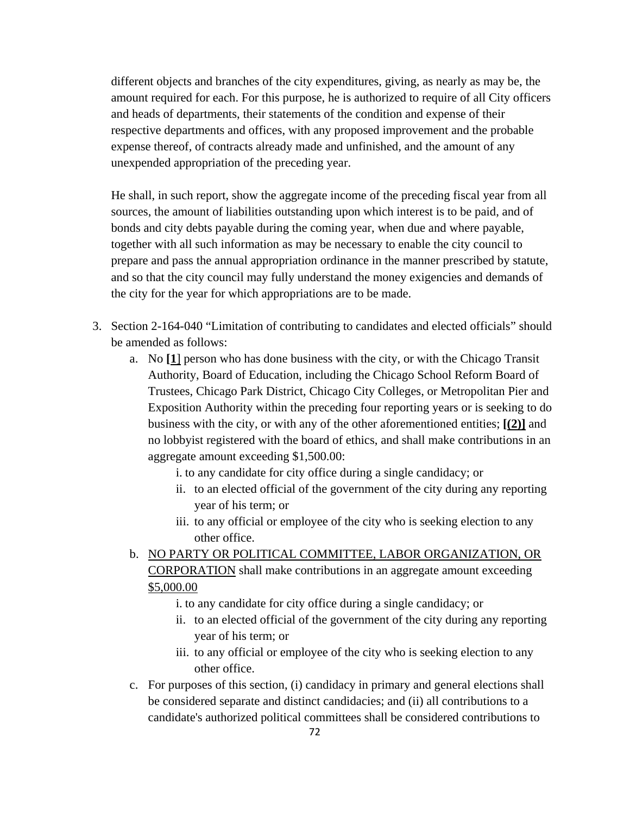different objects and branches of the city expenditures, giving, as nearly as may be, the amount required for each. For this purpose, he is authorized to require of all City officers and heads of departments, their statements of the condition and expense of their respective departments and offices, with any proposed improvement and the probable expense thereof, of contracts already made and unfinished, and the amount of any unexpended appropriation of the preceding year.

He shall, in such report, show the aggregate income of the preceding fiscal year from all sources, the amount of liabilities outstanding upon which interest is to be paid, and of bonds and city debts payable during the coming year, when due and where payable, together with all such information as may be necessary to enable the city council to prepare and pass the annual appropriation ordinance in the manner prescribed by statute, and so that the city council may fully understand the money exigencies and demands of the city for the year for which appropriations are to be made.

- 3. Section 2-164-040 "Limitation of contributing to candidates and elected officials" should be amended as follows:
	- a. No **[1**] person who has done business with the city, or with the Chicago Transit Authority, Board of Education, including the Chicago School Reform Board of Trustees, Chicago Park District, Chicago City Colleges, or Metropolitan Pier and Exposition Authority within the preceding four reporting years or is seeking to do business with the city, or with any of the other aforementioned entities; **[(2)]** and no lobbyist registered with the board of ethics, and shall make contributions in an aggregate amount exceeding \$1,500.00:

i. to any candidate for city office during a single candidacy; or

- ii. to an elected official of the government of the city during any reporting year of his term; or
- iii. to any official or employee of the city who is seeking election to any other office.
- b. NO PARTY OR POLITICAL COMMITTEE, LABOR ORGANIZATION, OR CORPORATION shall make contributions in an aggregate amount exceeding \$5,000.00
	- i. to any candidate for city office during a single candidacy; or
	- ii. to an elected official of the government of the city during any reporting year of his term; or
	- iii. to any official or employee of the city who is seeking election to any other office.
- c. For purposes of this section, (i) candidacy in primary and general elections shall be considered separate and distinct candidacies; and (ii) all contributions to a candidate's authorized political committees shall be considered contributions to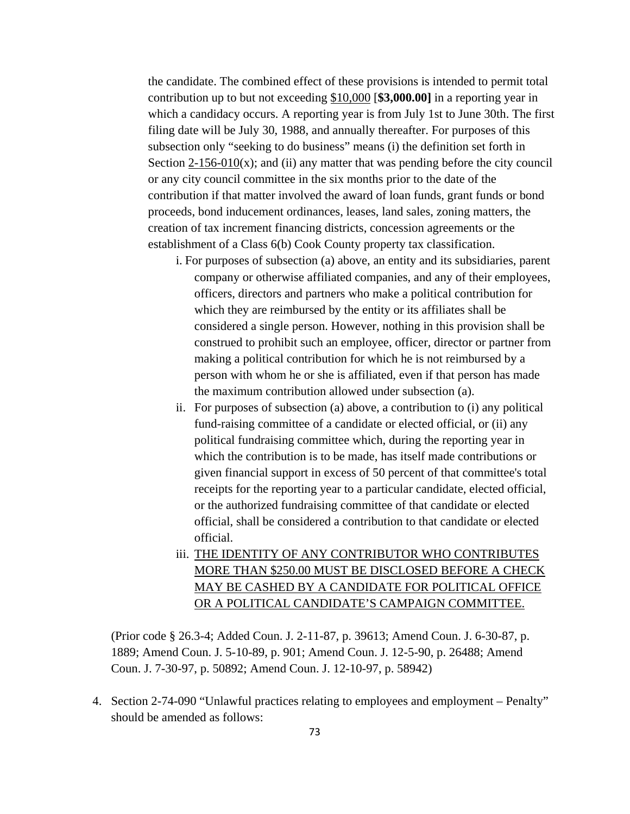the candidate. The combined effect of these provisions is intended to permit total contribution up to but not exceeding \$10,000 [**\$3,000.00]** in a reporting year in which a candidacy occurs. A reporting year is from July 1st to June 30th. The first filing date will be July 30, 1988, and annually thereafter. For purposes of this subsection only "seeking to do business" means (i) the definition set forth in Section  $2-156-010(x)$ ; and (ii) any matter that was pending before the city council or any city council committee in the six months prior to the date of the contribution if that matter involved the award of loan funds, grant funds or bond proceeds, bond inducement ordinances, leases, land sales, zoning matters, the creation of tax increment financing districts, concession agreements or the establishment of a Class 6(b) Cook County property tax classification.

- i. For purposes of subsection (a) above, an entity and its subsidiaries, parent company or otherwise affiliated companies, and any of their employees, officers, directors and partners who make a political contribution for which they are reimbursed by the entity or its affiliates shall be considered a single person. However, nothing in this provision shall be construed to prohibit such an employee, officer, director or partner from making a political contribution for which he is not reimbursed by a person with whom he or she is affiliated, even if that person has made the maximum contribution allowed under subsection (a).
- ii. For purposes of subsection (a) above, a contribution to (i) any political fund-raising committee of a candidate or elected official, or (ii) any political fundraising committee which, during the reporting year in which the contribution is to be made, has itself made contributions or given financial support in excess of 50 percent of that committee's total receipts for the reporting year to a particular candidate, elected official, or the authorized fundraising committee of that candidate or elected official, shall be considered a contribution to that candidate or elected official.
- iii. THE IDENTITY OF ANY CONTRIBUTOR WHO CONTRIBUTES MORE THAN \$250.00 MUST BE DISCLOSED BEFORE A CHECK MAY BE CASHED BY A CANDIDATE FOR POLITICAL OFFICE OR A POLITICAL CANDIDATE'S CAMPAIGN COMMITTEE.

(Prior code § 26.3-4; Added Coun. J. 2-11-87, p. 39613; Amend Coun. J. 6-30-87, p. 1889; Amend Coun. J. 5-10-89, p. 901; Amend Coun. J. 12-5-90, p. 26488; Amend Coun. J. 7-30-97, p. 50892; Amend Coun. J. 12-10-97, p. 58942)

4. Section 2-74-090 "Unlawful practices relating to employees and employment – Penalty" should be amended as follows: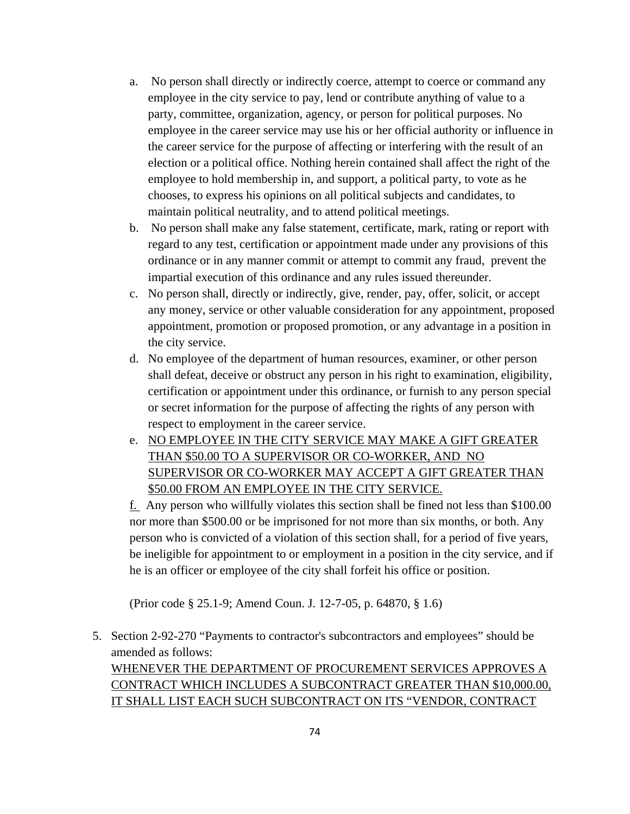- a. No person shall directly or indirectly coerce, attempt to coerce or command any employee in the city service to pay, lend or contribute anything of value to a party, committee, organization, agency, or person for political purposes. No employee in the career service may use his or her official authority or influence in the career service for the purpose of affecting or interfering with the result of an election or a political office. Nothing herein contained shall affect the right of the employee to hold membership in, and support, a political party, to vote as he chooses, to express his opinions on all political subjects and candidates, to maintain political neutrality, and to attend political meetings.
- b. No person shall make any false statement, certificate, mark, rating or report with regard to any test, certification or appointment made under any provisions of this ordinance or in any manner commit or attempt to commit any fraud, prevent the impartial execution of this ordinance and any rules issued thereunder.
- c. No person shall, directly or indirectly, give, render, pay, offer, solicit, or accept any money, service or other valuable consideration for any appointment, proposed appointment, promotion or proposed promotion, or any advantage in a position in the city service.
- d. No employee of the department of human resources, examiner, or other person shall defeat, deceive or obstruct any person in his right to examination, eligibility, certification or appointment under this ordinance, or furnish to any person special or secret information for the purpose of affecting the rights of any person with respect to employment in the career service.
- e. NO EMPLOYEE IN THE CITY SERVICE MAY MAKE A GIFT GREATER THAN \$50.00 TO A SUPERVISOR OR CO-WORKER, AND NO SUPERVISOR OR CO-WORKER MAY ACCEPT A GIFT GREATER THAN \$50.00 FROM AN EMPLOYEE IN THE CITY SERVICE.

f. Any person who willfully violates this section shall be fined not less than \$100.00 nor more than \$500.00 or be imprisoned for not more than six months, or both. Any person who is convicted of a violation of this section shall, for a period of five years, be ineligible for appointment to or employment in a position in the city service, and if he is an officer or employee of the city shall forfeit his office or position.

(Prior code § 25.1-9; Amend Coun. J. 12-7-05, p. 64870, § 1.6)

5. Section 2-92-270 "Payments to contractor's subcontractors and employees" should be amended as follows:

WHENEVER THE DEPARTMENT OF PROCUREMENT SERVICES APPROVES A CONTRACT WHICH INCLUDES A SUBCONTRACT GREATER THAN \$10,000.00, IT SHALL LIST EACH SUCH SUBCONTRACT ON ITS "VENDOR, CONTRACT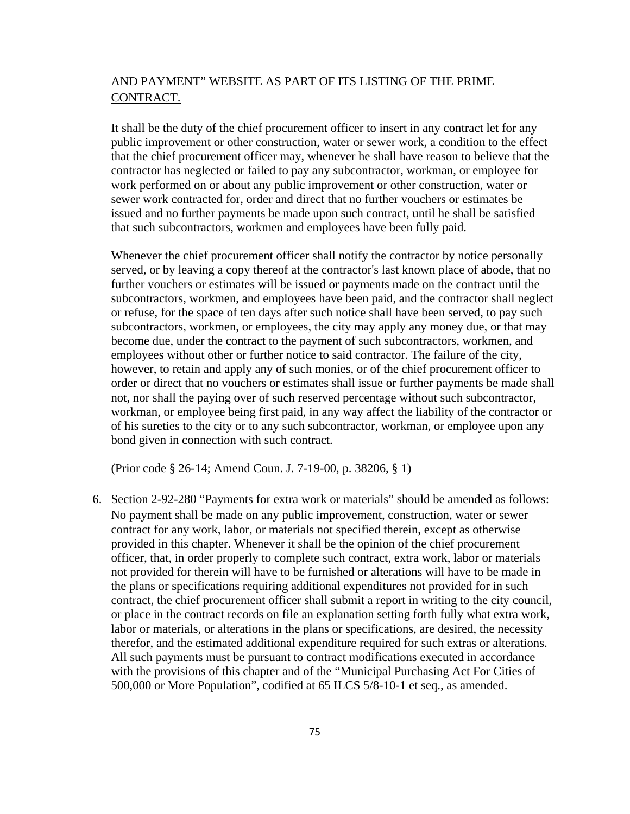## AND PAYMENT" WEBSITE AS PART OF ITS LISTING OF THE PRIME CONTRACT.

It shall be the duty of the chief procurement officer to insert in any contract let for any public improvement or other construction, water or sewer work, a condition to the effect that the chief procurement officer may, whenever he shall have reason to believe that the contractor has neglected or failed to pay any subcontractor, workman, or employee for work performed on or about any public improvement or other construction, water or sewer work contracted for, order and direct that no further vouchers or estimates be issued and no further payments be made upon such contract, until he shall be satisfied that such subcontractors, workmen and employees have been fully paid.

Whenever the chief procurement officer shall notify the contractor by notice personally served, or by leaving a copy thereof at the contractor's last known place of abode, that no further vouchers or estimates will be issued or payments made on the contract until the subcontractors, workmen, and employees have been paid, and the contractor shall neglect or refuse, for the space of ten days after such notice shall have been served, to pay such subcontractors, workmen, or employees, the city may apply any money due, or that may become due, under the contract to the payment of such subcontractors, workmen, and employees without other or further notice to said contractor. The failure of the city, however, to retain and apply any of such monies, or of the chief procurement officer to order or direct that no vouchers or estimates shall issue or further payments be made shall not, nor shall the paying over of such reserved percentage without such subcontractor, workman, or employee being first paid, in any way affect the liability of the contractor or of his sureties to the city or to any such subcontractor, workman, or employee upon any bond given in connection with such contract.

(Prior code § 26-14; Amend Coun. J. 7-19-00, p. 38206, § 1)

6. Section 2-92-280 "Payments for extra work or materials" should be amended as follows: No payment shall be made on any public improvement, construction, water or sewer contract for any work, labor, or materials not specified therein, except as otherwise provided in this chapter. Whenever it shall be the opinion of the chief procurement officer, that, in order properly to complete such contract, extra work, labor or materials not provided for therein will have to be furnished or alterations will have to be made in the plans or specifications requiring additional expenditures not provided for in such contract, the chief procurement officer shall submit a report in writing to the city council, or place in the contract records on file an explanation setting forth fully what extra work, labor or materials, or alterations in the plans or specifications, are desired, the necessity therefor, and the estimated additional expenditure required for such extras or alterations. All such payments must be pursuant to contract modifications executed in accordance with the provisions of this chapter and of the "Municipal Purchasing Act For Cities of 500,000 or More Population", codified at 65 ILCS 5/8-10-1 et seq., as amended.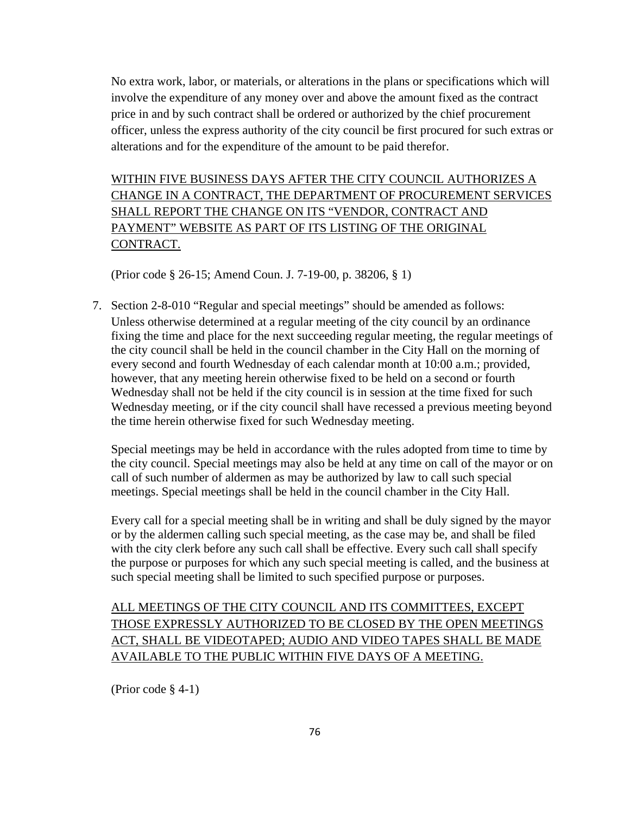No extra work, labor, or materials, or alterations in the plans or specifications which will involve the expenditure of any money over and above the amount fixed as the contract price in and by such contract shall be ordered or authorized by the chief procurement officer, unless the express authority of the city council be first procured for such extras or alterations and for the expenditure of the amount to be paid therefor.

WITHIN FIVE BUSINESS DAYS AFTER THE CITY COUNCIL AUTHORIZES A CHANGE IN A CONTRACT, THE DEPARTMENT OF PROCUREMENT SERVICES SHALL REPORT THE CHANGE ON ITS "VENDOR, CONTRACT AND PAYMENT" WEBSITE AS PART OF ITS LISTING OF THE ORIGINAL CONTRACT.

(Prior code § 26-15; Amend Coun. J. 7-19-00, p. 38206, § 1)

7. Section 2-8-010 "Regular and special meetings" should be amended as follows: Unless otherwise determined at a regular meeting of the city council by an ordinance fixing the time and place for the next succeeding regular meeting, the regular meetings of the city council shall be held in the council chamber in the City Hall on the morning of every second and fourth Wednesday of each calendar month at 10:00 a.m.; provided, however, that any meeting herein otherwise fixed to be held on a second or fourth Wednesday shall not be held if the city council is in session at the time fixed for such Wednesday meeting, or if the city council shall have recessed a previous meeting beyond the time herein otherwise fixed for such Wednesday meeting.

Special meetings may be held in accordance with the rules adopted from time to time by the city council. Special meetings may also be held at any time on call of the mayor or on call of such number of aldermen as may be authorized by law to call such special meetings. Special meetings shall be held in the council chamber in the City Hall.

Every call for a special meeting shall be in writing and shall be duly signed by the mayor or by the aldermen calling such special meeting, as the case may be, and shall be filed with the city clerk before any such call shall be effective. Every such call shall specify the purpose or purposes for which any such special meeting is called, and the business at such special meeting shall be limited to such specified purpose or purposes.

## ALL MEETINGS OF THE CITY COUNCIL AND ITS COMMITTEES, EXCEPT THOSE EXPRESSLY AUTHORIZED TO BE CLOSED BY THE OPEN MEETINGS ACT, SHALL BE VIDEOTAPED; AUDIO AND VIDEO TAPES SHALL BE MADE AVAILABLE TO THE PUBLIC WITHIN FIVE DAYS OF A MEETING.

(Prior code § 4-1)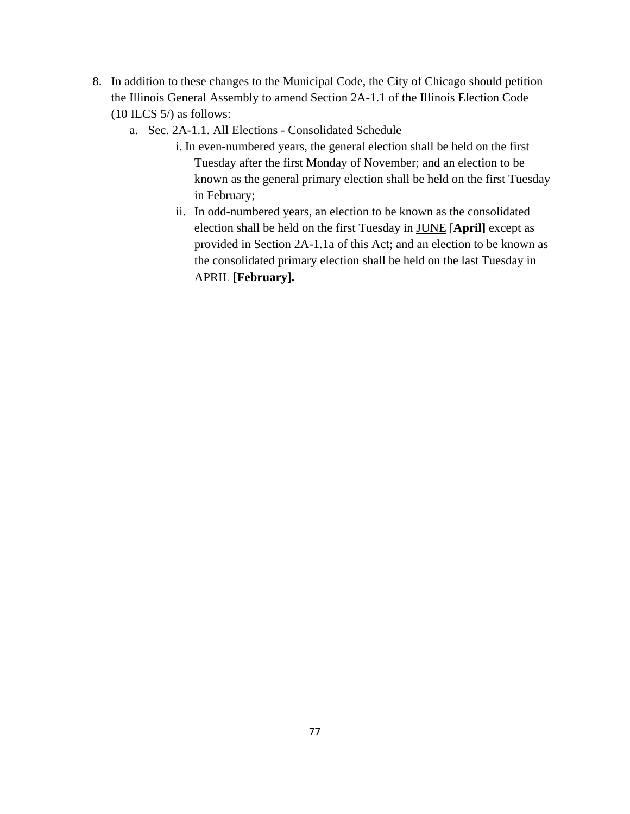- 8. In addition to these changes to the Municipal Code, the City of Chicago should petition the Illinois General Assembly to amend Section 2A-1.1 of the Illinois Election Code  $(10$  ILCS 5/) as follows:
	- a. Sec. 2A-1.1. All Elections Consolidated Schedule
		- i. In even-numbered years, the general election shall be held on the first Tuesday after the first Monday of November; and an election to be known as the general primary election shall be held on the first Tuesday in February;
		- ii. In odd-numbered years, an election to be known as the consolidated election shall be held on the first Tuesday in JUNE [**April]** except as provided in Section 2A-1.1a of this Act; and an election to be known as the consolidated primary election shall be held on the last Tuesday in APRIL [**February].**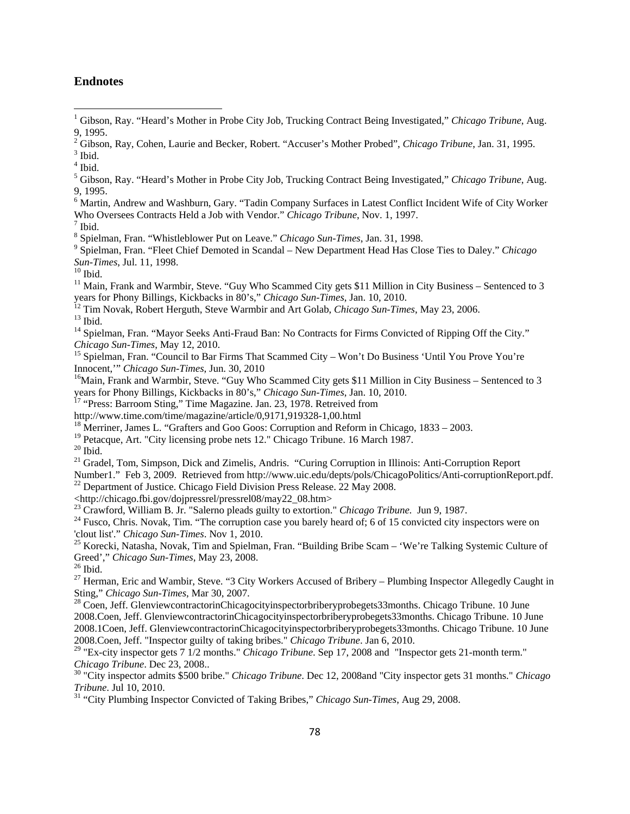## **Endnotes**

- <sup>2</sup> Gibson, Ray, Cohen, Laurie and Becker, Robert. "Accuser's Mother Probed", *Chicago Tribune*, Jan. 31, 1995.<br><sup>3</sup> Ibid
- $3$  Ibid.
- 4 Ibid.
- 5 Gibson, Ray. "Heard's Mother in Probe City Job, Trucking Contract Being Investigated," *Chicago Tribune*, Aug. 9, 1995.
- <sup>6</sup> Martin, Andrew and Washburn, Gary. "Tadin Company Surfaces in Latest Conflict Incident Wife of City Worker Who Oversees Contracts Held a Job with Vendor." *Chicago Tribune*, Nov. 1, 1997.
- $<sup>7</sup>$  Ibid.</sup>
- <sup>8</sup> Spielman, Fran. "Whistleblower Put on Leave." *Chicago Sun-Times*, Jan. 31, 1998.<br><sup>9</sup> Spielman, Fran. "Flast Chief Damated in Seandal... Naw Danartment Head Hea Clear

 Spielman, Fran. "Fleet Chief Demoted in Scandal – New Department Head Has Close Ties to Daley." *Chicago Sun-Times*, Jul. 11, 1998.<br><sup>10</sup> Ibid.

 $11$  Main, Frank and Warmbir, Steve. "Guy Who Scammed City gets \$11 Million in City Business – Sentenced to 3

years for Phony Billings, Kickbacks in 80's," *Chicago Sun-Times*, Jan. 10, 2010.<br><sup>12</sup> Tim Novak, Robert Herguth, Steve Warmbir and Art Golab, *Chicago Sun-Times*, May 23, 2006.<br><sup>13</sup> Ibid.

<sup>14</sup> Spielman, Fran. "Mayor Seeks Anti-Fraud Ban: No Contracts for Firms Convicted of Ripping Off the City."<br>Chicago Sun-Times, May 12, 2010.

<sup>15</sup> Spielman, Fran. "Council to Bar Firms That Scammed City – Won't Do Business 'Until You Prove You're Innocent," *Chicago Sun-Times*, Jun. 30, 2010

<sup>16</sup>Main, Frank and Warmbir, Steve. "Guy Who Scammed City gets \$11 Million in City Business – Sentenced to 3 years for Phony Billings, Kickbacks in 80's," *Chicago Sun-Times*, Jan. 10, 2010.

<sup>17</sup> "Press: Barroom Sting," Time Magazine. Jan. 23, 1978. Retreived from http://www.time.com/time/magazine/article/0,9171,919328-1,00.html

- <sup>18</sup> Merriner, James L. "Grafters and Goo Goos: Corruption and Reform in Chicago, 1833 2003.
- <sup>19</sup> Petacque, Art. "City licensing probe nets 12." Chicago Tribune. 16 March 1987.

 $20$  Ibid.

<sup>21</sup> Gradel, Tom, Simpson, Dick and Zimelis, Andris. "Curing Corruption in Illinois: Anti-Corruption Report

Number1." Feb 3, 2009. Retrieved from http://www.uic.edu/depts/pols/ChicagoPolitics/Anti-corruptionReport.pdf.

 $^{22}$  Department of Justice. Chicago Field Division Press Release. 22 May 2008.

<http://chicago.fbi.gov/dojpressrel/pressrel08/may22\_08.htm><br><sup>23</sup> Crawford, William B. Jr. "Salerno pleads guilty to extortion." *Chicago Tribune*. Jun 9, 1987.

<sup>24</sup> Fusco, Chris. Novak, Tim. "The corruption case you barely heard of; 6 of 15 convicted city inspectors were on 'clout list'." *Chicago Sun-Times*. Nov 1, 2010.

<sup>25</sup> Korecki, Natasha, Novak, Tim and Spielman, Fran. "Building Bribe Scam – 'We're Talking Systemic Culture of Greed'," *Chicago Sun-Times*, May 23, 2008.<br><sup>26</sup> Ibid.

<sup>27</sup> Herman, Eric and Wambir, Steve. "3 City Workers Accused of Bribery – Plumbing Inspector Allegedly Caught in Sting," *Chicago Sun-Times*, Mar 30, 2007.

<sup>28</sup> Coen. Jeff. GlenviewcontractorinChicagocityinspectorbriberyprobegets33months. Chicago Tribune. 10 June 2008.Coen, Jeff. GlenviewcontractorinChicagocityinspectorbriberyprobegets33months. Chicago Tribune. 10 June 2008.1Coen, Jeff. GlenviewcontractorinChicagocityinspectorbriberyprobegets33months. Chicago Tribune. 10 June 2008.Coen, Jeff. "Inspector guilty of taking bribes." *Chicago Tribune*. Jan 6, 2010.

<sup>29</sup> "Ex-city inspector gets 7 1/2 months." *Chicago Tribune*. Sep 17, 2008 and "Inspector gets 21-month term."<br>*Chicago Tribune*. Dec 23, 2008..

<sup>30</sup> "City inspector admits \$500 bribe." *Chicago Tribune*. Dec 12, 2008 and "City inspector gets 31 months." *Chicago Tribune*. Jul 10, 2010.

<sup>31</sup> "City Plumbing Inspector Convicted of Taking Bribes," *Chicago Sun-Times*, Aug 29, 2008.

<sup>&</sup>lt;sup>1</sup> Gibson, Ray. "Heard's Mother in Probe City Job, Trucking Contract Being Investigated," *Chicago Tribune*, Aug. 9, 1995.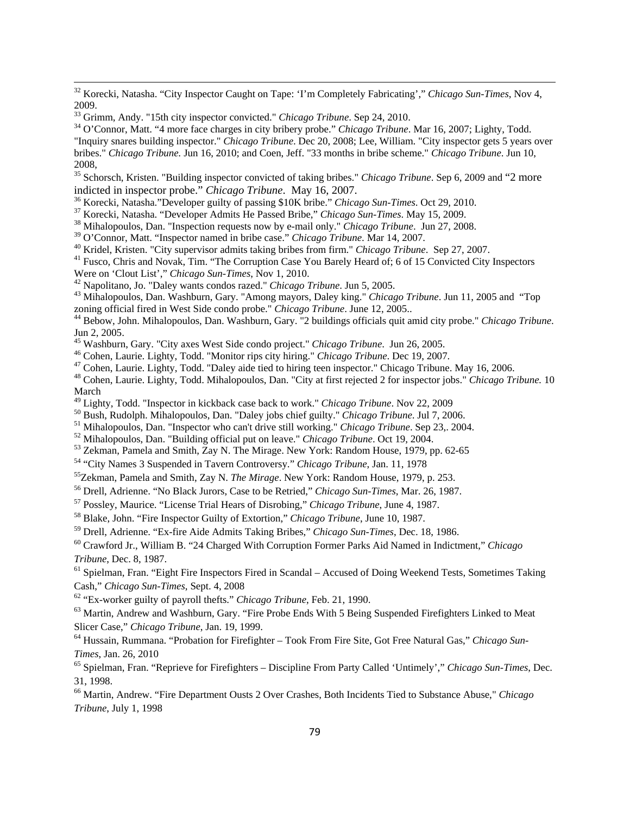32 Korecki, Natasha. "City Inspector Caught on Tape: 'I'm Completely Fabricating'," *Chicago Sun-Times*, Nov 4, 2009.<br><sup>33</sup> Grimm, Andy. "15th city inspector convicted." *Chicago Tribune*. Sep 24, 2010.

<u> 1989 - Johann Stoff, amerikansk politiker (d. 1989)</u>

<sup>34</sup> O'Connor, Matt. "4 more face charges in city bribery probe." *Chicago Tribune*. Mar 16, 2007; Lighty, Todd.

<sup>35</sup> Schorsch, Kristen. "Building inspector convicted of taking bribes." *Chicago Tribune*. Sep 6, 2009 and "2 more indicted in inspector probe." *Chicago Tribune*. May 16, 2007.

<sup>36</sup> Korecki, Natasha."Developer guilty of passing \$10K bribe." Chicago Sun-Times. Oct 29, 2010.<br><sup>37</sup> Korecki, Natasha. "Developer Admits He Passed Bribe," Chicago Sun-Times. May 15, 2009.<br><sup>38</sup> Mihalopoulos, Dan. "Inspect

<sup>40</sup> Kridel, Kristen. "City supervisor admits taking bribes from firm." *Chicago Tribune*. Sep 27, 2007.<br><sup>41</sup> Fusco, Chris and Novak, Tim. "The Corruption Case You Barely Heard of; 6 of 15 Convicted City Inspectors Were o

- 
- 

<sup>42</sup> Napolitano, Jo. "Daley wants condos razed." *Chicago Tribune*. Jun 5, 2005.<br><sup>43</sup> Mihalopoulos, Dan. Washburn, Gary. "Among mayors, Daley king." *Chicago Tribune*. Jun 11, 2005 and "Top zoning official fired in West Side condo probe." *Chicago Tribune*. June 12, 2005.. 44 Bebow, John. Mihalopoulos, Dan. Washburn, Gary. "2 buildings officials quit amid city probe." *Chicago Tribune*.

Jun 2, 2005.<br><sup>45</sup> Washburn, Gary. "City axes West Side condo project." *Chicago Tribune*. Jun 26, 2005.

<sup>46</sup> Cohen, Laurie. Lighty, Todd. "Monitor rips city hiring." *Chicago Tribune*. Dec 19, 2007.<br><sup>47</sup> Cohen, Laurie. Lighty, Todd. "Daley aide tied to hiring teen inspector." Chicago Tribune. May 16, 2006.<br><sup>48</sup> Cohen, Laurie

March<br><sup>49</sup> Lighty, Todd. "Inspector in kickback case back to work." *Chicago Tribune*. Nov 22, 2009

<sup>50</sup> Bush, Rudolph. Mihalopoulos, Dan. "Daley jobs chief guilty." *Chicago Tribune*. Jul 7, 2006.<br><sup>51</sup> Mihalopoulos, Dan. "Inspector who can't drive still working." *Chicago Tribune*. Sep 23,. 2004.<br><sup>52</sup> Mihalopoulos, Dan

54 "City Names 3 Suspended in Tavern Controversy." *Chicago Tribune*, Jan. 11, 1978

55Zekman, Pamela and Smith, Zay N. *The Mirage*. New York: Random House, 1979, p. 253.

56 Drell, Adrienne. "No Black Jurors, Case to be Retried," *Chicago Sun-Times*, Mar. 26, 1987.

57 Possley, Maurice. "License Trial Hears of Disrobing," *Chicago Tribune*, June 4, 1987.

58 Blake, John. "Fire Inspector Guilty of Extortion," *Chicago Tribune*, June 10, 1987.

59 Drell, Adrienne. "Ex-fire Aide Admits Taking Bribes," *Chicago Sun-Times*, Dec. 18, 1986.

60 Crawford Jr., William B. "24 Charged With Corruption Former Parks Aid Named in Indictment," *Chicago Tribune*, Dec. 8, 1987.

<sup>61</sup> Spielman, Fran. "Eight Fire Inspectors Fired in Scandal – Accused of Doing Weekend Tests, Sometimes Taking Cash," *Chicago Sun-Times*, Sept. 4, 2008

62 ["Ex-worker guilty of payroll thefts](http://pqasb.pqarchiver.com/chicagotribune/access/28812063.html?FMT=ABS&FMTS=ABS:FT&type=current&date=Feb+21%2C+1990&author=&pub=Chicago+Tribune+(pre-1997+Fulltext)&edition=&startpage=3&desc=Ex-worker+guilty+of+payroll+thefts)." *Chicago Tribune*, Feb. 21, 1990.

<sup>63</sup> Martin, Andrew and Washburn, Gary. "Fire Probe Ends With 5 Being Suspended Firefighters Linked to Meat Slicer Case," *Chicago Tribune*, Jan. 19, 1999.

64 Hussain, Rummana. "Probation for Firefighter – Took From Fire Site, Got Free Natural Gas," *Chicago Sun-Times*, Jan. 26, 2010

65 Spielman, Fran. "Reprieve for Firefighters – Discipline From Party Called 'Untimely'," *Chicago Sun-Times*, Dec. 31, 1998.

66 Martin, Andrew. "Fire Department Ousts 2 Over Crashes, Both Incidents Tied to Substance Abuse," *Chicago Tribune*, July 1, 1998

<sup>&</sup>quot;Inquiry snares building inspector." *Chicago Tribune*. Dec 20, 2008; Lee, William. "City inspector gets 5 years over bribes." *Chicago Tribune.* Jun 16, 2010; and Coen, Jeff. "33 months in bribe scheme." *Chicago Tribune*. Jun 10, 2008,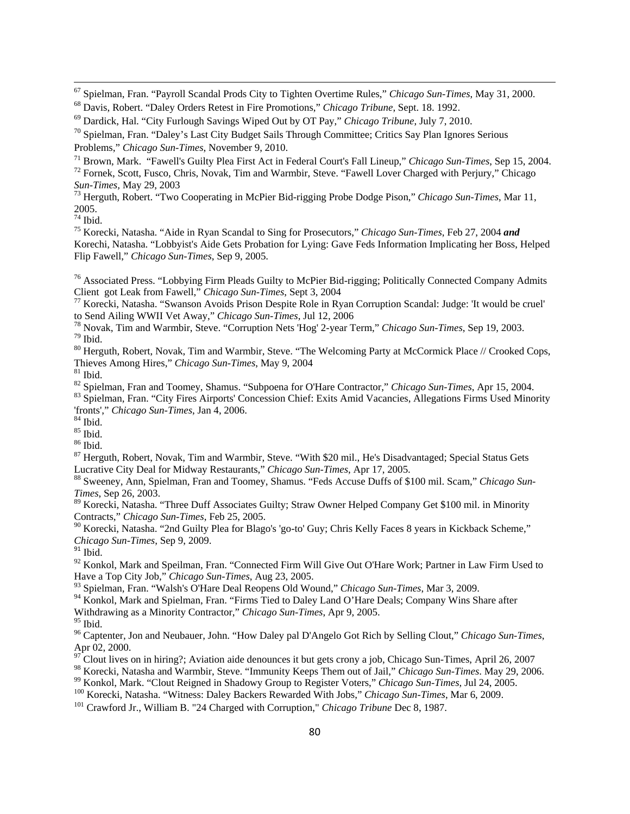67 Spielman, Fran. "Payroll Scandal Prods City to Tighten Overtime Rules," *Chicago Sun-Times*, May 31, 2000.

<u> 1989 - Johann Stoff, amerikansk politiker (d. 1989)</u>

69 Dardick, Hal. "City Furlough Savings Wiped Out by OT Pay," *Chicago Tribune*, July 7, 2010.

<sup>72</sup> Fornek, Scott, Fusco, Chris, Novak, Tim and Warmbir, Steve. "Fawell Lover Charged with Perjury," Chicago Sun-Times, May 29, 2003

<sup>73</sup> Herguth, Robert. "Two Cooperating in McPier Bid-rigging Probe Dodge Pison," *Chicago Sun-Times*, Mar 11, 2005.

 $74$  Ibid.

75 Korecki, Natasha. "Aide in Ryan Scandal to Sing for Prosecutors," *Chicago Sun-Times*, Feb 27, 2004 *and* Korechi, Natasha. "Lobbyist's Aide Gets Probation for Lying: Gave Feds Information Implicating her Boss, Helped Flip Fawell," *Chicago Sun-Times*, Sep 9, 2005.

<sup>76</sup> Associated Press. "Lobbying Firm Pleads Guilty to McPier Bid-rigging; Politically Connected Company Admits<br>Client got Leak from Fawell," Chicago Sun-Times, Sept 3, 2004

<sup>77</sup> Korecki, Natasha. "Swanson Avoids Prison Despite Role in Ryan Corruption Scandal: Judge: 'It would be cruel' to Send Ailing WWII Vet Away," Chicago Sun-Times, Jul 12, 2006

<sup>78</sup> Novak, Tim and Warmbir, Steve. "Corruption Nets 'Hog' 2-year Term," *Chicago Sun-Times*, Sep 19, 2003. <sup>79</sup> Ibid.

<sup>80</sup> Herguth, Robert, Novak, Tim and Warmbir, Steve. "The Welcoming Party at McCormick Place // Crooked Cops, Thieves Among Hires," *Chicago Sun-Times*, May 9, 2004<br><sup>81</sup> Ibid.<br><sup>82</sup> Spielman, Fran and Toomey, Shamus. "Subpoena for O'Hare Contractor," *Chicago Sun-Times*, Apr 15, 2004.

<sup>83</sup> Spielman, Fran. "City Fires Airports' Concession Chief: Exits Amid Vacancies, Allegations Firms Used Minority 'fronts'," *Chicago Sun-Times*, Jan 4, 2006. 84 Ibid.

85 Ibid.

 $^{86}$  Ibid.

87 Herguth, Robert, Novak, Tim and Warmbir, Steve. "With \$20 mil., He's Disadvantaged; Special Status Gets Lucrative City Deal for Midway Restaurants," *Chicago Sun-Times*, Apr 17, 2005.<br><sup>88</sup> Sweeney, Ann, Spielman, Fran and Toomey, Shamus. "Feds Accuse Duffs of \$100 mil. Scam," *Chicago Sun-*

*Times*, Sep 26, 2003.

89 Korecki, Natasha. "Three Duff Associates Guilty; Straw Owner Helped Company Get \$100 mil. in Minority Contracts," *Chicago Sun-Times*, Feb 25, 2005.

90 Korecki, Natasha. "2nd Guilty Plea for Blago's 'go-to' Guy; Chris Kelly Faces 8 years in Kickback Scheme," *Chicago Sun-Times*, Sep 9, 2009.

 $91$  Ibid.

 $92$  Konkol, Mark and Speilman, Fran. "Connected Firm Will Give Out O'Hare Work; Partner in Law Firm Used to Have a Top City Job," *Chicago Sun-Times*, Aug 23, 2005.

93 Spielman, Fran. "Walsh's O'Hare Deal Reopens Old Wound," *Chicago Sun-Times*, Mar 3, 2009.

<sup>94</sup> Konkol, Mark and Spielman, Fran. "Firms Tied to Daley Land O'Hare Deals; Company Wins Share after

Withdrawing as a Minority Contractor," *Chicago Sun-Times*, Apr 9, 2005.

 $^{95}$  Ibid.

96 Captenter, Jon and Neubauer, John. "How Daley pal D'Angelo Got Rich by Selling Clout," *Chicago Sun-Times*, Apr 02, 2000.

 $\frac{97}{2}$ Clout lives on in hiring?; Aviation aide denounces it but gets crony a job, Chicago Sun-Times, April 26, 2007

<sup>98</sup> Korecki, Natasha and Warmbir, Steve. "Immunity Keeps Them out of Jail," Chicago Sun-Times. May 29, 2006.<br><sup>99</sup> Konkol, Mark. "Clout Reigned in Shadowy Group to Register Voters," Chicago Sun-Times, Jul 24, 2005.<br><sup>100</sup> K

<sup>101</sup> Crawford Jr., William B. "24 Charged with Corruption," *Chicago Tribune* Dec 8, 1987.

<sup>68</sup> Davis, Robert. "Daley Orders Retest in Fire Promotions," *Chicago Tribune*, Sept. 18. 1992.

 $70$  Spielman, Fran. "Daley's Last City Budget Sails Through Committee; Critics Say Plan Ignores Serious Problems," *Chicago Sun-Times*, November 9, 2010.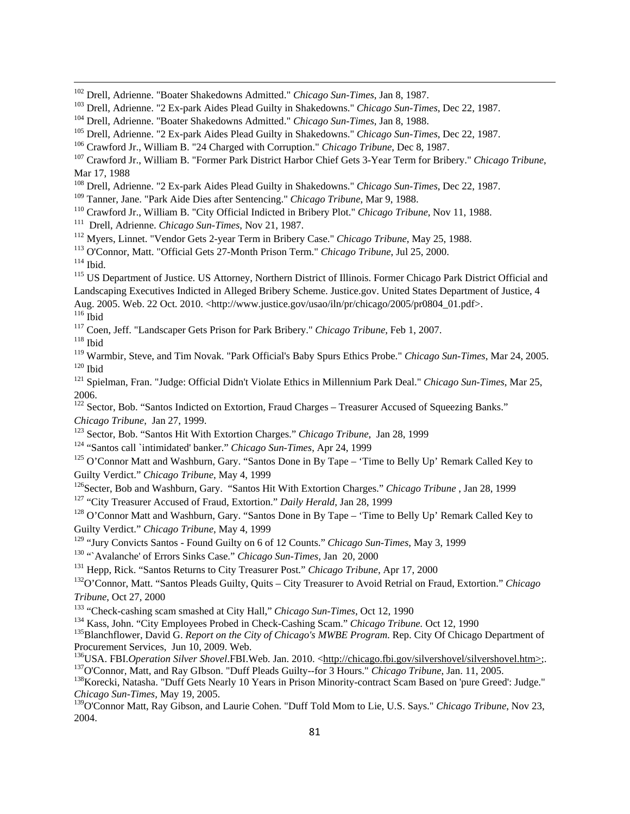<u> 1989 - Johann Stoff, amerikansk politiker (d. 1989)</u>

- <sup>109</sup> Tanner, Jane. "Park Aide Dies after Sentencing." *Chicago Tribune*, Mar 9, 1988.
- <sup>110</sup> Crawford Jr., William B. "City Official Indicted in Bribery Plot." *Chicago Tribune*, Nov 11, 1988.
- 111 Drell, Adrienne. *Chicago Sun-Times*, Nov 21, 1987.

<sup>112</sup> Myers, Linnet. "Vendor Gets 2-year Term in Bribery Case." *Chicago Tribune*, May 25, 1988.

113 O'Connor, Matt. "Official Gets 27-Month Prison Term." *Chicago Tribune*, Jul 25, 2000.

 $114$  Ibid.

<sup>115</sup> US Department of Justice. US Attorney, Northern District of Illinois. Former Chicago Park District Official and Landscaping Executives Indicted in Alleged Bribery Scheme. Justice.gov. United States Department of Justice, 4 Aug. 2005. Web. 22 Oct. 2010. <http://www.justice.gov/usao/iln/pr/chicago/2005/pr0804\_01.pdf>.  $116$  Ibid

<sup>117</sup> Coen, Jeff. "Landscaper Gets Prison for Park Bribery." *Chicago Tribune*, Feb 1, 2007.

 $118$  Ibid

119 Warmbir, Steve, and Tim Novak. "Park Official's Baby Spurs Ethics Probe." *Chicago Sun-Times*, Mar 24, 2005.  $120$  Ibid

121 Spielman, Fran. "Judge: Official Didn't Violate Ethics in Millennium Park Deal." *Chicago Sun-Times*, Mar 25, 2006.

<sup>122</sup> Sector, Bob. "Santos Indicted on Extortion, Fraud Charges – Treasurer Accused of Squeezing Banks." Chicago Tribune, Jan 27, 1999.<br><sup>123</sup> Sector, Bob. "Santos Hit With Extortion Charges." Chicago Tribune, Jan 28, 1999<br><sup>124</sup> "Santos call `intimidated' banker." Chicago Sun-Times, Apr 24, 1999<br><sup>125</sup> O'Connor Matt and Washbur

Guilty Verdict." Chicago Tribune, May 4, 1999<br><sup>126</sup>Secter, Bob and Washburn, Gary. "Santos Hit With Extortion Charges." Chicago Tribune, Jan 28, 1999<br><sup>127</sup> "City Treasurer Accused of Fraud, Extortion." Daily Herald, Jan 28

Guilty Verdict." *Chicago Tribune*, May 4, 1999<br><sup>129</sup> "Jury Convicts Santos - Found Guilty on 6 of 12 Counts." *Chicago Sun-Times*, May 3, 1999

<sup>130</sup> "Avalanche' of Errors Sinks Case." *Chicago Sun-Times*, Jan 20, 2000<br><sup>131</sup> Hepp, Rick. "Santos Returns to City Treasurer Post." *Chicago Tribune*, Apr 17, 2000<br><sup>132</sup>O'Connor, Matt. "Santos Pleads Guilty, Quits – City Tribune, Oct 27, 2000<br>
<sup>133</sup> "Check-cashing scam smashed at City Hall," *Chicago Sun-Times*, Oct 12, 1990<br>
<sup>134</sup> Kass, John. "City Employees Probed in Check-Cashing Scam." *Chicago Tribune*. Oct 12, 1990<br>
<sup>135</sup> Blanchflowe

Procurement Services, Jun 10, 2009. Web.

<sup>136</sup>USA. FBI.*Operation Silver Shovel.*FBI.Web. Jan. 2010. <<u>http://chicago.fbi.gov/silvershovel/silvershovel.htm>;</u>.<br><sup>137</sup>O'Connor, Matt, and Ray GIbson. "Duff Pleads Guilty--for 3 Hours." *Chicago Tribune*, Jan. 11, 200

*Chicago Sun-Times,* May 19, 2005.

139O'Connor Matt, Ray Gibson, and Laurie Cohen. "Duff Told Mom to Lie, U.S. Says." *Chicago Tribune*, Nov 23, 2004.

<sup>&</sup>lt;sup>102</sup> Drell, Adrienne. "Boater Shakedowns Admitted." *Chicago Sun-Times*, Jan 8, 1987.<br><sup>103</sup> Drell, Adrienne. "2 Ex-park Aides Plead Guilty in Shakedowns." *Chicago Sun-Times*, Dec 22, 1987.

<sup>104</sup> Drell, Adrienne. "Boater Shakedowns Admitted." *Chicago Sun-Times*, Jan 8, 1988.

<sup>105</sup> Drell, Adrienne. "2 Ex-park Aides Plead Guilty in Shakedowns." *Chicago Sun-Times*, Dec 22, 1987.

<sup>106</sup> Crawford Jr., William B. "24 Charged with Corruption." *Chicago Tribune*, Dec 8, 1987.

<sup>107</sup> Crawford Jr., William B. "Former Park District Harbor Chief Gets 3-Year Term for Bribery." *Chicago Tribune*, Mar 17, 1988

<sup>108</sup> Drell, Adrienne. "2 Ex-park Aides Plead Guilty in Shakedowns." *Chicago Sun-Times*, Dec 22, 1987.